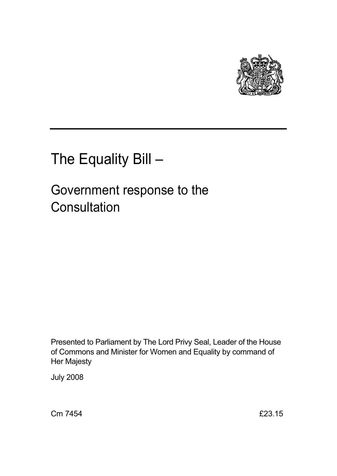

# The Equality Bill –

## Government response to the **Consultation**

Presented to Parliament by The Lord Privy Seal, Leader of the House of Commons and Minister for Women and Equality by command of Her Majesty

July 2008

Cm 7454 £23.15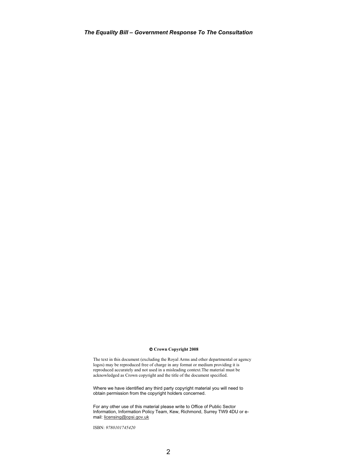#### - **Crown Copyright 2008**

The text in this document (excluding the Royal Arms and other departmental or agency logos) may be reproduced free of charge in any format or medium providing it is reproduced accurately and not used in a misleading context.The material must be acknowledged as Crown copyright and the title of the document specified.

Where we have identified any third party copyright material you will need to obtain permission from the copyright holders concerned.

For any other use of this material please write to Office of Public Sector Information, Information Policy Team, Kew, Richmond, Surrey TW9 4DU or email: licensing@opsi.gov.uk

ISBN: *9780101745420*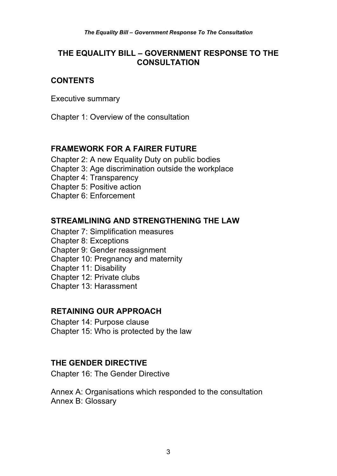## **THE EQUALITY BILL – GOVERNMENT RESPONSE TO THE CONSULTATION**

## **CONTENTS**

Executive summary

Chapter 1: Overview of the consultation

## **FRAMEWORK FOR A FAIRER FUTURE**

Chapter 2: A new Equality Duty on public bodies Chapter 3: Age discrimination outside the workplace Chapter 4: Transparency Chapter 5: Positive action Chapter 6: Enforcement

#### **STREAMLINING AND STRENGTHENING THE LAW**

- Chapter 7: Simplification measures
- Chapter 8: Exceptions
- Chapter 9: Gender reassignment
- Chapter 10: Pregnancy and maternity
- Chapter 11: Disability
- Chapter 12: Private clubs
- Chapter 13: Harassment

#### **RETAINING OUR APPROACH**

Chapter 14: Purpose clause Chapter 15: Who is protected by the law

## **THE GENDER DIRECTIVE**

Chapter 16: The Gender Directive

Annex A: Organisations which responded to the consultation Annex B: Glossary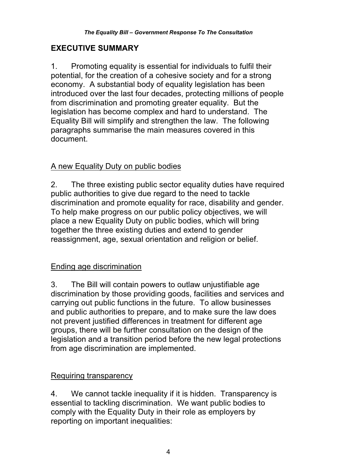## **EXECUTIVE SUMMARY**

1. Promoting equality is essential for individuals to fulfil their potential, for the creation of a cohesive society and for a strong economy. A substantial body of equality legislation has been introduced over the last four decades, protecting millions of people from discrimination and promoting greater equality. But the legislation has become complex and hard to understand. The Equality Bill will simplify and strengthen the law. The following paragraphs summarise the main measures covered in this document.

## A new Equality Duty on public bodies

2. The three existing public sector equality duties have required public authorities to give due regard to the need to tackle discrimination and promote equality for race, disability and gender. To help make progress on our public policy objectives, we will place a new Equality Duty on public bodies, which will bring together the three existing duties and extend to gender reassignment, age, sexual orientation and religion or belief.

## Ending age discrimination

3. The Bill will contain powers to outlaw unjustifiable age discrimination by those providing goods, facilities and services and carrying out public functions in the future. To allow businesses and public authorities to prepare, and to make sure the law does not prevent justified differences in treatment for different age groups, there will be further consultation on the design of the legislation and a transition period before the new legal protections from age discrimination are implemented.

## Requiring transparency

4. We cannot tackle inequality if it is hidden. Transparency is essential to tackling discrimination. We want public bodies to comply with the Equality Duty in their role as employers by reporting on important inequalities: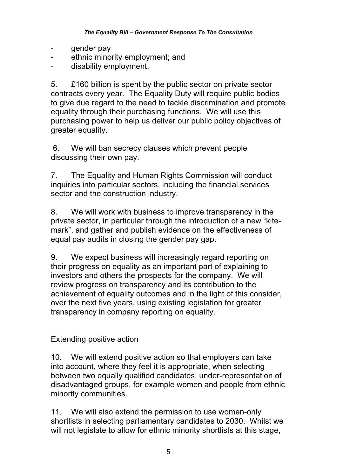- gender pay
- ethnic minority employment; and
- disability employment.

5. £160 billion is spent by the public sector on private sector contracts every year. The Equality Duty will require public bodies to give due regard to the need to tackle discrimination and promote equality through their purchasing functions. We will use this purchasing power to help us deliver our public policy objectives of greater equality.

 6. We will ban secrecy clauses which prevent people discussing their own pay.

7. The Equality and Human Rights Commission will conduct inquiries into particular sectors, including the financial services sector and the construction industry.

8. We will work with business to improve transparency in the private sector, in particular through the introduction of a new "kitemark", and gather and publish evidence on the effectiveness of equal pay audits in closing the gender pay gap.

9. We expect business will increasingly regard reporting on their progress on equality as an important part of explaining to investors and others the prospects for the company. We will review progress on transparency and its contribution to the achievement of equality outcomes and in the light of this consider, over the next five years, using existing legislation for greater transparency in company reporting on equality.

## Extending positive action

10. We will extend positive action so that employers can take into account, where they feel it is appropriate, when selecting between two equally qualified candidates, under-representation of disadvantaged groups, for example women and people from ethnic minority communities.

11. We will also extend the permission to use women-only shortlists in selecting parliamentary candidates to 2030. Whilst we will not legislate to allow for ethnic minority shortlists at this stage,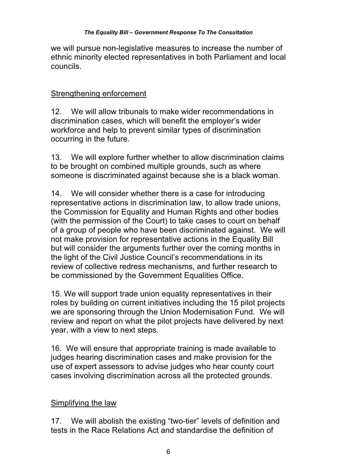we will pursue non-legislative measures to increase the number of ethnic minority elected representatives in both Parliament and local councils.

## Strengthening enforcement

12. We will allow tribunals to make wider recommendations in discrimination cases, which will benefit the employer's wider workforce and help to prevent similar types of discrimination occurring in the future.

13. We will explore further whether to allow discrimination claims to be brought on combined multiple grounds, such as where someone is discriminated against because she is a black woman.

14. We will consider whether there is a case for introducing representative actions in discrimination law, to allow trade unions, the Commission for Equality and Human Rights and other bodies (with the permission of the Court) to take cases to court on behalf of a group of people who have been discriminated against. We will not make provision for representative actions in the Equality Bill but will consider the arguments further over the coming months in the light of the Civil Justice Council's recommendations in its review of collective redress mechanisms, and further research to be commissioned by the Government Equalities Office.

15. We will support trade union equality representatives in their roles by building on current initiatives including the 15 pilot projects we are sponsoring through the Union Modernisation Fund. We will review and report on what the pilot projects have delivered by next year, with a view to next steps.

16. We will ensure that appropriate training is made available to judges hearing discrimination cases and make provision for the use of expert assessors to advise judges who hear county court cases involving discrimination across all the protected grounds.

## Simplifying the law

17. We will abolish the existing "two-tier" levels of definition and tests in the Race Relations Act and standardise the definition of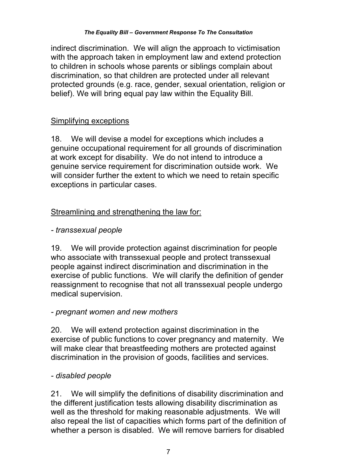indirect discrimination. We will align the approach to victimisation with the approach taken in employment law and extend protection to children in schools whose parents or siblings complain about discrimination, so that children are protected under all relevant protected grounds (e.g. race, gender, sexual orientation, religion or belief). We will bring equal pay law within the Equality Bill.

## Simplifying exceptions

18. We will devise a model for exceptions which includes a genuine occupational requirement for all grounds of discrimination at work except for disability. We do not intend to introduce a genuine service requirement for discrimination outside work. We will consider further the extent to which we need to retain specific exceptions in particular cases.

## Streamlining and strengthening the law for:

## *- transsexual people*

19. We will provide protection against discrimination for people who associate with transsexual people and protect transsexual people against indirect discrimination and discrimination in the exercise of public functions. We will clarify the definition of gender reassignment to recognise that not all transsexual people undergo medical supervision.

## *- pregnant women and new mothers*

20. We will extend protection against discrimination in the exercise of public functions to cover pregnancy and maternity. We will make clear that breastfeeding mothers are protected against discrimination in the provision of goods, facilities and services.

## *- disabled people*

21. We will simplify the definitions of disability discrimination and the different justification tests allowing disability discrimination as well as the threshold for making reasonable adjustments. We will also repeal the list of capacities which forms part of the definition of whether a person is disabled. We will remove barriers for disabled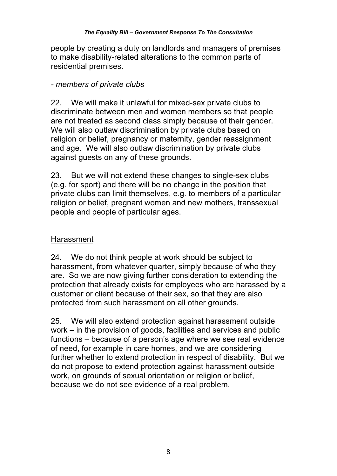people by creating a duty on landlords and managers of premises to make disability-related alterations to the common parts of residential premises.

## *- members of private clubs*

22. We will make it unlawful for mixed-sex private clubs to discriminate between men and women members so that people are not treated as second class simply because of their gender. We will also outlaw discrimination by private clubs based on religion or belief, pregnancy or maternity, gender reassignment and age. We will also outlaw discrimination by private clubs against guests on any of these grounds.

23. But we will not extend these changes to single-sex clubs (e.g. for sport) and there will be no change in the position that private clubs can limit themselves, e.g. to members of a particular religion or belief, pregnant women and new mothers, transsexual people and people of particular ages.

## Harassment

24. We do not think people at work should be subject to harassment, from whatever quarter, simply because of who they are. So we are now giving further consideration to extending the protection that already exists for employees who are harassed by a customer or client because of their sex, so that they are also protected from such harassment on all other grounds.

25. We will also extend protection against harassment outside work – in the provision of goods, facilities and services and public functions – because of a person's age where we see real evidence of need, for example in care homes, and we are considering further whether to extend protection in respect of disability. But we do not propose to extend protection against harassment outside work, on grounds of sexual orientation or religion or belief, because we do not see evidence of a real problem.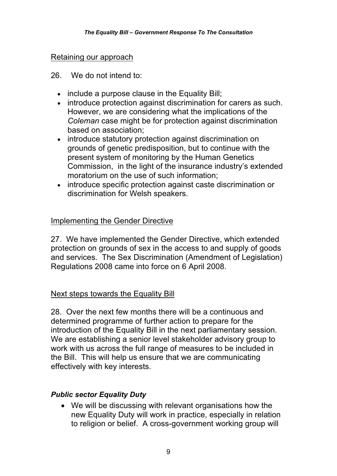#### Retaining our approach

- 26. We do not intend to:
	- include a purpose clause in the Equality Bill;
	- introduce protection against discrimination for carers as such. However, we are considering what the implications of the *Coleman* case might be for protection against discrimination based on association;
	- introduce statutory protection against discrimination on grounds of genetic predisposition, but to continue with the present system of monitoring by the Human Genetics Commission, in the light of the insurance industry's extended moratorium on the use of such information;
	- introduce specific protection against caste discrimination or discrimination for Welsh speakers.

#### Implementing the Gender Directive

27. We have implemented the Gender Directive, which extended protection on grounds of sex in the access to and supply of goods and services. The Sex Discrimination (Amendment of Legislation) Regulations 2008 came into force on 6 April 2008.

#### Next steps towards the Equality Bill

28. Over the next few months there will be a continuous and determined programme of further action to prepare for the introduction of the Equality Bill in the next parliamentary session. We are establishing a senior level stakeholder advisory group to work with us across the full range of measures to be included in the Bill. This will help us ensure that we are communicating effectively with key interests.

#### *Public sector Equality Duty*

 We will be discussing with relevant organisations how the new Equality Duty will work in practice, especially in relation to religion or belief. A cross-government working group will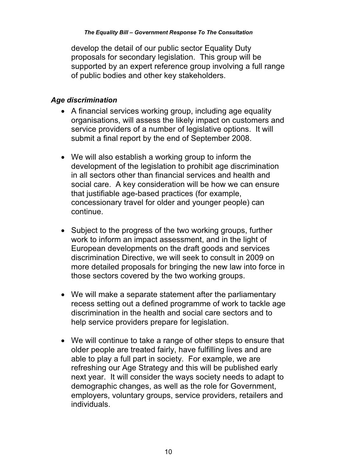develop the detail of our public sector Equality Duty proposals for secondary legislation. This group will be supported by an expert reference group involving a full range of public bodies and other key stakeholders.

#### *Age discrimination*

- A financial services working group, including age equality organisations, will assess the likely impact on customers and service providers of a number of legislative options. It will submit a final report by the end of September 2008.
- We will also establish a working group to inform the development of the legislation to prohibit age discrimination in all sectors other than financial services and health and social care. A key consideration will be how we can ensure that justifiable age-based practices (for example, concessionary travel for older and younger people) can continue.
- Subject to the progress of the two working groups, further work to inform an impact assessment, and in the light of European developments on the draft goods and services discrimination Directive, we will seek to consult in 2009 on more detailed proposals for bringing the new law into force in those sectors covered by the two working groups.
- We will make a separate statement after the parliamentary recess setting out a defined programme of work to tackle age discrimination in the health and social care sectors and to help service providers prepare for legislation.
- We will continue to take a range of other steps to ensure that older people are treated fairly, have fulfilling lives and are able to play a full part in society. For example, we are refreshing our Age Strategy and this will be published early next year. It will consider the ways society needs to adapt to demographic changes, as well as the role for Government, employers, voluntary groups, service providers, retailers and individuals.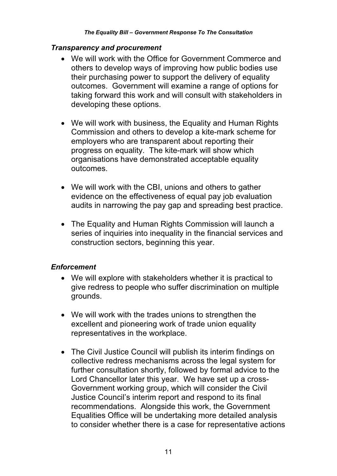#### *Transparency and procurement*

- We will work with the Office for Government Commerce and others to develop ways of improving how public bodies use their purchasing power to support the delivery of equality outcomes. Government will examine a range of options for taking forward this work and will consult with stakeholders in developing these options.
- We will work with business, the Equality and Human Rights Commission and others to develop a kite-mark scheme for employers who are transparent about reporting their progress on equality. The kite-mark will show which organisations have demonstrated acceptable equality outcomes.
- We will work with the CBI, unions and others to gather evidence on the effectiveness of equal pay job evaluation audits in narrowing the pay gap and spreading best practice.
- The Equality and Human Rights Commission will launch a series of inquiries into inequality in the financial services and construction sectors, beginning this year.

#### *Enforcement*

- We will explore with stakeholders whether it is practical to give redress to people who suffer discrimination on multiple grounds.
- We will work with the trades unions to strengthen the excellent and pioneering work of trade union equality representatives in the workplace.
- The Civil Justice Council will publish its interim findings on collective redress mechanisms across the legal system for further consultation shortly, followed by formal advice to the Lord Chancellor later this year. We have set up a cross-Government working group, which will consider the Civil Justice Council's interim report and respond to its final recommendations. Alongside this work, the Government Equalities Office will be undertaking more detailed analysis to consider whether there is a case for representative actions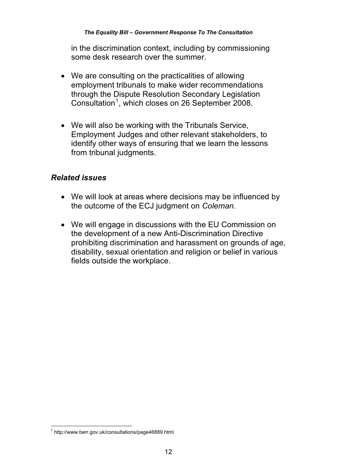in the discrimination context, including by commissioning some desk research over the summer.

- We are consulting on the practicalities of allowing employment tribunals to make wider recommendations through the Dispute Resolution Secondary Legislation Consultation<sup>1</sup>, which closes on 26 September 2008.
- We will also be working with the Tribunals Service, Employment Judges and other relevant stakeholders, to identify other ways of ensuring that we learn the lessons from tribunal judgments.

## *Related issues*

- We will look at areas where decisions may be influenced by the outcome of the ECJ judgment on *Coleman*.
- We will engage in discussions with the EU Commission on the development of a new Anti-Discrimination Directive prohibiting discrimination and harassment on grounds of age, disability, sexual orientation and religion or belief in various fields outside the workplace.

 1 http://www.berr.gov.uk/consultations/page46889.html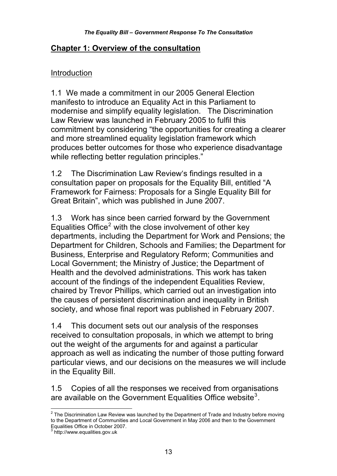#### **Chapter 1: Overview of the consultation**

#### Introduction

1.1 We made a commitment in our 2005 General Election manifesto to introduce an Equality Act in this Parliament to modernise and simplify equality legislation. The Discrimination Law Review was launched in February 2005 to fulfil this commitment by considering "the opportunities for creating a clearer and more streamlined equality legislation framework which produces better outcomes for those who experience disadvantage while reflecting better regulation principles."

1.2 The Discrimination Law Review's findings resulted in a consultation paper on proposals for the Equality Bill, entitled "A Framework for Fairness: Proposals for a Single Equality Bill for Great Britain", which was published in June 2007.

1.3 Work has since been carried forward by the Government Equalities Office<sup>2</sup> with the close involvement of other key departments, including the Department for Work and Pensions; the Department for Children, Schools and Families; the Department for Business, Enterprise and Regulatory Reform; Communities and Local Government; the Ministry of Justice; the Department of Health and the devolved administrations. This work has taken account of the findings of the independent Equalities Review, chaired by Trevor Phillips, which carried out an investigation into the causes of persistent discrimination and inequality in British society, and whose final report was published in February 2007.

1.4 This document sets out our analysis of the responses received to consultation proposals, in which we attempt to bring out the weight of the arguments for and against a particular approach as well as indicating the number of those putting forward particular views, and our decisions on the measures we will include in the Equality Bill.

1.5 Copies of all the responses we received from organisations are available on the Government Equalities Office website<sup>3</sup>.

 2 The Discrimination Law Review was launched by the Department of Trade and Industry before moving to the Department of Communities and Local Government in May 2006 and then to the Government

Equalities Office in October 2007. 3 http://www.equalities.gov.uk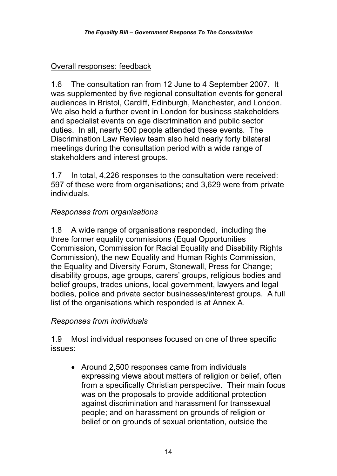## Overall responses: feedback

1.6 The consultation ran from 12 June to 4 September 2007. It was supplemented by five regional consultation events for general audiences in Bristol, Cardiff, Edinburgh, Manchester, and London. We also held a further event in London for business stakeholders and specialist events on age discrimination and public sector duties. In all, nearly 500 people attended these events. The Discrimination Law Review team also held nearly forty bilateral meetings during the consultation period with a wide range of stakeholders and interest groups.

1.7 In total, 4,226 responses to the consultation were received: 597 of these were from organisations; and 3,629 were from private individuals.

## *Responses from organisations*

1.8 A wide range of organisations responded, including the three former equality commissions (Equal Opportunities Commission, Commission for Racial Equality and Disability Rights Commission), the new Equality and Human Rights Commission, the Equality and Diversity Forum, Stonewall, Press for Change; disability groups, age groups, carers' groups, religious bodies and belief groups, trades unions, local government, lawyers and legal bodies, police and private sector businesses/interest groups. A full list of the organisations which responded is at Annex A.

## *Responses from individuals*

1.9 Most individual responses focused on one of three specific issues:

• Around 2,500 responses came from individuals expressing views about matters of religion or belief, often from a specifically Christian perspective. Their main focus was on the proposals to provide additional protection against discrimination and harassment for transsexual people; and on harassment on grounds of religion or belief or on grounds of sexual orientation, outside the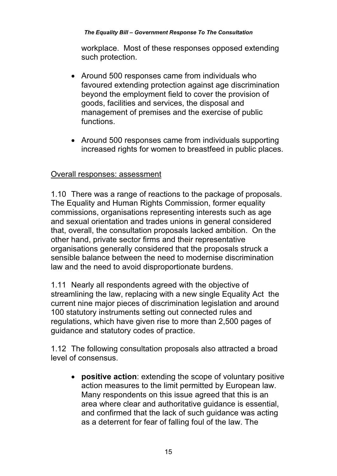workplace. Most of these responses opposed extending such protection.

- Around 500 responses came from individuals who favoured extending protection against age discrimination beyond the employment field to cover the provision of goods, facilities and services, the disposal and management of premises and the exercise of public functions.
- Around 500 responses came from individuals supporting increased rights for women to breastfeed in public places.

#### Overall responses: assessment

1.10 There was a range of reactions to the package of proposals. The Equality and Human Rights Commission, former equality commissions, organisations representing interests such as age and sexual orientation and trades unions in general considered that, overall, the consultation proposals lacked ambition. On the other hand, private sector firms and their representative organisations generally considered that the proposals struck a sensible balance between the need to modernise discrimination law and the need to avoid disproportionate burdens.

1.11 Nearly all respondents agreed with the objective of streamlining the law, replacing with a new single Equality Act the current nine major pieces of discrimination legislation and around 100 statutory instruments setting out connected rules and regulations, which have given rise to more than 2,500 pages of guidance and statutory codes of practice.

1.12 The following consultation proposals also attracted a broad level of consensus.

 **positive action**: extending the scope of voluntary positive action measures to the limit permitted by European law. Many respondents on this issue agreed that this is an area where clear and authoritative guidance is essential, and confirmed that the lack of such guidance was acting as a deterrent for fear of falling foul of the law. The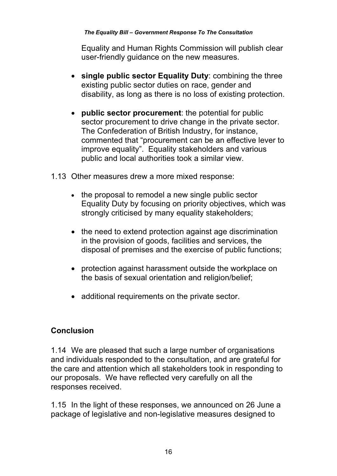Equality and Human Rights Commission will publish clear user-friendly guidance on the new measures.

- **single public sector Equality Duty**: combining the three existing public sector duties on race, gender and disability, as long as there is no loss of existing protection.
- **public sector procurement**: the potential for public sector procurement to drive change in the private sector. The Confederation of British Industry, for instance, commented that "procurement can be an effective lever to improve equality". Equality stakeholders and various public and local authorities took a similar view.
- 1.13 Other measures drew a more mixed response:
	- the proposal to remodel a new single public sector Equality Duty by focusing on priority objectives, which was strongly criticised by many equality stakeholders;
	- the need to extend protection against age discrimination in the provision of goods, facilities and services, the disposal of premises and the exercise of public functions;
	- protection against harassment outside the workplace on the basis of sexual orientation and religion/belief;
	- additional requirements on the private sector.

## **Conclusion**

1.14 We are pleased that such a large number of organisations and individuals responded to the consultation, and are grateful for the care and attention which all stakeholders took in responding to our proposals. We have reflected very carefully on all the responses received.

1.15 In the light of these responses, we announced on 26 June a package of legislative and non-legislative measures designed to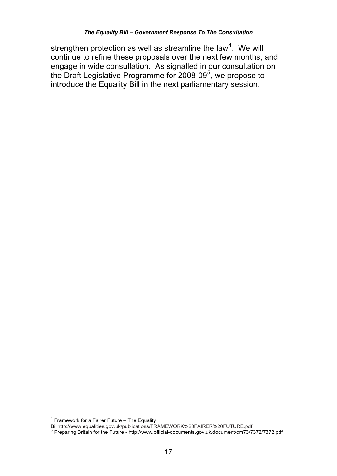strengthen protection as well as streamline the law<sup>4</sup>. We will continue to refine these proposals over the next few months, and engage in wide consultation. As signalled in our consultation on the Draft Legislative Programme for 2008-09<sup>5</sup>, we propose to introduce the Equality Bill in the next parliamentary session.

 4 Framework for a Fairer Future – The Equality

Bill<u>http://www.equalities.gov.uk/publications/FRAMEWORK%20FAIRER%20FUTURE.pdf</u><br><sup>5</sup> Preparing Britain for the Future - http://www.official-documents.gov.uk/document/cm73/7372/7372.pdf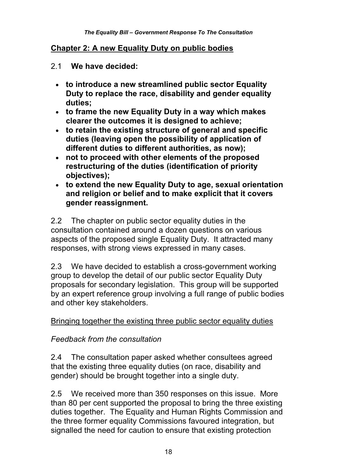#### **Chapter 2: A new Equality Duty on public bodies**

- 2.1 **We have decided:** 
	- **to introduce a new streamlined public sector Equality Duty to replace the race, disability and gender equality duties;**
	- **to frame the new Equality Duty in a way which makes clearer the outcomes it is designed to achieve;**
	- **to retain the existing structure of general and specific duties (leaving open the possibility of application of different duties to different authorities, as now);**
	- **not to proceed with other elements of the proposed restructuring of the duties (identification of priority objectives);**
	- **to extend the new Equality Duty to age, sexual orientation and religion or belief and to make explicit that it covers gender reassignment.**

2.2 The chapter on public sector equality duties in the consultation contained around a dozen questions on various aspects of the proposed single Equality Duty. It attracted many responses, with strong views expressed in many cases.

2.3 We have decided to establish a cross-government working group to develop the detail of our public sector Equality Duty proposals for secondary legislation. This group will be supported by an expert reference group involving a full range of public bodies and other key stakeholders.

#### Bringing together the existing three public sector equality duties

#### *Feedback from the consultation*

2.4 The consultation paper asked whether consultees agreed that the existing three equality duties (on race, disability and gender) should be brought together into a single duty.

2.5 We received more than 350 responses on this issue. More than 80 per cent supported the proposal to bring the three existing duties together. The Equality and Human Rights Commission and the three former equality Commissions favoured integration, but signalled the need for caution to ensure that existing protection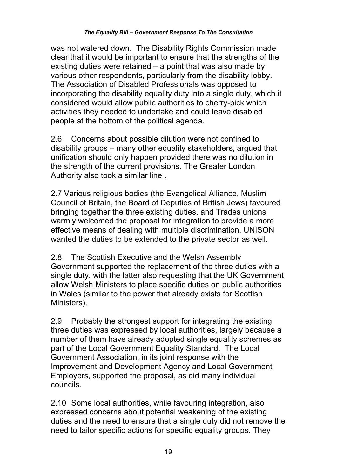was not watered down. The Disability Rights Commission made clear that it would be important to ensure that the strengths of the existing duties were retained – a point that was also made by various other respondents, particularly from the disability lobby. The Association of Disabled Professionals was opposed to incorporating the disability equality duty into a single duty, which it considered would allow public authorities to cherry-pick which activities they needed to undertake and could leave disabled people at the bottom of the political agenda.

2.6 Concerns about possible dilution were not confined to disability groups – many other equality stakeholders, argued that unification should only happen provided there was no dilution in the strength of the current provisions. The Greater London Authority also took a similar line .

2.7 Various religious bodies (the Evangelical Alliance, Muslim Council of Britain, the Board of Deputies of British Jews) favoured bringing together the three existing duties, and Trades unions warmly welcomed the proposal for integration to provide a more effective means of dealing with multiple discrimination. UNISON wanted the duties to be extended to the private sector as well.

2.8 The Scottish Executive and the Welsh Assembly Government supported the replacement of the three duties with a single duty, with the latter also requesting that the UK Government allow Welsh Ministers to place specific duties on public authorities in Wales (similar to the power that already exists for Scottish Ministers).

2.9 Probably the strongest support for integrating the existing three duties was expressed by local authorities, largely because a number of them have already adopted single equality schemes as part of the Local Government Equality Standard. The Local Government Association, in its joint response with the Improvement and Development Agency and Local Government Employers, supported the proposal, as did many individual councils.

2.10 Some local authorities, while favouring integration, also expressed concerns about potential weakening of the existing duties and the need to ensure that a single duty did not remove the need to tailor specific actions for specific equality groups. They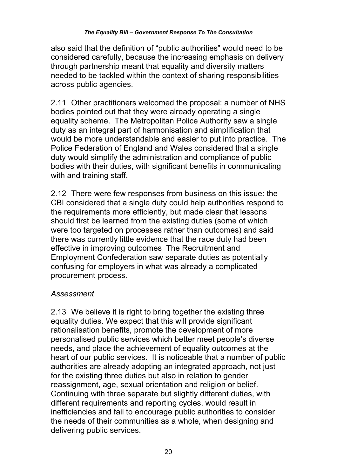also said that the definition of "public authorities" would need to be considered carefully, because the increasing emphasis on delivery through partnership meant that equality and diversity matters needed to be tackled within the context of sharing responsibilities across public agencies.

2.11 Other practitioners welcomed the proposal: a number of NHS bodies pointed out that they were already operating a single equality scheme. The Metropolitan Police Authority saw a single duty as an integral part of harmonisation and simplification that would be more understandable and easier to put into practice. The Police Federation of England and Wales considered that a single duty would simplify the administration and compliance of public bodies with their duties, with significant benefits in communicating with and training staff.

2.12 There were few responses from business on this issue: the CBI considered that a single duty could help authorities respond to the requirements more efficiently, but made clear that lessons should first be learned from the existing duties (some of which were too targeted on processes rather than outcomes) and said there was currently little evidence that the race duty had been effective in improving outcomes The Recruitment and Employment Confederation saw separate duties as potentially confusing for employers in what was already a complicated procurement process.

## *Assessment*

2.13 We believe it is right to bring together the existing three equality duties. We expect that this will provide significant rationalisation benefits, promote the development of more personalised public services which better meet people's diverse needs, and place the achievement of equality outcomes at the heart of our public services. It is noticeable that a number of public authorities are already adopting an integrated approach, not just for the existing three duties but also in relation to gender reassignment, age, sexual orientation and religion or belief. Continuing with three separate but slightly different duties, with different requirements and reporting cycles, would result in inefficiencies and fail to encourage public authorities to consider the needs of their communities as a whole, when designing and delivering public services.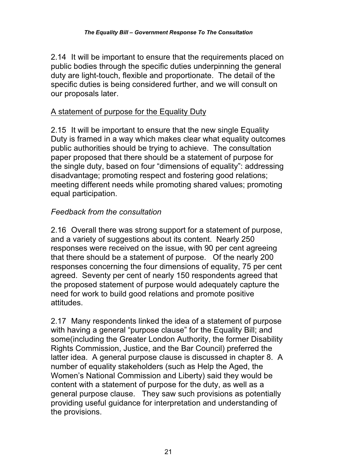2.14 It will be important to ensure that the requirements placed on public bodies through the specific duties underpinning the general duty are light-touch, flexible and proportionate. The detail of the specific duties is being considered further, and we will consult on our proposals later.

## A statement of purpose for the Equality Duty

2.15 It will be important to ensure that the new single Equality Duty is framed in a way which makes clear what equality outcomes public authorities should be trying to achieve. The consultation paper proposed that there should be a statement of purpose for the single duty, based on four "dimensions of equality": addressing disadvantage; promoting respect and fostering good relations; meeting different needs while promoting shared values; promoting equal participation.

#### *Feedback from the consultation*

2.16 Overall there was strong support for a statement of purpose, and a variety of suggestions about its content. Nearly 250 responses were received on the issue, with 90 per cent agreeing that there should be a statement of purpose. Of the nearly 200 responses concerning the four dimensions of equality, 75 per cent agreed. Seventy per cent of nearly 150 respondents agreed that the proposed statement of purpose would adequately capture the need for work to build good relations and promote positive attitudes.

2.17 Many respondents linked the idea of a statement of purpose with having a general "purpose clause" for the Equality Bill; and some(including the Greater London Authority, the former Disability Rights Commission, Justice, and the Bar Council) preferred the latter idea. A general purpose clause is discussed in chapter 8. A number of equality stakeholders (such as Help the Aged, the Women's National Commission and Liberty) said they would be content with a statement of purpose for the duty, as well as a general purpose clause. They saw such provisions as potentially providing useful guidance for interpretation and understanding of the provisions.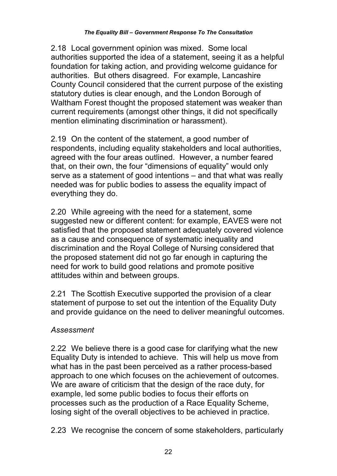2.18 Local government opinion was mixed. Some local authorities supported the idea of a statement, seeing it as a helpful foundation for taking action, and providing welcome guidance for authorities. But others disagreed. For example, Lancashire County Council considered that the current purpose of the existing statutory duties is clear enough, and the London Borough of Waltham Forest thought the proposed statement was weaker than current requirements (amongst other things, it did not specifically mention eliminating discrimination or harassment).

2.19 On the content of the statement, a good number of respondents, including equality stakeholders and local authorities, agreed with the four areas outlined. However, a number feared that, on their own, the four "dimensions of equality" would only serve as a statement of good intentions – and that what was really needed was for public bodies to assess the equality impact of everything they do.

2.20 While agreeing with the need for a statement, some suggested new or different content: for example, EAVES were not satisfied that the proposed statement adequately covered violence as a cause and consequence of systematic inequality and discrimination and the Royal College of Nursing considered that the proposed statement did not go far enough in capturing the need for work to build good relations and promote positive attitudes within and between groups.

2.21 The Scottish Executive supported the provision of a clear statement of purpose to set out the intention of the Equality Duty and provide guidance on the need to deliver meaningful outcomes.

## *Assessment*

2.22 We believe there is a good case for clarifying what the new Equality Duty is intended to achieve. This will help us move from what has in the past been perceived as a rather process-based approach to one which focuses on the achievement of outcomes. We are aware of criticism that the design of the race duty, for example, led some public bodies to focus their efforts on processes such as the production of a Race Equality Scheme, losing sight of the overall objectives to be achieved in practice.

2.23 We recognise the concern of some stakeholders, particularly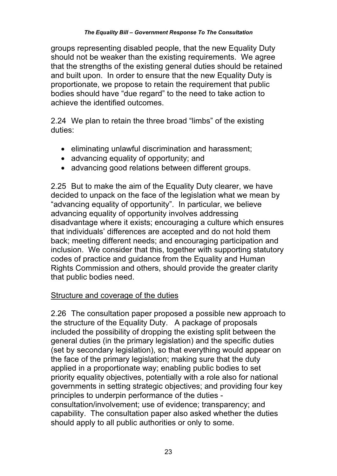groups representing disabled people, that the new Equality Duty should not be weaker than the existing requirements. We agree that the strengths of the existing general duties should be retained and built upon. In order to ensure that the new Equality Duty is proportionate, we propose to retain the requirement that public bodies should have "due regard" to the need to take action to achieve the identified outcomes.

2.24 We plan to retain the three broad "limbs" of the existing duties:

- eliminating unlawful discrimination and harassment;
- advancing equality of opportunity; and
- advancing good relations between different groups.

2.25 But to make the aim of the Equality Duty clearer, we have decided to unpack on the face of the legislation what we mean by "advancing equality of opportunity". In particular, we believe advancing equality of opportunity involves addressing disadvantage where it exists; encouraging a culture which ensures that individuals' differences are accepted and do not hold them back; meeting different needs; and encouraging participation and inclusion. We consider that this, together with supporting statutory codes of practice and guidance from the Equality and Human Rights Commission and others, should provide the greater clarity that public bodies need.

## Structure and coverage of the duties

2.26 The consultation paper proposed a possible new approach to the structure of the Equality Duty. A package of proposals included the possibility of dropping the existing split between the general duties (in the primary legislation) and the specific duties (set by secondary legislation), so that everything would appear on the face of the primary legislation; making sure that the duty applied in a proportionate way; enabling public bodies to set priority equality objectives, potentially with a role also for national governments in setting strategic objectives; and providing four key principles to underpin performance of the duties consultation/involvement; use of evidence; transparency; and capability. The consultation paper also asked whether the duties should apply to all public authorities or only to some.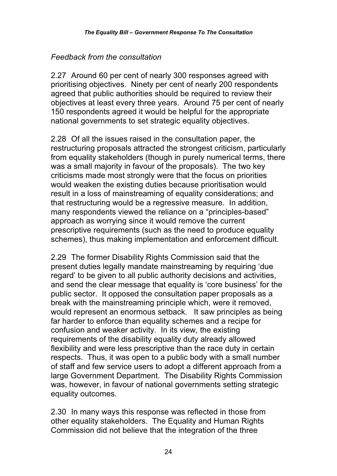## *Feedback from the consultation*

2.27 Around 60 per cent of nearly 300 responses agreed with prioritising objectives. Ninety per cent of nearly 200 respondents agreed that public authorities should be required to review their objectives at least every three years. Around 75 per cent of nearly 150 respondents agreed it would be helpful for the appropriate national governments to set strategic equality objectives.

2.28 Of all the issues raised in the consultation paper, the restructuring proposals attracted the strongest criticism, particularly from equality stakeholders (though in purely numerical terms, there was a small majority in favour of the proposals). The two key criticisms made most strongly were that the focus on priorities would weaken the existing duties because prioritisation would result in a loss of mainstreaming of equality considerations; and that restructuring would be a regressive measure. In addition, many respondents viewed the reliance on a "principles-based" approach as worrying since it would remove the current prescriptive requirements (such as the need to produce equality schemes), thus making implementation and enforcement difficult.

2.29 The former Disability Rights Commission said that the present duties legally mandate mainstreaming by requiring 'due regard' to be given to all public authority decisions and activities, and send the clear message that equality is 'core business' for the public sector. It opposed the consultation paper proposals as a break with the mainstreaming principle which, were it removed, would represent an enormous setback. It saw principles as being far harder to enforce than equality schemes and a recipe for confusion and weaker activity. In its view, the existing requirements of the disability equality duty already allowed flexibility and were less prescriptive than the race duty in certain respects. Thus, it was open to a public body with a small number of staff and few service users to adopt a different approach from a large Government Department. The Disability Rights Commission was, however, in favour of national governments setting strategic equality outcomes.

2.30 In many ways this response was reflected in those from other equality stakeholders. The Equality and Human Rights Commission did not believe that the integration of the three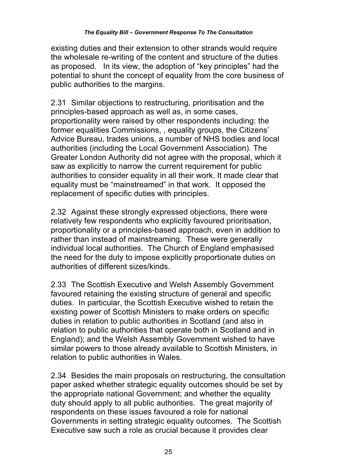existing duties and their extension to other strands would require the wholesale re-writing of the content and structure of the duties as proposed. In its view, the adoption of "key principles" had the potential to shunt the concept of equality from the core business of public authorities to the margins.

2.31 Similar objections to restructuring, prioritisation and the principles-based approach as well as, in some cases, proportionality were raised by other respondents including: the former equalities Commissions, , equality groups, the Citizens' Advice Bureau, trades unions, a number of NHS bodies and local authorities (including the Local Government Association). The Greater London Authority did not agree with the proposal, which it saw as explicitly to narrow the current requirement for public authorities to consider equality in all their work. It made clear that equality must be "mainstreamed" in that work. It opposed the replacement of specific duties with principles.

2.32 Against these strongly expressed objections, there were relatively few respondents who explicitly favoured prioritisation, proportionality or a principles-based approach, even in addition to rather than instead of mainstreaming. These were generally individual local authorities. The Church of England emphasised the need for the duty to impose explicitly proportionate duties on authorities of different sizes/kinds.

2.33 The Scottish Executive and Welsh Assembly Government favoured retaining the existing structure of general and specific duties. In particular, the Scottish Executive wished to retain the existing power of Scottish Ministers to make orders on specific duties in relation to public authorities in Scotland (and also in relation to public authorities that operate both in Scotland and in England); and the Welsh Assembly Government wished to have similar powers to those already available to Scottish Ministers, in relation to public authorities in Wales.

2.34 Besides the main proposals on restructuring, the consultation paper asked whether strategic equality outcomes should be set by the appropriate national Government; and whether the equality duty should apply to all public authorities. The great majority of respondents on these issues favoured a role for national Governments in setting strategic equality outcomes. The Scottish Executive saw such a role as crucial because it provides clear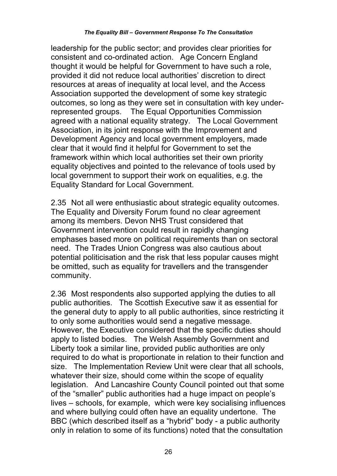leadership for the public sector; and provides clear priorities for consistent and co-ordinated action. Age Concern England thought it would be helpful for Government to have such a role, provided it did not reduce local authorities' discretion to direct resources at areas of inequality at local level, and the Access Association supported the development of some key strategic outcomes, so long as they were set in consultation with key underrepresented groups. The Equal Opportunities Commission agreed with a national equality strategy. The Local Government Association, in its joint response with the Improvement and Development Agency and local government employers, made clear that it would find it helpful for Government to set the framework within which local authorities set their own priority equality objectives and pointed to the relevance of tools used by local government to support their work on equalities, e.g. the Equality Standard for Local Government.

2.35 Not all were enthusiastic about strategic equality outcomes. The Equality and Diversity Forum found no clear agreement among its members. Devon NHS Trust considered that Government intervention could result in rapidly changing emphases based more on political requirements than on sectoral need. The Trades Union Congress was also cautious about potential politicisation and the risk that less popular causes might be omitted, such as equality for travellers and the transgender community.

2.36 Most respondents also supported applying the duties to all public authorities. The Scottish Executive saw it as essential for the general duty to apply to all public authorities, since restricting it to only some authorities would send a negative message. However, the Executive considered that the specific duties should apply to listed bodies. The Welsh Assembly Government and Liberty took a similar line, provided public authorities are only required to do what is proportionate in relation to their function and size. The Implementation Review Unit were clear that all schools, whatever their size, should come within the scope of equality legislation. And Lancashire County Council pointed out that some of the "smaller" public authorities had a huge impact on people's lives – schools, for example, which were key socialising influences and where bullying could often have an equality undertone. The BBC (which described itself as a "hybrid" body - a public authority only in relation to some of its functions) noted that the consultation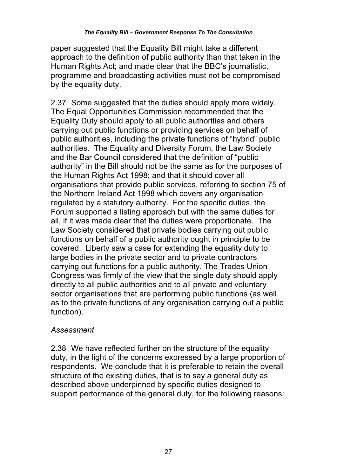paper suggested that the Equality Bill might take a different approach to the definition of public authority than that taken in the Human Rights Act; and made clear that the BBC's journalistic, programme and broadcasting activities must not be compromised by the equality duty.

2.37 Some suggested that the duties should apply more widely. The Equal Opportunities Commission recommended that the Equality Duty should apply to all public authorities and others carrying out public functions or providing services on behalf of public authorities, including the private functions of "hybrid" public authorities. The Equality and Diversity Forum, the Law Society and the Bar Council considered that the definition of "public authority" in the Bill should not be the same as for the purposes of the Human Rights Act 1998; and that it should cover all organisations that provide public services, referring to section 75 of the Northern Ireland Act 1998 which covers any organisation regulated by a statutory authority. For the specific duties, the Forum supported a listing approach but with the same duties for all, if it was made clear that the duties were proportionate. The Law Society considered that private bodies carrying out public functions on behalf of a public authority ought in principle to be covered. Liberty saw a case for extending the equality duty to large bodies in the private sector and to private contractors carrying out functions for a public authority. The Trades Union Congress was firmly of the view that the single duty should apply directly to all public authorities and to all private and voluntary sector organisations that are performing public functions (as well as to the private functions of any organisation carrying out a public function).

#### *Assessment*

2.38 We have reflected further on the structure of the equality duty, in the light of the concerns expressed by a large proportion of respondents. We conclude that it is preferable to retain the overall structure of the existing duties, that is to say a general duty as described above underpinned by specific duties designed to support performance of the general duty, for the following reasons: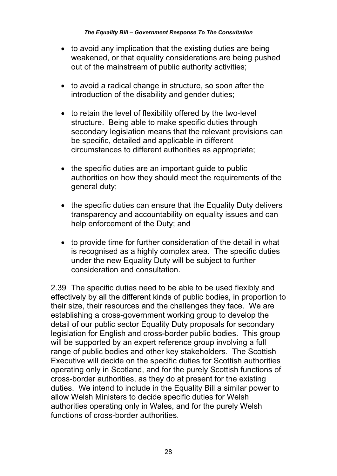- to avoid any implication that the existing duties are being weakened, or that equality considerations are being pushed out of the mainstream of public authority activities;
- to avoid a radical change in structure, so soon after the introduction of the disability and gender duties;
- to retain the level of flexibility offered by the two-level structure. Being able to make specific duties through secondary legislation means that the relevant provisions can be specific, detailed and applicable in different circumstances to different authorities as appropriate;
- the specific duties are an important guide to public authorities on how they should meet the requirements of the general duty;
- the specific duties can ensure that the Equality Duty delivers transparency and accountability on equality issues and can help enforcement of the Duty; and
- to provide time for further consideration of the detail in what is recognised as a highly complex area. The specific duties under the new Equality Duty will be subject to further consideration and consultation.

2.39 The specific duties need to be able to be used flexibly and effectively by all the different kinds of public bodies, in proportion to their size, their resources and the challenges they face. We are establishing a cross-government working group to develop the detail of our public sector Equality Duty proposals for secondary legislation for English and cross-border public bodies. This group will be supported by an expert reference group involving a full range of public bodies and other key stakeholders. The Scottish Executive will decide on the specific duties for Scottish authorities operating only in Scotland, and for the purely Scottish functions of cross-border authorities, as they do at present for the existing duties. We intend to include in the Equality Bill a similar power to allow Welsh Ministers to decide specific duties for Welsh authorities operating only in Wales, and for the purely Welsh functions of cross-border authorities.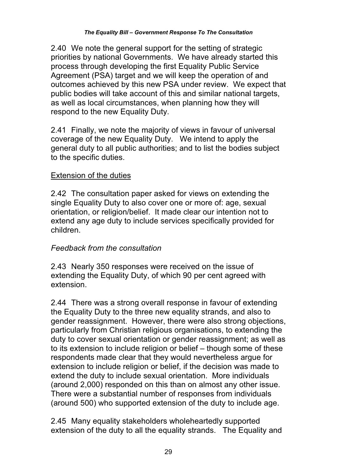2.40 We note the general support for the setting of strategic priorities by national Governments. We have already started this process through developing the first Equality Public Service Agreement (PSA) target and we will keep the operation of and outcomes achieved by this new PSA under review. We expect that public bodies will take account of this and similar national targets, as well as local circumstances, when planning how they will respond to the new Equality Duty.

2.41 Finally, we note the majority of views in favour of universal coverage of the new Equality Duty. We intend to apply the general duty to all public authorities; and to list the bodies subject to the specific duties.

## Extension of the duties

2.42 The consultation paper asked for views on extending the single Equality Duty to also cover one or more of: age, sexual orientation, or religion/belief. It made clear our intention not to extend any age duty to include services specifically provided for children.

## *Feedback from the consultation*

2.43 Nearly 350 responses were received on the issue of extending the Equality Duty, of which 90 per cent agreed with extension.

2.44 There was a strong overall response in favour of extending the Equality Duty to the three new equality strands, and also to gender reassignment. However, there were also strong objections, particularly from Christian religious organisations, to extending the duty to cover sexual orientation or gender reassignment; as well as to its extension to include religion or belief – though some of these respondents made clear that they would nevertheless argue for extension to include religion or belief, if the decision was made to extend the duty to include sexual orientation. More individuals (around 2,000) responded on this than on almost any other issue. There were a substantial number of responses from individuals (around 500) who supported extension of the duty to include age.

2.45 Many equality stakeholders wholeheartedly supported extension of the duty to all the equality strands. The Equality and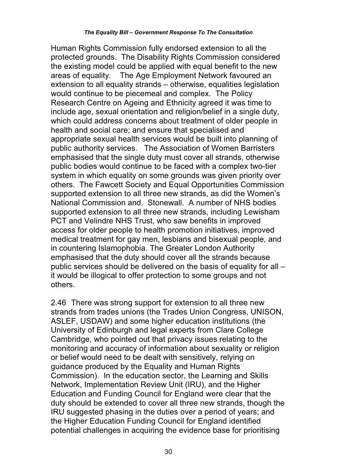Human Rights Commission fully endorsed extension to all the protected grounds. The Disability Rights Commission considered the existing model could be applied with equal benefit to the new areas of equality. The Age Employment Network favoured an extension to all equality strands – otherwise, equalities legislation would continue to be piecemeal and complex. The Policy Research Centre on Ageing and Ethnicity agreed it was time to include age, sexual orientation and religion/belief in a single duty, which could address concerns about treatment of older people in health and social care; and ensure that specialised and appropriate sexual health services would be built into planning of public authority services. The Association of Women Barristers emphasised that the single duty must cover all strands, otherwise public bodies would continue to be faced with a complex two-tier system in which equality on some grounds was given priority over others. The Fawcett Society and Equal Opportunities Commission supported extension to all three new strands, as did the Women's National Commission and. Stonewall. A number of NHS bodies supported extension to all three new strands, including Lewisham PCT and Velindre NHS Trust, who saw benefits in improved access for older people to health promotion initiatives, improved medical treatment for gay men, lesbians and bisexual people, and in countering Islamophobia. The Greater London Authority emphasised that the duty should cover all the strands because public services should be delivered on the basis of equality for all – it would be illogical to offer protection to some groups and not others.

2.46 There was strong support for extension to all three new strands from trades unions (the Trades Union Congress, UNISON, ASLEF, USDAW) and some higher education institutions (the University of Edinburgh and legal experts from Clare College Cambridge, who pointed out that privacy issues relating to the monitoring and accuracy of information about sexuality or religion or belief would need to be dealt with sensitively, relying on guidance produced by the Equality and Human Rights Commission). In the education sector, the Learning and Skills Network, Implementation Review Unit (IRU), and the Higher Education and Funding Council for England were clear that the duty should be extended to cover all three new strands, though the IRU suggested phasing in the duties over a period of years; and the Higher Education Funding Council for England identified potential challenges in acquiring the evidence base for prioritising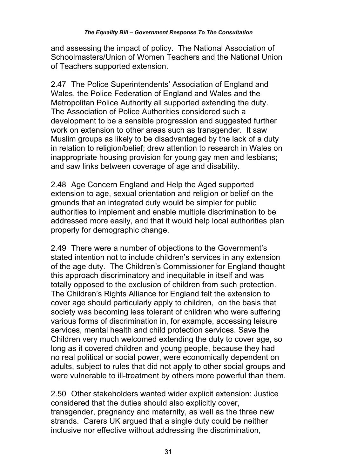and assessing the impact of policy. The National Association of Schoolmasters/Union of Women Teachers and the National Union of Teachers supported extension.

2.47 The Police Superintendents' Association of England and Wales, the Police Federation of England and Wales and the Metropolitan Police Authority all supported extending the duty. The Association of Police Authorities considered such a development to be a sensible progression and suggested further work on extension to other areas such as transgender. It saw Muslim groups as likely to be disadvantaged by the lack of a duty in relation to religion/belief; drew attention to research in Wales on inappropriate housing provision for young gay men and lesbians; and saw links between coverage of age and disability.

2.48 Age Concern England and Help the Aged supported extension to age, sexual orientation and religion or belief on the grounds that an integrated duty would be simpler for public authorities to implement and enable multiple discrimination to be addressed more easily, and that it would help local authorities plan properly for demographic change.

2.49 There were a number of objections to the Government's stated intention not to include children's services in any extension of the age duty. The Children's Commissioner for England thought this approach discriminatory and inequitable in itself and was totally opposed to the exclusion of children from such protection. The Children's Rights Alliance for England felt the extension to cover age should particularly apply to children, on the basis that society was becoming less tolerant of children who were suffering various forms of discrimination in, for example, accessing leisure services, mental health and child protection services. Save the Children very much welcomed extending the duty to cover age, so long as it covered children and young people, because they had no real political or social power, were economically dependent on adults, subject to rules that did not apply to other social groups and were vulnerable to ill-treatment by others more powerful than them.

2.50 Other stakeholders wanted wider explicit extension: Justice considered that the duties should also explicitly cover, transgender, pregnancy and maternity, as well as the three new strands. Carers UK argued that a single duty could be neither inclusive nor effective without addressing the discrimination,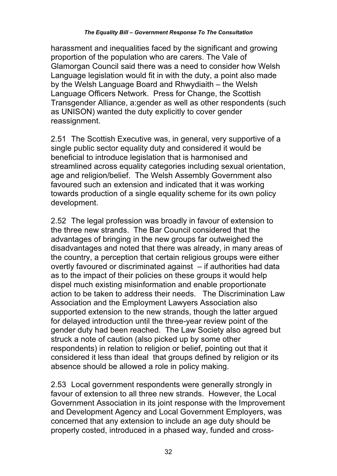harassment and inequalities faced by the significant and growing proportion of the population who are carers. The Vale of Glamorgan Council said there was a need to consider how Welsh Language legislation would fit in with the duty, a point also made by the Welsh Language Board and Rhwydiaith – the Welsh Language Officers Network. Press for Change, the Scottish Transgender Alliance, a:gender as well as other respondents (such as UNISON) wanted the duty explicitly to cover gender reassignment.

2.51 The Scottish Executive was, in general, very supportive of a single public sector equality duty and considered it would be beneficial to introduce legislation that is harmonised and streamlined across equality categories including sexual orientation, age and religion/belief. The Welsh Assembly Government also favoured such an extension and indicated that it was working towards production of a single equality scheme for its own policy development.

2.52 The legal profession was broadly in favour of extension to the three new strands. The Bar Council considered that the advantages of bringing in the new groups far outweighed the disadvantages and noted that there was already, in many areas of the country, a perception that certain religious groups were either overtly favoured or discriminated against – if authorities had data as to the impact of their policies on these groups it would help dispel much existing misinformation and enable proportionate action to be taken to address their needs. The Discrimination Law Association and the Employment Lawyers Association also supported extension to the new strands, though the latter argued for delayed introduction until the three-year review point of the gender duty had been reached. The Law Society also agreed but struck a note of caution (also picked up by some other respondents) in relation to religion or belief, pointing out that it considered it less than ideal that groups defined by religion or its absence should be allowed a role in policy making.

2.53 Local government respondents were generally strongly in favour of extension to all three new strands. However, the Local Government Association in its joint response with the Improvement and Development Agency and Local Government Employers, was concerned that any extension to include an age duty should be properly costed, introduced in a phased way, funded and cross-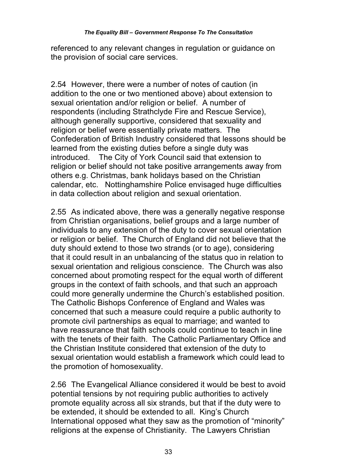referenced to any relevant changes in regulation or guidance on the provision of social care services.

2.54 However, there were a number of notes of caution (in addition to the one or two mentioned above) about extension to sexual orientation and/or religion or belief. A number of respondents (including Strathclyde Fire and Rescue Service), although generally supportive, considered that sexuality and religion or belief were essentially private matters. The Confederation of British Industry considered that lessons should be learned from the existing duties before a single duty was introduced. The City of York Council said that extension to religion or belief should not take positive arrangements away from others e.g. Christmas, bank holidays based on the Christian calendar, etc. Nottinghamshire Police envisaged huge difficulties in data collection about religion and sexual orientation.

2.55 As indicated above, there was a generally negative response from Christian organisations, belief groups and a large number of individuals to any extension of the duty to cover sexual orientation or religion or belief. The Church of England did not believe that the duty should extend to those two strands (or to age), considering that it could result in an unbalancing of the status quo in relation to sexual orientation and religious conscience. The Church was also concerned about promoting respect for the equal worth of different groups in the context of faith schools, and that such an approach could more generally undermine the Church's established position. The Catholic Bishops Conference of England and Wales was concerned that such a measure could require a public authority to promote civil partnerships as equal to marriage; and wanted to have reassurance that faith schools could continue to teach in line with the tenets of their faith. The Catholic Parliamentary Office and the Christian Institute considered that extension of the duty to sexual orientation would establish a framework which could lead to the promotion of homosexuality.

2.56 The Evangelical Alliance considered it would be best to avoid potential tensions by not requiring public authorities to actively promote equality across all six strands, but that if the duty were to be extended, it should be extended to all. King's Church International opposed what they saw as the promotion of "minority" religions at the expense of Christianity. The Lawyers Christian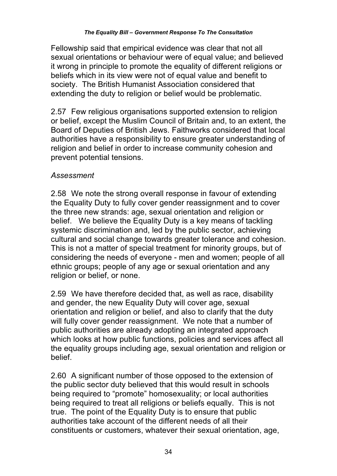Fellowship said that empirical evidence was clear that not all sexual orientations or behaviour were of equal value; and believed it wrong in principle to promote the equality of different religions or beliefs which in its view were not of equal value and benefit to society. The British Humanist Association considered that extending the duty to religion or belief would be problematic.

2.57 Few religious organisations supported extension to religion or belief, except the Muslim Council of Britain and, to an extent, the Board of Deputies of British Jews. Faithworks considered that local authorities have a responsibility to ensure greater understanding of religion and belief in order to increase community cohesion and prevent potential tensions.

#### *Assessment*

2.58 We note the strong overall response in favour of extending the Equality Duty to fully cover gender reassignment and to cover the three new strands: age, sexual orientation and religion or belief. We believe the Equality Duty is a key means of tackling systemic discrimination and, led by the public sector, achieving cultural and social change towards greater tolerance and cohesion. This is not a matter of special treatment for minority groups, but of considering the needs of everyone - men and women; people of all ethnic groups; people of any age or sexual orientation and any religion or belief, or none.

2.59 We have therefore decided that, as well as race, disability and gender, the new Equality Duty will cover age, sexual orientation and religion or belief, and also to clarify that the duty will fully cover gender reassignment. We note that a number of public authorities are already adopting an integrated approach which looks at how public functions, policies and services affect all the equality groups including age, sexual orientation and religion or belief.

2.60 A significant number of those opposed to the extension of the public sector duty believed that this would result in schools being required to "promote" homosexuality; or local authorities being required to treat all religions or beliefs equally. This is not true. The point of the Equality Duty is to ensure that public authorities take account of the different needs of all their constituents or customers, whatever their sexual orientation, age,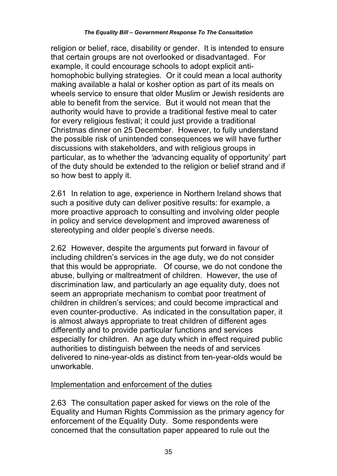religion or belief, race, disability or gender. It is intended to ensure that certain groups are not overlooked or disadvantaged. For example, it could encourage schools to adopt explicit antihomophobic bullying strategies. Or it could mean a local authority making available a halal or kosher option as part of its meals on wheels service to ensure that older Muslim or Jewish residents are able to benefit from the service. But it would not mean that the authority would have to provide a traditional festive meal to cater for every religious festival; it could just provide a traditional Christmas dinner on 25 December. However, to fully understand the possible risk of unintended consequences we will have further discussions with stakeholders, and with religious groups in particular, as to whether the *'*advancing equality of opportunity' part of the duty should be extended to the religion or belief strand and if so how best to apply it.

2.61 In relation to age, experience in Northern Ireland shows that such a positive duty can deliver positive results: for example, a more proactive approach to consulting and involving older people in policy and service development and improved awareness of stereotyping and older people's diverse needs.

2.62 However, despite the arguments put forward in favour of including children's services in the age duty, we do not consider that this would be appropriate. Of course, we do not condone the abuse, bullying or maltreatment of children. However, the use of discrimination law, and particularly an age equality duty, does not seem an appropriate mechanism to combat poor treatment of children in children's services; and could become impractical and even counter-productive. As indicated in the consultation paper, it is almost always appropriate to treat children of different ages differently and to provide particular functions and services especially for children. An age duty which in effect required public authorities to distinguish between the needs of and services delivered to nine-year-olds as distinct from ten-year-olds would be unworkable.

## Implementation and enforcement of the duties

2.63 The consultation paper asked for views on the role of the Equality and Human Rights Commission as the primary agency for enforcement of the Equality Duty. Some respondents were concerned that the consultation paper appeared to rule out the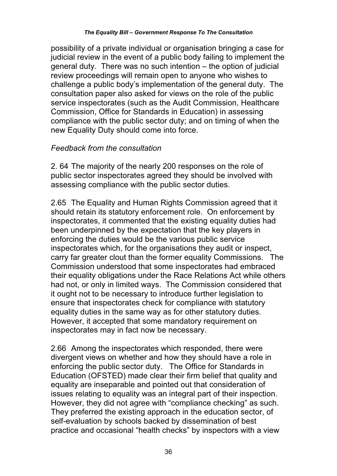possibility of a private individual or organisation bringing a case for judicial review in the event of a public body failing to implement the general duty. There was no such intention – the option of judicial review proceedings will remain open to anyone who wishes to challenge a public body's implementation of the general duty. The consultation paper also asked for views on the role of the public service inspectorates (such as the Audit Commission, Healthcare Commission, Office for Standards in Education) in assessing compliance with the public sector duty; and on timing of when the new Equality Duty should come into force.

#### *Feedback from the consultation*

2. 64 The majority of the nearly 200 responses on the role of public sector inspectorates agreed they should be involved with assessing compliance with the public sector duties.

2.65 The Equality and Human Rights Commission agreed that it should retain its statutory enforcement role. On enforcement by inspectorates, it commented that the existing equality duties had been underpinned by the expectation that the key players in enforcing the duties would be the various public service inspectorates which, for the organisations they audit or inspect, carry far greater clout than the former equality Commissions. The Commission understood that some inspectorates had embraced their equality obligations under the Race Relations Act while others had not, or only in limited ways. The Commission considered that it ought not to be necessary to introduce further legislation to ensure that inspectorates check for compliance with statutory equality duties in the same way as for other statutory duties. However, it accepted that some mandatory requirement on inspectorates may in fact now be necessary.

2.66 Among the inspectorates which responded, there were divergent views on whether and how they should have a role in enforcing the public sector duty. The Office for Standards in Education (OFSTED) made clear their firm belief that quality and equality are inseparable and pointed out that consideration of issues relating to equality was an integral part of their inspection. However, they did not agree with "compliance checking" as such. They preferred the existing approach in the education sector, of self-evaluation by schools backed by dissemination of best practice and occasional "health checks" by inspectors with a view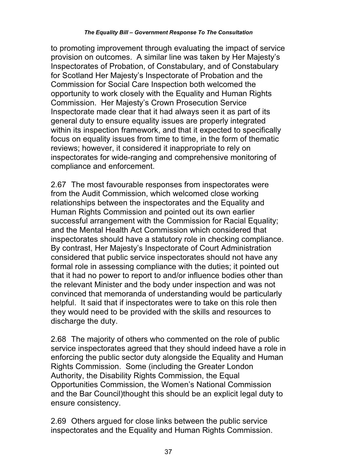to promoting improvement through evaluating the impact of service provision on outcomes. A similar line was taken by Her Majesty's Inspectorates of Probation, of Constabulary, and of Constabulary for Scotland Her Majesty's Inspectorate of Probation and the Commission for Social Care Inspection both welcomed the opportunity to work closely with the Equality and Human Rights Commission. Her Majesty's Crown Prosecution Service Inspectorate made clear that it had always seen it as part of its general duty to ensure equality issues are properly integrated within its inspection framework, and that it expected to specifically focus on equality issues from time to time, in the form of thematic reviews; however, it considered it inappropriate to rely on inspectorates for wide-ranging and comprehensive monitoring of compliance and enforcement.

2.67 The most favourable responses from inspectorates were from the Audit Commission, which welcomed close working relationships between the inspectorates and the Equality and Human Rights Commission and pointed out its own earlier successful arrangement with the Commission for Racial Equality; and the Mental Health Act Commission which considered that inspectorates should have a statutory role in checking compliance. By contrast, Her Majesty's Inspectorate of Court Administration considered that public service inspectorates should not have any formal role in assessing compliance with the duties; it pointed out that it had no power to report to and/or influence bodies other than the relevant Minister and the body under inspection and was not convinced that memoranda of understanding would be particularly helpful. It said that if inspectorates were to take on this role then they would need to be provided with the skills and resources to discharge the duty.

2.68 The majority of others who commented on the role of public service inspectorates agreed that they should indeed have a role in enforcing the public sector duty alongside the Equality and Human Rights Commission. Some (including the Greater London Authority, the Disability Rights Commission, the Equal Opportunities Commission, the Women's National Commission and the Bar Council)thought this should be an explicit legal duty to ensure consistency.

2.69 Others argued for close links between the public service inspectorates and the Equality and Human Rights Commission.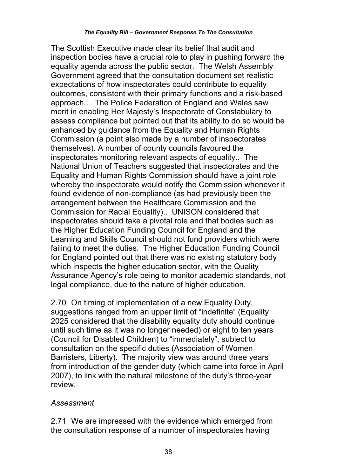The Scottish Executive made clear its belief that audit and inspection bodies have a crucial role to play in pushing forward the equality agenda across the public sector. The Welsh Assembly Government agreed that the consultation document set realistic expectations of how inspectorates could contribute to equality outcomes, consistent with their primary functions and a risk-based approach.. The Police Federation of England and Wales saw merit in enabling Her Majesty's Inspectorate of Constabulary to assess compliance but pointed out that its ability to do so would be enhanced by guidance from the Equality and Human Rights Commission (a point also made by a number of inspectorates themselves). A number of county councils favoured the inspectorates monitoring relevant aspects of equality.. The National Union of Teachers suggested that inspectorates and the Equality and Human Rights Commission should have a joint role whereby the inspectorate would notify the Commission whenever it found evidence of non-compliance (as had previously been the arrangement between the Healthcare Commission and the Commission for Racial Equality).. UNISON considered that inspectorates should take a pivotal role and that bodies such as the Higher Education Funding Council for England and the Learning and Skills Council should not fund providers which were failing to meet the duties. The Higher Education Funding Council for England pointed out that there was no existing statutory body which inspects the higher education sector, with the Quality Assurance Agency's role being to monitor academic standards, not legal compliance, due to the nature of higher education.

2.70 On timing of implementation of a new Equality Duty, suggestions ranged from an upper limit of "indefinite" (Equality 2025 considered that the disability equality duty should continue until such time as it was no longer needed) or eight to ten years (Council for Disabled Children) to "immediately", subject to consultation on the specific duties (Association of Women Barristers, Liberty). The majority view was around three years from introduction of the gender duty (which came into force in April 2007), to link with the natural milestone of the duty's three-year review.

### *Assessment*

2.71 We are impressed with the evidence which emerged from the consultation response of a number of inspectorates having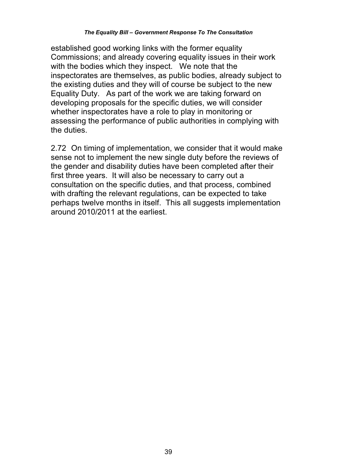established good working links with the former equality Commissions; and already covering equality issues in their work with the bodies which they inspect. We note that the inspectorates are themselves, as public bodies, already subject to the existing duties and they will of course be subject to the new Equality Duty. As part of the work we are taking forward on developing proposals for the specific duties, we will consider whether inspectorates have a role to play in monitoring or assessing the performance of public authorities in complying with the duties.

2.72 On timing of implementation, we consider that it would make sense not to implement the new single duty before the reviews of the gender and disability duties have been completed after their first three years. It will also be necessary to carry out a consultation on the specific duties, and that process, combined with drafting the relevant regulations, can be expected to take perhaps twelve months in itself. This all suggests implementation around 2010/2011 at the earliest.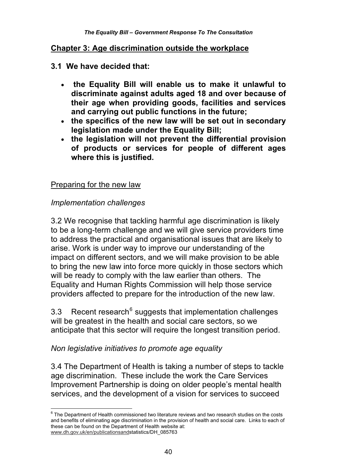#### **Chapter 3: Age discrimination outside the workplace**

#### **3.1 We have decided that:**

- **the Equality Bill will enable us to make it unlawful to discriminate against adults aged 18 and over because of their age when providing goods, facilities and services and carrying out public functions in the future;**
- **the specifics of the new law will be set out in secondary legislation made under the Equality Bill;**
- **the legislation will not prevent the differential provision of products or services for people of different ages where this is justified.**

#### Preparing for the new law

#### *Implementation challenges*

3.2 We recognise that tackling harmful age discrimination is likely to be a long-term challenge and we will give service providers time to address the practical and organisational issues that are likely to arise. Work is under way to improve our understanding of the impact on different sectors, and we will make provision to be able to bring the new law into force more quickly in those sectors which will be ready to comply with the law earlier than others. The Equality and Human Rights Commission will help those service providers affected to prepare for the introduction of the new law.

3.3 Recent research<sup>6</sup> suggests that implementation challenges will be greatest in the health and social care sectors, so we anticipate that this sector will require the longest transition period.

#### *Non legislative initiatives to promote age equality*

3.4 The Department of Health is taking a number of steps to tackle age discrimination. These include the work the Care Services Improvement Partnership is doing on older people's mental health services, and the development of a vision for services to succeed

 6 The Department of Health commissioned two literature reviews and two research studies on the costs and benefits of eliminating age discrimination in the provision of health and social care. Links to each of these can be found on the Department of Health website at: www.dh.gov.uk/en/publicationsandstatistics/DH\_085763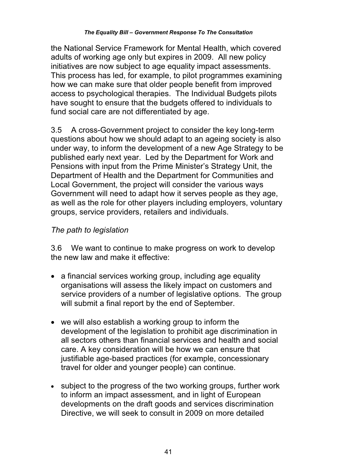the National Service Framework for Mental Health, which covered adults of working age only but expires in 2009. All new policy initiatives are now subject to age equality impact assessments. This process has led, for example, to pilot programmes examining how we can make sure that older people benefit from improved access to psychological therapies. The Individual Budgets pilots have sought to ensure that the budgets offered to individuals to fund social care are not differentiated by age.

3.5 A cross-Government project to consider the key long-term questions about how we should adapt to an ageing society is also under way, to inform the development of a new Age Strategy to be published early next year. Led by the Department for Work and Pensions with input from the Prime Minister's Strategy Unit, the Department of Health and the Department for Communities and Local Government, the project will consider the various ways Government will need to adapt how it serves people as they age, as well as the role for other players including employers, voluntary groups, service providers, retailers and individuals.

### *The path to legislation*

3.6 We want to continue to make progress on work to develop the new law and make it effective:

- a financial services working group, including age equality organisations will assess the likely impact on customers and service providers of a number of legislative options. The group will submit a final report by the end of September.
- we will also establish a working group to inform the development of the legislation to prohibit age discrimination in all sectors others than financial services and health and social care. A key consideration will be how we can ensure that justifiable age-based practices (for example, concessionary travel for older and younger people) can continue.
- subject to the progress of the two working groups, further work to inform an impact assessment, and in light of European developments on the draft goods and services discrimination Directive, we will seek to consult in 2009 on more detailed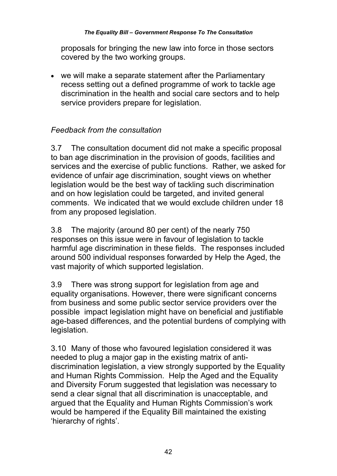#### *The Equality Bill – Government Response To The Consultation*

proposals for bringing the new law into force in those sectors covered by the two working groups.

 we will make a separate statement after the Parliamentary recess setting out a defined programme of work to tackle age discrimination in the health and social care sectors and to help service providers prepare for legislation.

### *Feedback from the consultation*

3.7 The consultation document did not make a specific proposal to ban age discrimination in the provision of goods, facilities and services and the exercise of public functions. Rather, we asked for evidence of unfair age discrimination, sought views on whether legislation would be the best way of tackling such discrimination and on how legislation could be targeted, and invited general comments. We indicated that we would exclude children under 18 from any proposed legislation.

3.8 The majority (around 80 per cent) of the nearly 750 responses on this issue were in favour of legislation to tackle harmful age discrimination in these fields. The responses included around 500 individual responses forwarded by Help the Aged, the vast majority of which supported legislation.

3.9 There was strong support for legislation from age and equality organisations. However, there were significant concerns from business and some public sector service providers over the possible impact legislation might have on beneficial and justifiable age-based differences, and the potential burdens of complying with legislation.

3.10 Many of those who favoured legislation considered it was needed to plug a major gap in the existing matrix of antidiscrimination legislation, a view strongly supported by the Equality and Human Rights Commission. Help the Aged and the Equality and Diversity Forum suggested that legislation was necessary to send a clear signal that all discrimination is unacceptable, and argued that the Equality and Human Rights Commission's work would be hampered if the Equality Bill maintained the existing 'hierarchy of rights'.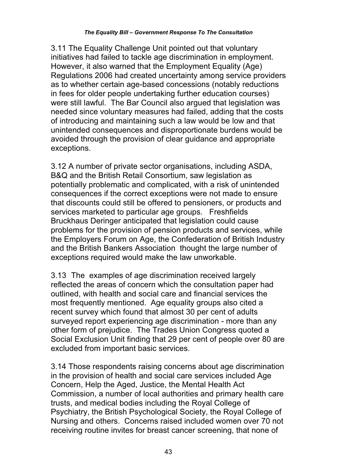3.11 The Equality Challenge Unit pointed out that voluntary initiatives had failed to tackle age discrimination in employment. However, it also warned that the Employment Equality (Age) Regulations 2006 had created uncertainty among service providers as to whether certain age-based concessions (notably reductions in fees for older people undertaking further education courses) were still lawful. The Bar Council also argued that legislation was needed since voluntary measures had failed, adding that the costs of introducing and maintaining such a law would be low and that unintended consequences and disproportionate burdens would be avoided through the provision of clear guidance and appropriate exceptions.

3.12 A number of private sector organisations, including ASDA, B&Q and the British Retail Consortium, saw legislation as potentially problematic and complicated, with a risk of unintended consequences if the correct exceptions were not made to ensure that discounts could still be offered to pensioners, or products and services marketed to particular age groups. Freshfields Bruckhaus Deringer anticipated that legislation could cause problems for the provision of pension products and services, while the Employers Forum on Age, the Confederation of British Industry and the British Bankers Association thought the large number of exceptions required would make the law unworkable.

3.13 The examples of age discrimination received largely reflected the areas of concern which the consultation paper had outlined, with health and social care and financial services the most frequently mentioned. Age equality groups also cited a recent survey which found that almost 30 per cent of adults surveyed report experiencing age discrimination - more than any other form of prejudice. The Trades Union Congress quoted a Social Exclusion Unit finding that 29 per cent of people over 80 are excluded from important basic services.

3.14 Those respondents raising concerns about age discrimination in the provision of health and social care services included Age Concern, Help the Aged, Justice, the Mental Health Act Commission, a number of local authorities and primary health care trusts, and medical bodies including the Royal College of Psychiatry, the British Psychological Society, the Royal College of Nursing and others. Concerns raised included women over 70 not receiving routine invites for breast cancer screening, that none of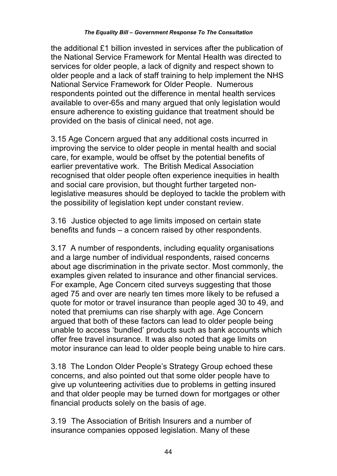the additional £1 billion invested in services after the publication of the National Service Framework for Mental Health was directed to services for older people, a lack of dignity and respect shown to older people and a lack of staff training to help implement the NHS National Service Framework for Older People. Numerous respondents pointed out the difference in mental health services available to over-65s and many argued that only legislation would ensure adherence to existing guidance that treatment should be provided on the basis of clinical need, not age.

3.15 Age Concern argued that any additional costs incurred in improving the service to older people in mental health and social care, for example, would be offset by the potential benefits of earlier preventative work. The British Medical Association recognised that older people often experience inequities in health and social care provision, but thought further targeted nonlegislative measures should be deployed to tackle the problem with the possibility of legislation kept under constant review.

3.16 Justice objected to age limits imposed on certain state benefits and funds – a concern raised by other respondents.

3.17 A number of respondents, including equality organisations and a large number of individual respondents, raised concerns about age discrimination in the private sector. Most commonly, the examples given related to insurance and other financial services. For example, Age Concern cited surveys suggesting that those aged 75 and over are nearly ten times more likely to be refused a quote for motor or travel insurance than people aged 30 to 49, and noted that premiums can rise sharply with age. Age Concern argued that both of these factors can lead to older people being unable to access 'bundled' products such as bank accounts which offer free travel insurance. It was also noted that age limits on motor insurance can lead to older people being unable to hire cars.

3.18 The London Older People's Strategy Group echoed these concerns, and also pointed out that some older people have to give up volunteering activities due to problems in getting insured and that older people may be turned down for mortgages or other financial products solely on the basis of age.

3.19 The Association of British Insurers and a number of insurance companies opposed legislation. Many of these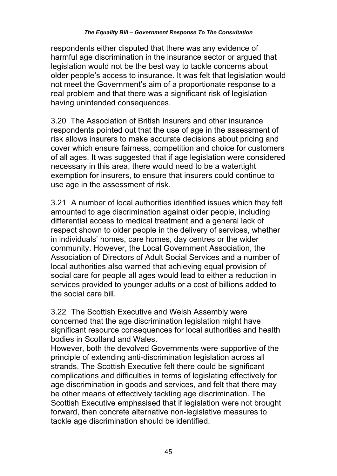respondents either disputed that there was any evidence of harmful age discrimination in the insurance sector or argued that legislation would not be the best way to tackle concerns about older people's access to insurance. It was felt that legislation would not meet the Government's aim of a proportionate response to a real problem and that there was a significant risk of legislation having unintended consequences.

3.20 The Association of British Insurers and other insurance respondents pointed out that the use of age in the assessment of risk allows insurers to make accurate decisions about pricing and cover which ensure fairness, competition and choice for customers of all ages. It was suggested that if age legislation were considered necessary in this area, there would need to be a watertight exemption for insurers, to ensure that insurers could continue to use age in the assessment of risk.

3.21 A number of local authorities identified issues which they felt amounted to age discrimination against older people, including differential access to medical treatment and a general lack of respect shown to older people in the delivery of services, whether in individuals' homes, care homes, day centres or the wider community. However, the Local Government Association, the Association of Directors of Adult Social Services and a number of local authorities also warned that achieving equal provision of social care for people all ages would lead to either a reduction in services provided to younger adults or a cost of billions added to the social care bill.

3.22 The Scottish Executive and Welsh Assembly were concerned that the age discrimination legislation might have significant resource consequences for local authorities and health bodies in Scotland and Wales.

However, both the devolved Governments were supportive of the principle of extending anti-discrimination legislation across all strands. The Scottish Executive felt there could be significant complications and difficulties in terms of legislating effectively for age discrimination in goods and services, and felt that there may be other means of effectively tackling age discrimination. The Scottish Executive emphasised that if legislation were not brought forward, then concrete alternative non-legislative measures to tackle age discrimination should be identified.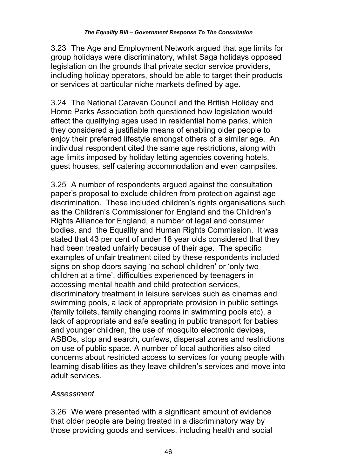3.23 The Age and Employment Network argued that age limits for group holidays were discriminatory, whilst Saga holidays opposed legislation on the grounds that private sector service providers, including holiday operators, should be able to target their products or services at particular niche markets defined by age.

3.24 The National Caravan Council and the British Holiday and Home Parks Association both questioned how legislation would affect the qualifying ages used in residential home parks, which they considered a justifiable means of enabling older people to enjoy their preferred lifestyle amongst others of a similar age. An individual respondent cited the same age restrictions, along with age limits imposed by holiday letting agencies covering hotels, guest houses, self catering accommodation and even campsites.

3.25 A number of respondents argued against the consultation paper's proposal to exclude children from protection against age discrimination. These included children's rights organisations such as the Children's Commissioner for England and the Children's Rights Alliance for England, a number of legal and consumer bodies, and the Equality and Human Rights Commission. It was stated that 43 per cent of under 18 year olds considered that they had been treated unfairly because of their age. The specific examples of unfair treatment cited by these respondents included signs on shop doors saying 'no school children' or 'only two children at a time', difficulties experienced by teenagers in accessing mental health and child protection services, discriminatory treatment in leisure services such as cinemas and swimming pools, a lack of appropriate provision in public settings (family toilets, family changing rooms in swimming pools etc), a lack of appropriate and safe seating in public transport for babies and younger children, the use of mosquito electronic devices, ASBOs, stop and search, curfews, dispersal zones and restrictions on use of public space. A number of local authorities also cited concerns about restricted access to services for young people with learning disabilities as they leave children's services and move into adult services.

## *Assessment*

3.26 We were presented with a significant amount of evidence that older people are being treated in a discriminatory way by those providing goods and services, including health and social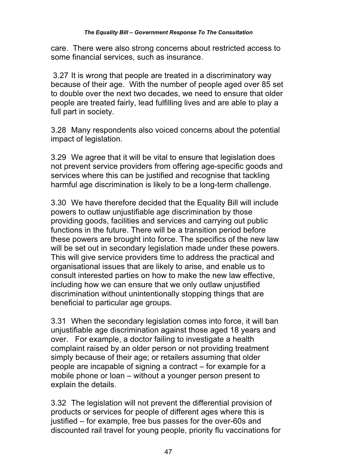care. There were also strong concerns about restricted access to some financial services, such as insurance.

 3.27 It is wrong that people are treated in a discriminatory way because of their age. With the number of people aged over 85 set to double over the next two decades, we need to ensure that older people are treated fairly, lead fulfilling lives and are able to play a full part in society.

3.28 Many respondents also voiced concerns about the potential impact of legislation.

3.29 We agree that it will be vital to ensure that legislation does not prevent service providers from offering age-specific goods and services where this can be justified and recognise that tackling harmful age discrimination is likely to be a long-term challenge.

3.30 We have therefore decided that the Equality Bill will include powers to outlaw unjustifiable age discrimination by those providing goods, facilities and services and carrying out public functions in the future. There will be a transition period before these powers are brought into force. The specifics of the new law will be set out in secondary legislation made under these powers. This will give service providers time to address the practical and organisational issues that are likely to arise, and enable us to consult interested parties on how to make the new law effective, including how we can ensure that we only outlaw unjustified discrimination without unintentionally stopping things that are beneficial to particular age groups.

3.31 When the secondary legislation comes into force, it will ban unjustifiable age discrimination against those aged 18 years and over. For example, a doctor failing to investigate a health complaint raised by an older person or not providing treatment simply because of their age; or retailers assuming that older people are incapable of signing a contract – for example for a mobile phone or loan – without a younger person present to explain the details.

3.32 The legislation will not prevent the differential provision of products or services for people of different ages where this is justified – for example, free bus passes for the over-60s and discounted rail travel for young people, priority flu vaccinations for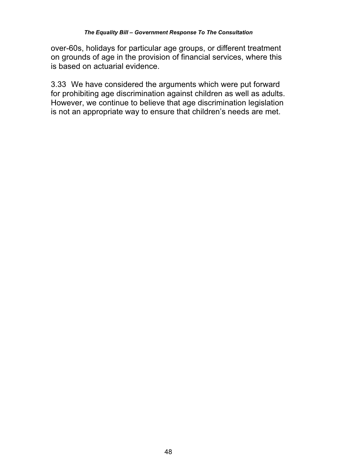#### *The Equality Bill – Government Response To The Consultation*

over-60s, holidays for particular age groups, or different treatment on grounds of age in the provision of financial services, where this is based on actuarial evidence.

3.33 We have considered the arguments which were put forward for prohibiting age discrimination against children as well as adults. However, we continue to believe that age discrimination legislation is not an appropriate way to ensure that children's needs are met.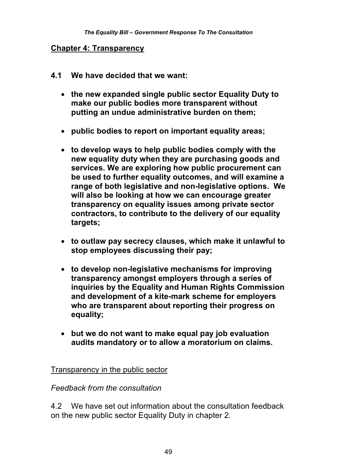#### **Chapter 4: Transparency**

- **4.1 We have decided that we want:** 
	- **the new expanded single public sector Equality Duty to make our public bodies more transparent without putting an undue administrative burden on them;**
	- **public bodies to report on important equality areas;**
	- **to develop ways to help public bodies comply with the new equality duty when they are purchasing goods and services. We are exploring how public procurement can be used to further equality outcomes, and will examine a range of both legislative and non-legislative options. We will also be looking at how we can encourage greater transparency on equality issues among private sector contractors, to contribute to the delivery of our equality targets;**
	- **to outlaw pay secrecy clauses, which make it unlawful to stop employees discussing their pay;**
	- **to develop non-legislative mechanisms for improving transparency amongst employers through a series of inquiries by the Equality and Human Rights Commission and development of a kite-mark scheme for employers who are transparent about reporting their progress on equality;**
	- **but we do not want to make equal pay job evaluation audits mandatory or to allow a moratorium on claims.**

Transparency in the public sector

#### *Feedback from the consultation*

4.2 We have set out information about the consultation feedback on the new public sector Equality Duty in chapter 2.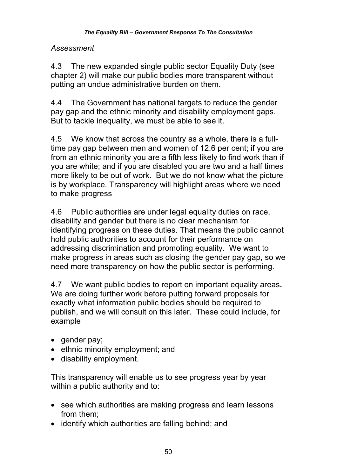#### *Assessment*

4.3 The new expanded single public sector Equality Duty (see chapter 2) will make our public bodies more transparent without putting an undue administrative burden on them.

4.4 The Government has national targets to reduce the gender pay gap and the ethnic minority and disability employment gaps. But to tackle inequality, we must be able to see it.

4.5 We know that across the country as a whole, there is a fulltime pay gap between men and women of 12.6 per cent; if you are from an ethnic minority you are a fifth less likely to find work than if you are white; and if you are disabled you are two and a half times more likely to be out of work. But we do not know what the picture is by workplace. Transparency will highlight areas where we need to make progress

4.6 Public authorities are under legal equality duties on race, disability and gender but there is no clear mechanism for identifying progress on these duties. That means the public cannot hold public authorities to account for their performance on addressing discrimination and promoting equality. We want to make progress in areas such as closing the gender pay gap, so we need more transparency on how the public sector is performing.

4.7 We want public bodies to report on important equality areas**.**  We are doing further work before putting forward proposals for exactly what information public bodies should be required to publish, and we will consult on this later. These could include, for example

- gender pay;
- ethnic minority employment; and
- disability employment.

This transparency will enable us to see progress year by year within a public authority and to:

- see which authorities are making progress and learn lessons from them;
- identify which authorities are falling behind; and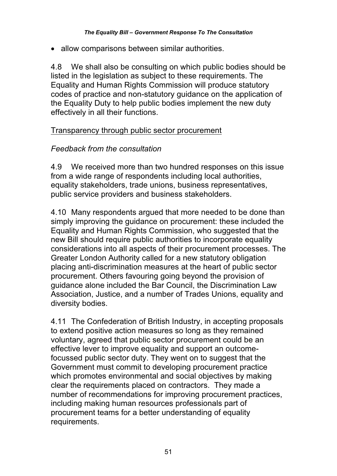• allow comparisons between similar authorities.

4.8 We shall also be consulting on which public bodies should be listed in the legislation as subject to these requirements. The Equality and Human Rights Commission will produce statutory codes of practice and non-statutory guidance on the application of the Equality Duty to help public bodies implement the new duty effectively in all their functions.

#### Transparency through public sector procurement

### *Feedback from the consultation*

4.9 We received more than two hundred responses on this issue from a wide range of respondents including local authorities, equality stakeholders, trade unions, business representatives, public service providers and business stakeholders.

4.10 Many respondents argued that more needed to be done than simply improving the guidance on procurement: these included the Equality and Human Rights Commission, who suggested that the new Bill should require public authorities to incorporate equality considerations into all aspects of their procurement processes. The Greater London Authority called for a new statutory obligation placing anti-discrimination measures at the heart of public sector procurement. Others favouring going beyond the provision of guidance alone included the Bar Council, the Discrimination Law Association, Justice, and a number of Trades Unions, equality and diversity bodies.

4.11 The Confederation of British Industry, in accepting proposals to extend positive action measures so long as they remained voluntary, agreed that public sector procurement could be an effective lever to improve equality and support an outcomefocussed public sector duty. They went on to suggest that the Government must commit to developing procurement practice which promotes environmental and social objectives by making clear the requirements placed on contractors. They made a number of recommendations for improving procurement practices, including making human resources professionals part of procurement teams for a better understanding of equality requirements.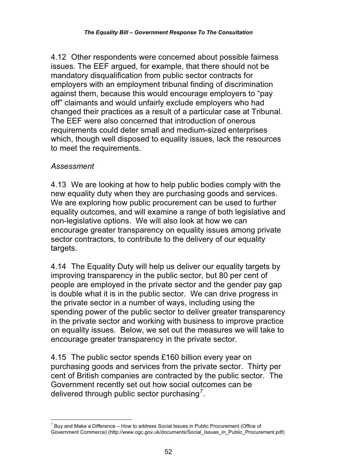4.12 Other respondents were concerned about possible fairness issues. The EEF argued, for example, that there should not be mandatory disqualification from public sector contracts for employers with an employment tribunal finding of discrimination against them, because this would encourage employers to "pay off" claimants and would unfairly exclude employers who had changed their practices as a result of a particular case at Tribunal. The EEF were also concerned that introduction of onerous requirements could deter small and medium-sized enterprises which, though well disposed to equality issues, lack the resources to meet the requirements.

### *Assessment*

4.13 We are looking at how to help public bodies comply with the new equality duty when they are purchasing goods and services. We are exploring how public procurement can be used to further equality outcomes, and will examine a range of both legislative and non-legislative options. We will also look at how we can encourage greater transparency on equality issues among private sector contractors, to contribute to the delivery of our equality targets.

4.14 The Equality Duty will help us deliver our equality targets by improving transparency in the public sector, but 80 per cent of people are employed in the private sector and the gender pay gap is double what it is in the public sector. We can drive progress in the private sector in a number of ways, including using the spending power of the public sector to deliver greater transparency in the private sector and working with business to improve practice on equality issues. Below, we set out the measures we will take to encourage greater transparency in the private sector.

4.15 The public sector spends £160 billion every year on purchasing goods and services from the private sector. Thirty per cent of British companies are contracted by the public sector. The Government recently set out how social outcomes can be delivered through public sector purchasing<sup>7</sup>.

l  $7$  Buy and Make a Difference – How to address Social Issues in Public Procurement (Office of Government Commerce) (http://www.ogc.gov.uk/documents/Social\_Issues\_in\_Public\_Procurement.pdf)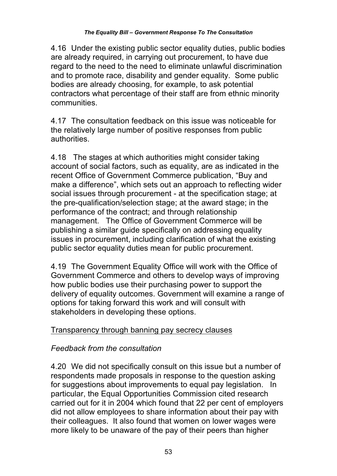4.16 Under the existing public sector equality duties, public bodies are already required, in carrying out procurement, to have due regard to the need to the need to eliminate unlawful discrimination and to promote race, disability and gender equality. Some public bodies are already choosing, for example, to ask potential contractors what percentage of their staff are from ethnic minority communities.

4.17 The consultation feedback on this issue was noticeable for the relatively large number of positive responses from public authorities.

4.18 The stages at which authorities might consider taking account of social factors, such as equality, are as indicated in the recent Office of Government Commerce publication, "Buy and make a difference", which sets out an approach to reflecting wider social issues through procurement - at the specification stage; at the pre-qualification/selection stage; at the award stage; in the performance of the contract; and through relationship management. The Office of Government Commerce will be publishing a similar guide specifically on addressing equality issues in procurement, including clarification of what the existing public sector equality duties mean for public procurement.

4.19 The Government Equality Office will work with the Office of Government Commerce and others to develop ways of improving how public bodies use their purchasing power to support the delivery of equality outcomes. Government will examine a range of options for taking forward this work and will consult with stakeholders in developing these options.

# Transparency through banning pay secrecy clauses

# *Feedback from the consultation*

4.20 We did not specifically consult on this issue but a number of respondents made proposals in response to the question asking for suggestions about improvements to equal pay legislation. In particular, the Equal Opportunities Commission cited research carried out for it in 2004 which found that 22 per cent of employers did not allow employees to share information about their pay with their colleagues. It also found that women on lower wages were more likely to be unaware of the pay of their peers than higher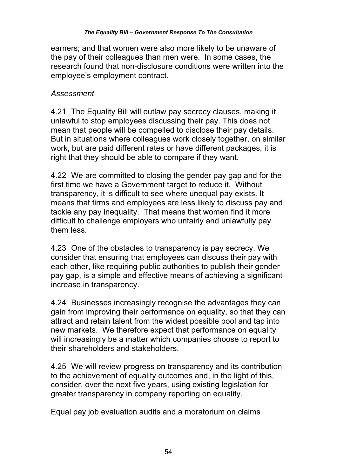earners; and that women were also more likely to be unaware of the pay of their colleagues than men were. In some cases, the research found that non-disclosure conditions were written into the employee's employment contract.

#### *Assessment*

4.21 The Equality Bill will outlaw pay secrecy clauses, making it unlawful to stop employees discussing their pay. This does not mean that people will be compelled to disclose their pay details. But in situations where colleagues work closely together, on similar work, but are paid different rates or have different packages, it is right that they should be able to compare if they want.

4.22 We are committed to closing the gender pay gap and for the first time we have a Government target to reduce it. Without transparency, it is difficult to see where unequal pay exists. It means that firms and employees are less likely to discuss pay and tackle any pay inequality. That means that women find it more difficult to challenge employers who unfairly and unlawfully pay them less.

4.23 One of the obstacles to transparency is pay secrecy. We consider that ensuring that employees can discuss their pay with each other, like requiring public authorities to publish their gender pay gap, is a simple and effective means of achieving a significant increase in transparency.

4.24 Businesses increasingly recognise the advantages they can gain from improving their performance on equality, so that they can attract and retain talent from the widest possible pool and tap into new markets. We therefore expect that performance on equality will increasingly be a matter which companies choose to report to their shareholders and stakeholders.

4.25 We will review progress on transparency and its contribution to the achievement of equality outcomes and, in the light of this, consider, over the next five years, using existing legislation for greater transparency in company reporting on equality.

### Equal pay job evaluation audits and a moratorium on claims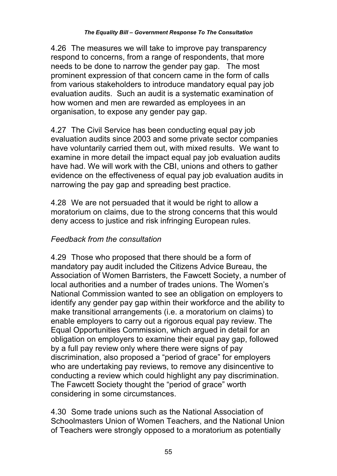4.26 The measures we will take to improve pay transparency respond to concerns, from a range of respondents, that more needs to be done to narrow the gender pay gap. The most prominent expression of that concern came in the form of calls from various stakeholders to introduce mandatory equal pay job evaluation audits. Such an audit is a systematic examination of how women and men are rewarded as employees in an organisation, to expose any gender pay gap.

4.27 The Civil Service has been conducting equal pay job evaluation audits since 2003 and some private sector companies have voluntarily carried them out, with mixed results. We want to examine in more detail the impact equal pay job evaluation audits have had. We will work with the CBI, unions and others to gather evidence on the effectiveness of equal pay job evaluation audits in narrowing the pay gap and spreading best practice.

4.28 We are not persuaded that it would be right to allow a moratorium on claims, due to the strong concerns that this would deny access to justice and risk infringing European rules.

### *Feedback from the consultation*

4.29 Those who proposed that there should be a form of mandatory pay audit included the Citizens Advice Bureau, the Association of Women Barristers, the Fawcett Society, a number of local authorities and a number of trades unions. The Women's National Commission wanted to see an obligation on employers to identify any gender pay gap within their workforce and the ability to make transitional arrangements (i.e. a moratorium on claims) to enable employers to carry out a rigorous equal pay review. The Equal Opportunities Commission, which argued in detail for an obligation on employers to examine their equal pay gap, followed by a full pay review only where there were signs of pay discrimination, also proposed a "period of grace" for employers who are undertaking pay reviews, to remove any disincentive to conducting a review which could highlight any pay discrimination. The Fawcett Society thought the "period of grace" worth considering in some circumstances.

4.30 Some trade unions such as the National Association of Schoolmasters Union of Women Teachers, and the National Union of Teachers were strongly opposed to a moratorium as potentially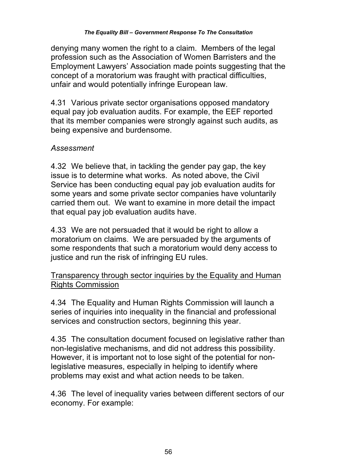denying many women the right to a claim. Members of the legal profession such as the Association of Women Barristers and the Employment Lawyers' Association made points suggesting that the concept of a moratorium was fraught with practical difficulties, unfair and would potentially infringe European law.

4.31 Various private sector organisations opposed mandatory equal pay job evaluation audits. For example, the EEF reported that its member companies were strongly against such audits, as being expensive and burdensome.

### *Assessment*

4.32 We believe that, in tackling the gender pay gap, the key issue is to determine what works. As noted above, the Civil Service has been conducting equal pay job evaluation audits for some years and some private sector companies have voluntarily carried them out. We want to examine in more detail the impact that equal pay job evaluation audits have.

4.33 We are not persuaded that it would be right to allow a moratorium on claims. We are persuaded by the arguments of some respondents that such a moratorium would deny access to justice and run the risk of infringing EU rules.

### Transparency through sector inquiries by the Equality and Human Rights Commission

4.34 The Equality and Human Rights Commission will launch a series of inquiries into inequality in the financial and professional services and construction sectors, beginning this year.

4.35 The consultation document focused on legislative rather than non-legislative mechanisms, and did not address this possibility. However, it is important not to lose sight of the potential for nonlegislative measures, especially in helping to identify where problems may exist and what action needs to be taken.

4.36 The level of inequality varies between different sectors of our economy. For example: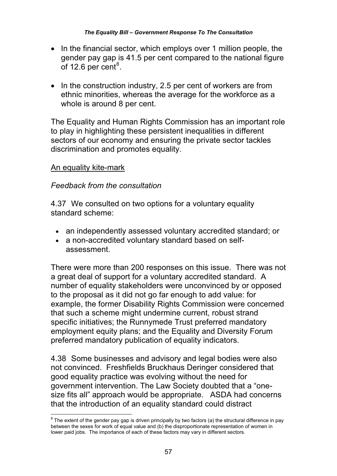- In the financial sector, which employs over 1 million people, the gender pay gap is 41.5 per cent compared to the national figure of 12.6 per cent $^8$ .
- In the construction industry, 2.5 per cent of workers are from ethnic minorities, whereas the average for the workforce as a whole is around 8 per cent.

The Equality and Human Rights Commission has an important role to play in highlighting these persistent inequalities in different sectors of our economy and ensuring the private sector tackles discrimination and promotes equality.

#### An equality kite-mark

#### *Feedback from the consultation*

4.37 We consulted on two options for a voluntary equality standard scheme:

- an independently assessed voluntary accredited standard; or
- a non-accredited voluntary standard based on selfassessment.

There were more than 200 responses on this issue. There was not a great deal of support for a voluntary accredited standard. A number of equality stakeholders were unconvinced by or opposed to the proposal as it did not go far enough to add value: for example, the former Disability Rights Commission were concerned that such a scheme might undermine current, robust strand specific initiatives; the Runnymede Trust preferred mandatory employment equity plans; and the Equality and Diversity Forum preferred mandatory publication of equality indicators.

4.38 Some businesses and advisory and legal bodies were also not convinced. Freshfields Bruckhaus Deringer considered that good equality practice was evolving without the need for government intervention. The Law Society doubted that a "onesize fits all" approach would be appropriate. ASDA had concerns that the introduction of an equality standard could distract

 $\overline{\phantom{a}}$  $^8$  The extent of the gender pay gap is driven principally by two factors (a) the structural difference in pay between the sexes for work of equal value and (b) the disproportionate representation of women in lower paid jobs. The importance of each of these factors may vary in different sectors.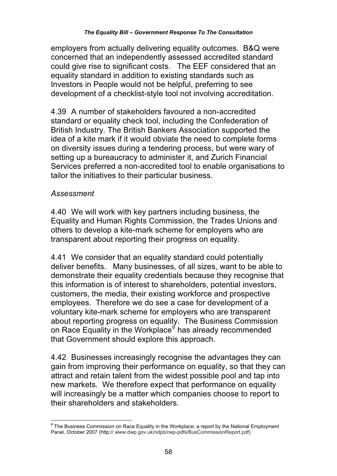employers from actually delivering equality outcomes. B&Q were concerned that an independently assessed accredited standard could give rise to significant costs. The EEF considered that an equality standard in addition to existing standards such as Investors in People would not be helpful, preferring to see development of a checklist-style tool not involving accreditation.

4.39 A number of stakeholders favoured a non-accredited standard or equality check tool, including the Confederation of British Industry. The British Bankers Association supported the idea of a kite mark if it would obviate the need to complete forms on diversity issues during a tendering process, but were wary of setting up a bureaucracy to administer it, and Zurich Financial Services preferred a non-accredited tool to enable organisations to tailor the initiatives to their particular business.

### *Assessment*

4.40 We will work with key partners including business, the Equality and Human Rights Commission, the Trades Unions and others to develop a kite-mark scheme for employers who are transparent about reporting their progress on equality.

4.41 We consider that an equality standard could potentially deliver benefits. Many businesses, of all sizes, want to be able to demonstrate their equality credentials because they recognise that this information is of interest to shareholders, potential investors, customers, the media, their existing workforce and prospective employees. Therefore we do see a case for development of a voluntary kite-mark scheme for employers who are transparent about reporting progress on equality. The Business Commission on Race Equality in the Workplace<sup>9</sup> has already recommended that Government should explore this approach.

4.42 Businesses increasingly recognise the advantages they can gain from improving their performance on equality, so that they can attract and retain talent from the widest possible pool and tap into new markets. We therefore expect that performance on equality will increasingly be a matter which companies choose to report to their shareholders and stakeholders.

 9 The Business Commission on Race Equality in the Workplace: a report by the National Employment Panel, October 2007 (http:// www.dwp.gov.uk/ndpb/nep-pdfs/BusCommissionReport.pdf)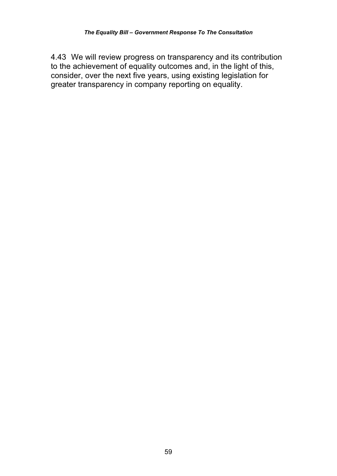4.43 We will review progress on transparency and its contribution to the achievement of equality outcomes and, in the light of this, consider, over the next five years, using existing legislation for greater transparency in company reporting on equality.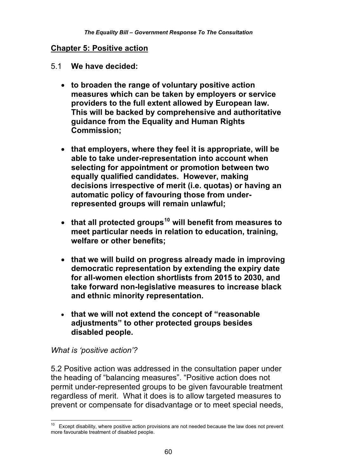#### **Chapter 5: Positive action**

- 5.1 **We have decided:** 
	- **to broaden the range of voluntary positive action measures which can be taken by employers or service providers to the full extent allowed by European law. This will be backed by comprehensive and authoritative guidance from the Equality and Human Rights Commission;**
	- **that employers, where they feel it is appropriate, will be able to take under-representation into account when selecting for appointment or promotion between two equally qualified candidates. However, making decisions irrespective of merit (i.e. quotas) or having an automatic policy of favouring those from underrepresented groups will remain unlawful;**
	- **that all protected groups10 will benefit from measures to meet particular needs in relation to education, training, welfare or other benefits;**
	- **that we will build on progress already made in improving democratic representation by extending the expiry date for all-women election shortlists from 2015 to 2030, and take forward non-legislative measures to increase black and ethnic minority representation.**
	- **that we will not extend the concept of "reasonable adjustments" to other protected groups besides disabled people.**

#### *What is 'positive action'?*

5.2 Positive action was addressed in the consultation paper under the heading of "balancing measures". "Positive action does not permit under-represented groups to be given favourable treatment regardless of merit. What it does is to allow targeted measures to prevent or compensate for disadvantage or to meet special needs,

 $\overline{\phantom{a}}$  $10$  Except disability, where positive action provisions are not needed because the law does not prevent more favourable treatment of disabled people.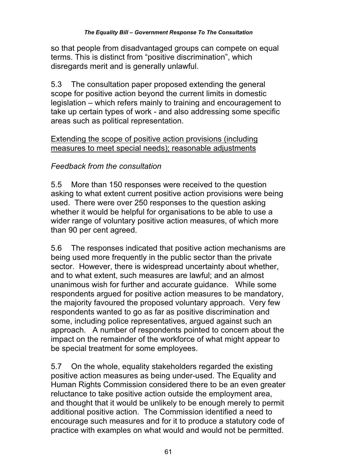so that people from disadvantaged groups can compete on equal terms. This is distinct from "positive discrimination", which disregards merit and is generally unlawful.

5.3 The consultation paper proposed extending the general scope for positive action beyond the current limits in domestic legislation – which refers mainly to training and encouragement to take up certain types of work - and also addressing some specific areas such as political representation.

### Extending the scope of positive action provisions (including measures to meet special needs); reasonable adjustments

## *Feedback from the consultation*

5.5 More than 150 responses were received to the question asking to what extent current positive action provisions were being used. There were over 250 responses to the question asking whether it would be helpful for organisations to be able to use a wider range of voluntary positive action measures, of which more than 90 per cent agreed.

5.6 The responses indicated that positive action mechanisms are being used more frequently in the public sector than the private sector. However, there is widespread uncertainty about whether, and to what extent, such measures are lawful; and an almost unanimous wish for further and accurate guidance. While some respondents argued for positive action measures to be mandatory, the majority favoured the proposed voluntary approach. Very few respondents wanted to go as far as positive discrimination and some, including police representatives, argued against such an approach. A number of respondents pointed to concern about the impact on the remainder of the workforce of what might appear to be special treatment for some employees.

5.7 On the whole, equality stakeholders regarded the existing positive action measures as being under-used. The Equality and Human Rights Commission considered there to be an even greater reluctance to take positive action outside the employment area, and thought that it would be unlikely to be enough merely to permit additional positive action. The Commission identified a need to encourage such measures and for it to produce a statutory code of practice with examples on what would and would not be permitted.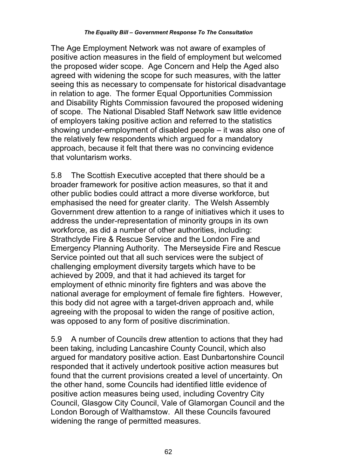The Age Employment Network was not aware of examples of positive action measures in the field of employment but welcomed the proposed wider scope. Age Concern and Help the Aged also agreed with widening the scope for such measures, with the latter seeing this as necessary to compensate for historical disadvantage in relation to age. The former Equal Opportunities Commission and Disability Rights Commission favoured the proposed widening of scope. The National Disabled Staff Network saw little evidence of employers taking positive action and referred to the statistics showing under-employment of disabled people – it was also one of the relatively few respondents which argued for a mandatory approach, because it felt that there was no convincing evidence that voluntarism works.

5.8 The Scottish Executive accepted that there should be a broader framework for positive action measures, so that it and other public bodies could attract a more diverse workforce, but emphasised the need for greater clarity. The Welsh Assembly Government drew attention to a range of initiatives which it uses to address the under-representation of minority groups in its own workforce, as did a number of other authorities, including: Strathclyde Fire & Rescue Service and the London Fire and Emergency Planning Authority. The Merseyside Fire and Rescue Service pointed out that all such services were the subject of challenging employment diversity targets which have to be achieved by 2009, and that it had achieved its target for employment of ethnic minority fire fighters and was above the national average for employment of female fire fighters. However, this body did not agree with a target-driven approach and, while agreeing with the proposal to widen the range of positive action, was opposed to any form of positive discrimination.

5.9 A number of Councils drew attention to actions that they had been taking, including Lancashire County Council, which also argued for mandatory positive action. East Dunbartonshire Council responded that it actively undertook positive action measures but found that the current provisions created a level of uncertainty. On the other hand, some Councils had identified little evidence of positive action measures being used, including Coventry City Council, Glasgow City Council, Vale of Glamorgan Council and the London Borough of Walthamstow. All these Councils favoured widening the range of permitted measures.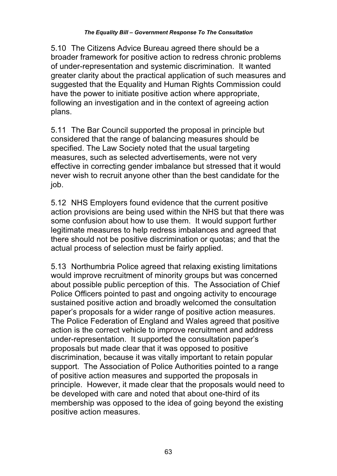5.10 The Citizens Advice Bureau agreed there should be a broader framework for positive action to redress chronic problems of under-representation and systemic discrimination. It wanted greater clarity about the practical application of such measures and suggested that the Equality and Human Rights Commission could have the power to initiate positive action where appropriate, following an investigation and in the context of agreeing action plans.

5.11 The Bar Council supported the proposal in principle but considered that the range of balancing measures should be specified. The Law Society noted that the usual targeting measures, such as selected advertisements, were not very effective in correcting gender imbalance but stressed that it would never wish to recruit anyone other than the best candidate for the job.

5.12 NHS Employers found evidence that the current positive action provisions are being used within the NHS but that there was some confusion about how to use them. It would support further legitimate measures to help redress imbalances and agreed that there should not be positive discrimination or quotas; and that the actual process of selection must be fairly applied.

5.13 Northumbria Police agreed that relaxing existing limitations would improve recruitment of minority groups but was concerned about possible public perception of this. The Association of Chief Police Officers pointed to past and ongoing activity to encourage sustained positive action and broadly welcomed the consultation paper's proposals for a wider range of positive action measures. The Police Federation of England and Wales agreed that positive action is the correct vehicle to improve recruitment and address under-representation. It supported the consultation paper's proposals but made clear that it was opposed to positive discrimination, because it was vitally important to retain popular support. The Association of Police Authorities pointed to a range of positive action measures and supported the proposals in principle. However, it made clear that the proposals would need to be developed with care and noted that about one-third of its membership was opposed to the idea of going beyond the existing positive action measures.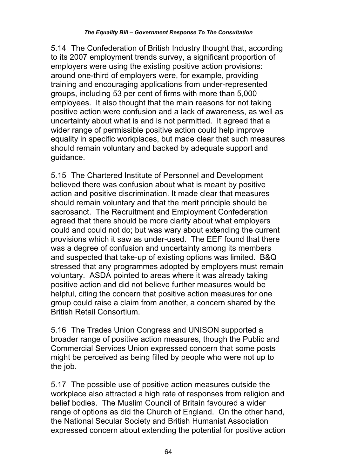5.14 The Confederation of British Industry thought that, according to its 2007 employment trends survey, a significant proportion of employers were using the existing positive action provisions: around one-third of employers were, for example, providing training and encouraging applications from under-represented groups, including 53 per cent of firms with more than 5,000 employees. It also thought that the main reasons for not taking positive action were confusion and a lack of awareness, as well as uncertainty about what is and is not permitted. It agreed that a wider range of permissible positive action could help improve equality in specific workplaces, but made clear that such measures should remain voluntary and backed by adequate support and guidance.

5.15 The Chartered Institute of Personnel and Development believed there was confusion about what is meant by positive action and positive discrimination. It made clear that measures should remain voluntary and that the merit principle should be sacrosanct. The Recruitment and Employment Confederation agreed that there should be more clarity about what employers could and could not do; but was wary about extending the current provisions which it saw as under-used. The EEF found that there was a degree of confusion and uncertainty among its members and suspected that take-up of existing options was limited. B&Q stressed that any programmes adopted by employers must remain voluntary. ASDA pointed to areas where it was already taking positive action and did not believe further measures would be helpful, citing the concern that positive action measures for one group could raise a claim from another, a concern shared by the British Retail Consortium.

5.16 The Trades Union Congress and UNISON supported a broader range of positive action measures, though the Public and Commercial Services Union expressed concern that some posts might be perceived as being filled by people who were not up to the job.

5.17 The possible use of positive action measures outside the workplace also attracted a high rate of responses from religion and belief bodies. The Muslim Council of Britain favoured a wider range of options as did the Church of England. On the other hand, the National Secular Society and British Humanist Association expressed concern about extending the potential for positive action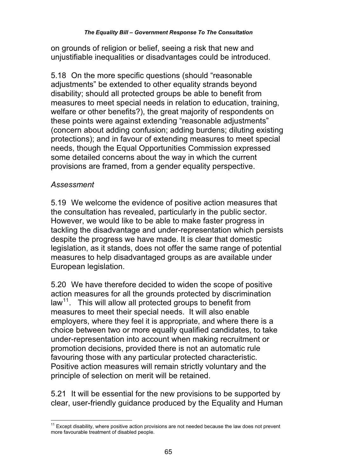on grounds of religion or belief, seeing a risk that new and unjustifiable inequalities or disadvantages could be introduced.

5.18 On the more specific questions (should "reasonable adjustments" be extended to other equality strands beyond disability; should all protected groups be able to benefit from measures to meet special needs in relation to education, training, welfare or other benefits?), the great majority of respondents on these points were against extending "reasonable adjustments" (concern about adding confusion; adding burdens; diluting existing protections); and in favour of extending measures to meet special needs, though the Equal Opportunities Commission expressed some detailed concerns about the way in which the current provisions are framed, from a gender equality perspective.

#### *Assessment*

5.19 We welcome the evidence of positive action measures that the consultation has revealed, particularly in the public sector. However, we would like to be able to make faster progress in tackling the disadvantage and under-representation which persists despite the progress we have made. It is clear that domestic legislation, as it stands, does not offer the same range of potential measures to help disadvantaged groups as are available under European legislation.

5.20 We have therefore decided to widen the scope of positive action measures for all the grounds protected by discrimination law<sup>11</sup>. This will allow all protected groups to benefit from measures to meet their special needs. It will also enable employers, where they feel it is appropriate, and where there is a choice between two or more equally qualified candidates, to take under-representation into account when making recruitment or promotion decisions, provided there is not an automatic rule favouring those with any particular protected characteristic. Positive action measures will remain strictly voluntary and the principle of selection on merit will be retained.

5.21 It will be essential for the new provisions to be supported by clear, user-friendly guidance produced by the Equality and Human

 $\overline{\phantom{a}}$  $11$  Except disability, where positive action provisions are not needed because the law does not prevent more favourable treatment of disabled people.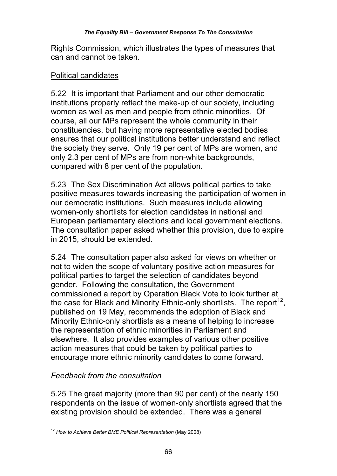Rights Commission, which illustrates the types of measures that can and cannot be taken.

#### Political candidates

5.22 It is important that Parliament and our other democratic institutions properly reflect the make-up of our society, including women as well as men and people from ethnic minorities. Of course, all our MPs represent the whole community in their constituencies, but having more representative elected bodies ensures that our political institutions better understand and reflect the society they serve. Only 19 per cent of MPs are women, and only 2.3 per cent of MPs are from non-white backgrounds, compared with 8 per cent of the population.

5.23 The Sex Discrimination Act allows political parties to take positive measures towards increasing the participation of women in our democratic institutions. Such measures include allowing women-only shortlists for election candidates in national and European parliamentary elections and local government elections. The consultation paper asked whether this provision, due to expire in 2015, should be extended.

5.24 The consultation paper also asked for views on whether or not to widen the scope of voluntary positive action measures for political parties to target the selection of candidates beyond gender. Following the consultation, the Government commissioned a report by Operation Black Vote to look further at the case for Black and Minority Ethnic-only shortlists. The report<sup>12</sup>, published on 19 May, recommends the adoption of Black and Minority Ethnic-only shortlists as a means of helping to increase the representation of ethnic minorities in Parliament and elsewhere. It also provides examples of various other positive action measures that could be taken by political parties to encourage more ethnic minority candidates to come forward.

## *Feedback from the consultation*

5.25 The great majority (more than 90 per cent) of the nearly 150 respondents on the issue of women-only shortlists agreed that the existing provision should be extended. There was a general

 $\overline{1}$ <sup>12</sup> *How to Achieve Better BME Political Representation* (May 2008)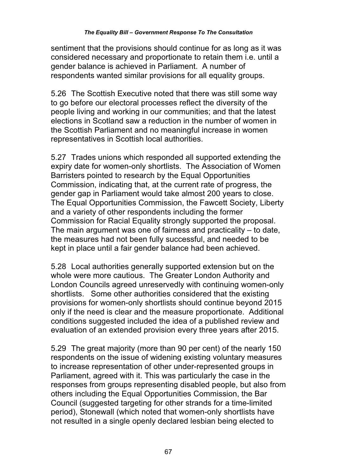sentiment that the provisions should continue for as long as it was considered necessary and proportionate to retain them i.e. until a gender balance is achieved in Parliament. A number of respondents wanted similar provisions for all equality groups.

5.26 The Scottish Executive noted that there was still some way to go before our electoral processes reflect the diversity of the people living and working in our communities; and that the latest elections in Scotland saw a reduction in the number of women in the Scottish Parliament and no meaningful increase in women representatives in Scottish local authorities.

5.27 Trades unions which responded all supported extending the expiry date for women-only shortlists. The Association of Women Barristers pointed to research by the Equal Opportunities Commission, indicating that, at the current rate of progress, the gender gap in Parliament would take almost 200 years to close. The Equal Opportunities Commission, the Fawcett Society, Liberty and a variety of other respondents including the former Commission for Racial Equality strongly supported the proposal. The main argument was one of fairness and practicality – to date, the measures had not been fully successful, and needed to be kept in place until a fair gender balance had been achieved.

5.28 Local authorities generally supported extension but on the whole were more cautious. The Greater London Authority and London Councils agreed unreservedly with continuing women-only shortlists. Some other authorities considered that the existing provisions for women-only shortlists should continue beyond 2015 only if the need is clear and the measure proportionate. Additional conditions suggested included the idea of a published review and evaluation of an extended provision every three years after 2015.

5.29 The great majority (more than 90 per cent) of the nearly 150 respondents on the issue of widening existing voluntary measures to increase representation of other under-represented groups in Parliament, agreed with it. This was particularly the case in the responses from groups representing disabled people, but also from others including the Equal Opportunities Commission, the Bar Council (suggested targeting for other strands for a time-limited period), Stonewall (which noted that women-only shortlists have not resulted in a single openly declared lesbian being elected to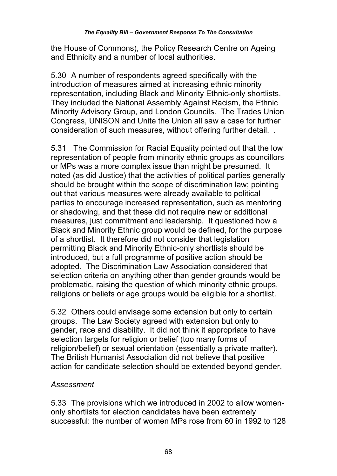the House of Commons), the Policy Research Centre on Ageing and Ethnicity and a number of local authorities.

5.30 A number of respondents agreed specifically with the introduction of measures aimed at increasing ethnic minority representation, including Black and Minority Ethnic-only shortlists. They included the National Assembly Against Racism, the Ethnic Minority Advisory Group, and London Councils. The Trades Union Congress, UNISON and Unite the Union all saw a case for further consideration of such measures, without offering further detail. .

5.31 The Commission for Racial Equality pointed out that the low representation of people from minority ethnic groups as councillors or MPs was a more complex issue than might be presumed. It noted (as did Justice) that the activities of political parties generally should be brought within the scope of discrimination law; pointing out that various measures were already available to political parties to encourage increased representation, such as mentoring or shadowing, and that these did not require new or additional measures, just commitment and leadership. It questioned how a Black and Minority Ethnic group would be defined, for the purpose of a shortlist. It therefore did not consider that legislation permitting Black and Minority Ethnic-only shortlists should be introduced, but a full programme of positive action should be adopted. The Discrimination Law Association considered that selection criteria on anything other than gender grounds would be problematic, raising the question of which minority ethnic groups, religions or beliefs or age groups would be eligible for a shortlist.

5.32 Others could envisage some extension but only to certain groups. The Law Society agreed with extension but only to gender, race and disability. It did not think it appropriate to have selection targets for religion or belief (too many forms of religion/belief) or sexual orientation (essentially a private matter). The British Humanist Association did not believe that positive action for candidate selection should be extended beyond gender.

### *Assessment*

5.33 The provisions which we introduced in 2002 to allow womenonly shortlists for election candidates have been extremely successful: the number of women MPs rose from 60 in 1992 to 128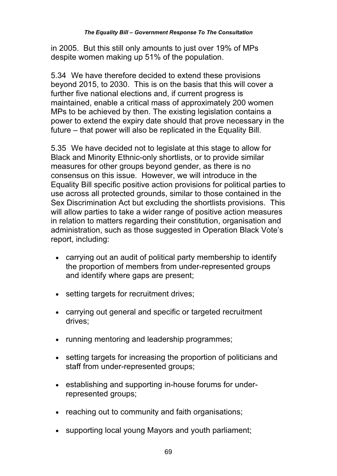in 2005. But this still only amounts to just over 19% of MPs despite women making up 51% of the population.

5.34 We have therefore decided to extend these provisions beyond 2015, to 2030. This is on the basis that this will cover a further five national elections and, if current progress is maintained, enable a critical mass of approximately 200 women MPs to be achieved by then. The existing legislation contains a power to extend the expiry date should that prove necessary in the future – that power will also be replicated in the Equality Bill.

5.35 We have decided not to legislate at this stage to allow for Black and Minority Ethnic-only shortlists, or to provide similar measures for other groups beyond gender, as there is no consensus on this issue. However, we will introduce in the Equality Bill specific positive action provisions for political parties to use across all protected grounds, similar to those contained in the Sex Discrimination Act but excluding the shortlists provisions. This will allow parties to take a wider range of positive action measures in relation to matters regarding their constitution, organisation and administration, such as those suggested in Operation Black Vote's report, including:

- carrying out an audit of political party membership to identify the proportion of members from under-represented groups and identify where gaps are present;
- setting targets for recruitment drives:
- carrying out general and specific or targeted recruitment drives;
- running mentoring and leadership programmes;
- setting targets for increasing the proportion of politicians and staff from under-represented groups;
- establishing and supporting in-house forums for underrepresented groups;
- reaching out to community and faith organisations:
- supporting local young Mayors and youth parliament;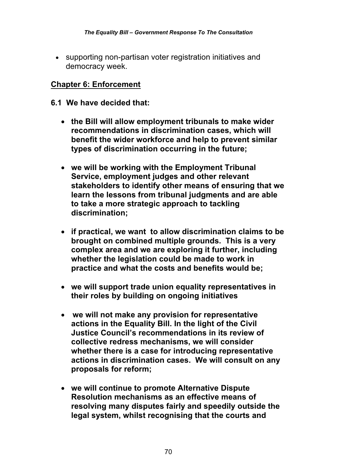supporting non-partisan voter registration initiatives and democracy week.

### **Chapter 6: Enforcement**

- **6.1 We have decided that:** 
	- **the Bill will allow employment tribunals to make wider recommendations in discrimination cases, which will benefit the wider workforce and help to prevent similar types of discrimination occurring in the future;**
	- **we will be working with the Employment Tribunal Service, employment judges and other relevant stakeholders to identify other means of ensuring that we learn the lessons from tribunal judgments and are able to take a more strategic approach to tackling discrimination;**
	- **if practical, we want to allow discrimination claims to be brought on combined multiple grounds. This is a very complex area and we are exploring it further, including whether the legislation could be made to work in practice and what the costs and benefits would be;**
	- **we will support trade union equality representatives in their roles by building on ongoing initiatives**
	- **we will not make any provision for representative actions in the Equality Bill. In the light of the Civil Justice Council's recommendations in its review of collective redress mechanisms, we will consider whether there is a case for introducing representative actions in discrimination cases. We will consult on any proposals for reform;**
	- **we will continue to promote Alternative Dispute Resolution mechanisms as an effective means of resolving many disputes fairly and speedily outside the legal system, whilst recognising that the courts and**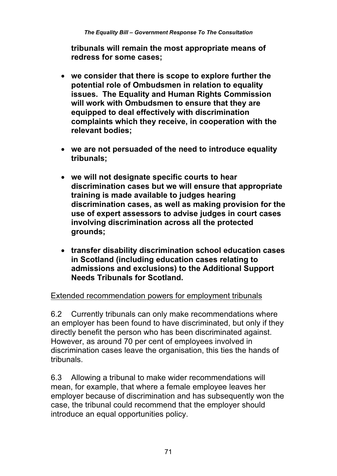**tribunals will remain the most appropriate means of redress for some cases;** 

- **we consider that there is scope to explore further the potential role of Ombudsmen in relation to equality issues. The Equality and Human Rights Commission will work with Ombudsmen to ensure that they are equipped to deal effectively with discrimination complaints which they receive, in cooperation with the relevant bodies;**
- **we are not persuaded of the need to introduce equality tribunals;**
- **we will not designate specific courts to hear discrimination cases but we will ensure that appropriate training is made available to judges hearing discrimination cases, as well as making provision for the use of expert assessors to advise judges in court cases involving discrimination across all the protected grounds;**
- **transfer disability discrimination school education cases in Scotland (including education cases relating to admissions and exclusions) to the Additional Support Needs Tribunals for Scotland.**

### Extended recommendation powers for employment tribunals

6.2 Currently tribunals can only make recommendations where an employer has been found to have discriminated, but only if they directly benefit the person who has been discriminated against. However, as around 70 per cent of employees involved in discrimination cases leave the organisation, this ties the hands of tribunals.

6.3 Allowing a tribunal to make wider recommendations will mean, for example, that where a female employee leaves her employer because of discrimination and has subsequently won the case, the tribunal could recommend that the employer should introduce an equal opportunities policy.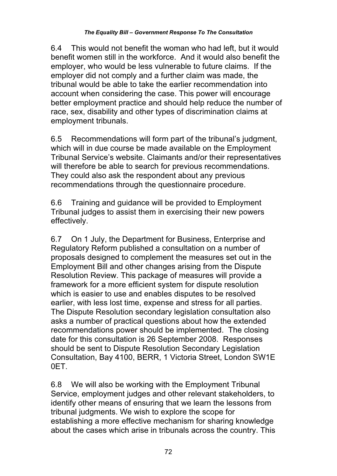6.4 This would not benefit the woman who had left, but it would benefit women still in the workforce. And it would also benefit the employer, who would be less vulnerable to future claims. If the employer did not comply and a further claim was made, the tribunal would be able to take the earlier recommendation into account when considering the case. This power will encourage better employment practice and should help reduce the number of race, sex, disability and other types of discrimination claims at employment tribunals.

6.5 Recommendations will form part of the tribunal's judgment, which will in due course be made available on the Employment Tribunal Service's website. Claimants and/or their representatives will therefore be able to search for previous recommendations. They could also ask the respondent about any previous recommendations through the questionnaire procedure.

6.6 Training and guidance will be provided to Employment Tribunal judges to assist them in exercising their new powers effectively.

6.7 On 1 July, the Department for Business, Enterprise and Regulatory Reform published a consultation on a number of proposals designed to complement the measures set out in the Employment Bill and other changes arising from the Dispute Resolution Review. This package of measures will provide a framework for a more efficient system for dispute resolution which is easier to use and enables disputes to be resolved earlier, with less lost time, expense and stress for all parties. The Dispute Resolution secondary legislation consultation also asks a number of practical questions about how the extended recommendations power should be implemented. The closing date for this consultation is 26 September 2008. Responses should be sent to Dispute Resolution Secondary Legislation Consultation, Bay 4100, BERR, 1 Victoria Street, London SW1E 0ET.

6.8 We will also be working with the Employment Tribunal Service, employment judges and other relevant stakeholders, to identify other means of ensuring that we learn the lessons from tribunal judgments. We wish to explore the scope for establishing a more effective mechanism for sharing knowledge about the cases which arise in tribunals across the country. This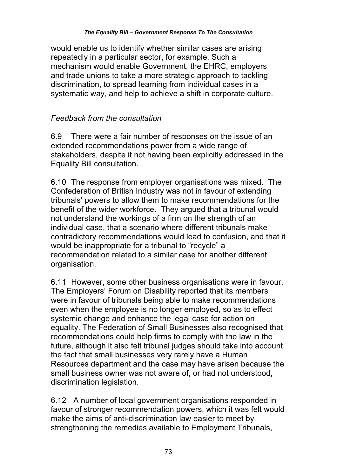would enable us to identify whether similar cases are arising repeatedly in a particular sector, for example. Such a mechanism would enable Government, the EHRC, employers and trade unions to take a more strategic approach to tackling discrimination, to spread learning from individual cases in a systematic way, and help to achieve a shift in corporate culture.

## *Feedback from the consultation*

6.9 There were a fair number of responses on the issue of an extended recommendations power from a wide range of stakeholders, despite it not having been explicitly addressed in the Equality Bill consultation.

6.10 The response from employer organisations was mixed. The Confederation of British Industry was not in favour of extending tribunals' powers to allow them to make recommendations for the benefit of the wider workforce. They argued that a tribunal would not understand the workings of a firm on the strength of an individual case, that a scenario where different tribunals make contradictory recommendations would lead to confusion, and that it would be inappropriate for a tribunal to "recycle" a recommendation related to a similar case for another different organisation.

6.11 However, some other business organisations were in favour. The Employers' Forum on Disability reported that its members were in favour of tribunals being able to make recommendations even when the employee is no longer employed, so as to effect systemic change and enhance the legal case for action on equality. The Federation of Small Businesses also recognised that recommendations could help firms to comply with the law in the future, although it also felt tribunal judges should take into account the fact that small businesses very rarely have a Human Resources department and the case may have arisen because the small business owner was not aware of, or had not understood, discrimination legislation.

6.12 A number of local government organisations responded in favour of stronger recommendation powers, which it was felt would make the aims of anti-discrimination law easier to meet by strengthening the remedies available to Employment Tribunals,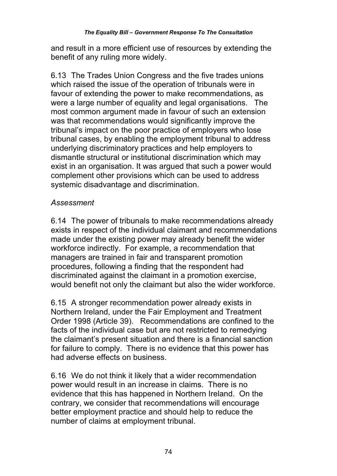and result in a more efficient use of resources by extending the benefit of any ruling more widely.

6.13 The Trades Union Congress and the five trades unions which raised the issue of the operation of tribunals were in favour of extending the power to make recommendations, as were a large number of equality and legal organisations. The most common argument made in favour of such an extension was that recommendations would significantly improve the tribunal's impact on the poor practice of employers who lose tribunal cases, by enabling the employment tribunal to address underlying discriminatory practices and help employers to dismantle structural or institutional discrimination which may exist in an organisation. It was argued that such a power would complement other provisions which can be used to address systemic disadvantage and discrimination.

# *Assessment*

6.14 The power of tribunals to make recommendations already exists in respect of the individual claimant and recommendations made under the existing power may already benefit the wider workforce indirectly. For example, a recommendation that managers are trained in fair and transparent promotion procedures, following a finding that the respondent had discriminated against the claimant in a promotion exercise, would benefit not only the claimant but also the wider workforce.

6.15 A stronger recommendation power already exists in Northern Ireland, under the Fair Employment and Treatment Order 1998 (Article 39). Recommendations are confined to the facts of the individual case but are not restricted to remedying the claimant's present situation and there is a financial sanction for failure to comply. There is no evidence that this power has had adverse effects on business.

6.16 We do not think it likely that a wider recommendation power would result in an increase in claims. There is no evidence that this has happened in Northern Ireland. On the contrary, we consider that recommendations will encourage better employment practice and should help to reduce the number of claims at employment tribunal.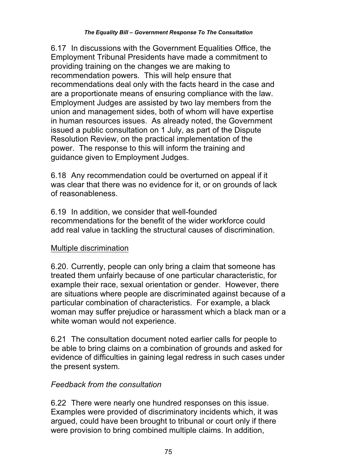6.17 In discussions with the Government Equalities Office, the Employment Tribunal Presidents have made a commitment to providing training on the changes we are making to recommendation powers. This will help ensure that recommendations deal only with the facts heard in the case and are a proportionate means of ensuring compliance with the law. Employment Judges are assisted by two lay members from the union and management sides, both of whom will have expertise in human resources issues. As already noted, the Government issued a public consultation on 1 July, as part of the Dispute Resolution Review, on the practical implementation of the power. The response to this will inform the training and guidance given to Employment Judges.

6.18 Any recommendation could be overturned on appeal if it was clear that there was no evidence for it, or on grounds of lack of reasonableness.

6.19 In addition, we consider that well-founded recommendations for the benefit of the wider workforce could add real value in tackling the structural causes of discrimination.

# Multiple discrimination

6.20. Currently, people can only bring a claim that someone has treated them unfairly because of one particular characteristic, for example their race, sexual orientation or gender. However, there are situations where people are discriminated against because of a particular combination of characteristics. For example, a black woman may suffer prejudice or harassment which a black man or a white woman would not experience.

6.21 The consultation document noted earlier calls for people to be able to bring claims on a combination of grounds and asked for evidence of difficulties in gaining legal redress in such cases under the present system.

# *Feedback from the consultation*

6.22 There were nearly one hundred responses on this issue. Examples were provided of discriminatory incidents which, it was argued, could have been brought to tribunal or court only if there were provision to bring combined multiple claims. In addition,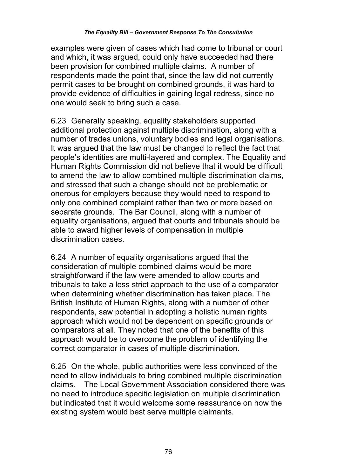examples were given of cases which had come to tribunal or court and which, it was argued, could only have succeeded had there been provision for combined multiple claims. A number of respondents made the point that, since the law did not currently permit cases to be brought on combined grounds, it was hard to provide evidence of difficulties in gaining legal redress, since no one would seek to bring such a case.

6.23 Generally speaking, equality stakeholders supported additional protection against multiple discrimination, along with a number of trades unions, voluntary bodies and legal organisations. It was argued that the law must be changed to reflect the fact that people's identities are multi-layered and complex. The Equality and Human Rights Commission did not believe that it would be difficult to amend the law to allow combined multiple discrimination claims, and stressed that such a change should not be problematic or onerous for employers because they would need to respond to only one combined complaint rather than two or more based on separate grounds. The Bar Council, along with a number of equality organisations, argued that courts and tribunals should be able to award higher levels of compensation in multiple discrimination cases.

6.24 A number of equality organisations argued that the consideration of multiple combined claims would be more straightforward if the law were amended to allow courts and tribunals to take a less strict approach to the use of a comparator when determining whether discrimination has taken place. The British Institute of Human Rights, along with a number of other respondents, saw potential in adopting a holistic human rights approach which would not be dependent on specific grounds or comparators at all. They noted that one of the benefits of this approach would be to overcome the problem of identifying the correct comparator in cases of multiple discrimination.

6.25 On the whole, public authorities were less convinced of the need to allow individuals to bring combined multiple discrimination claims. The Local Government Association considered there was no need to introduce specific legislation on multiple discrimination but indicated that it would welcome some reassurance on how the existing system would best serve multiple claimants.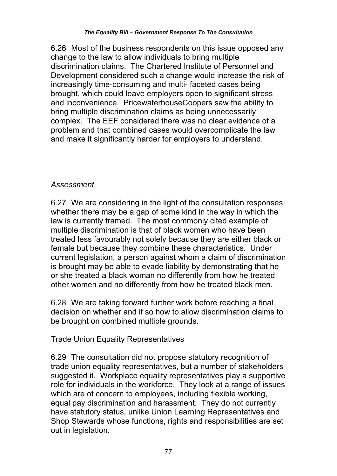6.26 Most of the business respondents on this issue opposed any change to the law to allow individuals to bring multiple discrimination claims. The Chartered Institute of Personnel and Development considered such a change would increase the risk of increasingly time-consuming and multi- faceted cases being brought, which could leave employers open to significant stress and inconvenience. PricewaterhouseCoopers saw the ability to bring multiple discrimination claims as being unnecessarily complex. The EEF considered there was no clear evidence of a problem and that combined cases would overcomplicate the law and make it significantly harder for employers to understand.

### *Assessment*

6.27 We are considering in the light of the consultation responses whether there may be a gap of some kind in the way in which the law is currently framed. The most commonly cited example of multiple discrimination is that of black women who have been treated less favourably not solely because they are either black or female but because they combine these characteristics. Under current legislation, a person against whom a claim of discrimination is brought may be able to evade liability by demonstrating that he or she treated a black woman no differently from how he treated other women and no differently from how he treated black men.

6.28 We are taking forward further work before reaching a final decision on whether and if so how to allow discrimination claims to be brought on combined multiple grounds.

## Trade Union Equality Representatives

6.29 The consultation did not propose statutory recognition of trade union equality representatives, but a number of stakeholders suggested it. Workplace equality representatives play a supportive role for individuals in the workforce. They look at a range of issues which are of concern to employees, including flexible working, equal pay discrimination and harassment. They do not currently have statutory status, unlike Union Learning Representatives and Shop Stewards whose functions, rights and responsibilities are set out in legislation.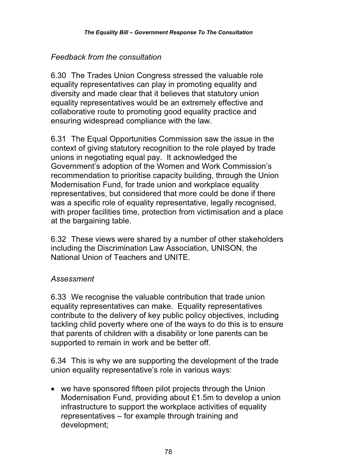## *Feedback from the consultation*

6.30 The Trades Union Congress stressed the valuable role equality representatives can play in promoting equality and diversity and made clear that it believes that statutory union equality representatives would be an extremely effective and collaborative route to promoting good equality practice and ensuring widespread compliance with the law.

6.31 The Equal Opportunities Commission saw the issue in the context of giving statutory recognition to the role played by trade unions in negotiating equal pay. It acknowledged the Government's adoption of the Women and Work Commission's recommendation to prioritise capacity building, through the Union Modernisation Fund, for trade union and workplace equality representatives, but considered that more could be done if there was a specific role of equality representative, legally recognised, with proper facilities time, protection from victimisation and a place at the bargaining table.

6.32 These views were shared by a number of other stakeholders including the Discrimination Law Association, UNISON, the National Union of Teachers and UNITE.

# *Assessment*

6.33 We recognise the valuable contribution that trade union equality representatives can make. Equality representatives contribute to the delivery of key public policy objectives, including tackling child poverty where one of the ways to do this is to ensure that parents of children with a disability or lone parents can be supported to remain in work and be better off.

6.34 This is why we are supporting the development of the trade union equality representative's role in various ways:

• we have sponsored fifteen pilot projects through the Union Modernisation Fund, providing about £1.5m to develop a union infrastructure to support the workplace activities of equality representatives – for example through training and development;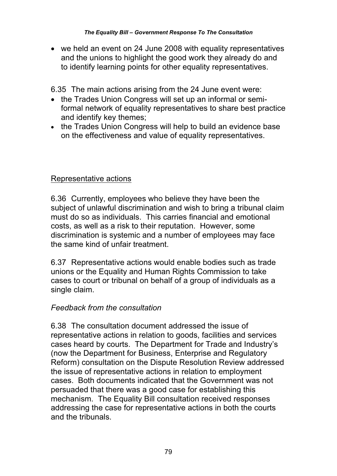we held an event on 24 June 2008 with equality representatives and the unions to highlight the good work they already do and to identify learning points for other equality representatives.

6.35 The main actions arising from the 24 June event were:

- the Trades Union Congress will set up an informal or semiformal network of equality representatives to share best practice and identify key themes;
- the Trades Union Congress will help to build an evidence base on the effectiveness and value of equality representatives.

## Representative actions

6.36 Currently, employees who believe they have been the subject of unlawful discrimination and wish to bring a tribunal claim must do so as individuals. This carries financial and emotional costs, as well as a risk to their reputation. However, some discrimination is systemic and a number of employees may face the same kind of unfair treatment.

6.37 Representative actions would enable bodies such as trade unions or the Equality and Human Rights Commission to take cases to court or tribunal on behalf of a group of individuals as a single claim.

## *Feedback from the consultation*

6.38 The consultation document addressed the issue of representative actions in relation to goods, facilities and services cases heard by courts. The Department for Trade and Industry's (now the Department for Business, Enterprise and Regulatory Reform) consultation on the Dispute Resolution Review addressed the issue of representative actions in relation to employment cases. Both documents indicated that the Government was not persuaded that there was a good case for establishing this mechanism. The Equality Bill consultation received responses addressing the case for representative actions in both the courts and the tribunals.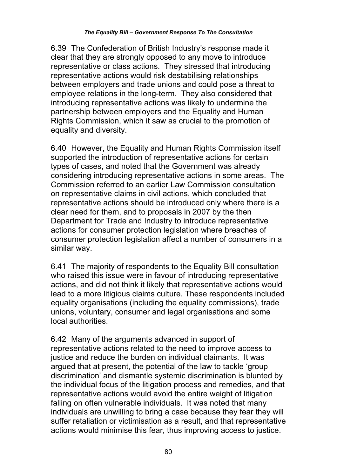6.39 The Confederation of British Industry's response made it clear that they are strongly opposed to any move to introduce representative or class actions. They stressed that introducing representative actions would risk destabilising relationships between employers and trade unions and could pose a threat to employee relations in the long-term. They also considered that introducing representative actions was likely to undermine the partnership between employers and the Equality and Human Rights Commission, which it saw as crucial to the promotion of equality and diversity.

6.40 However, the Equality and Human Rights Commission itself supported the introduction of representative actions for certain types of cases, and noted that the Government was already considering introducing representative actions in some areas. The Commission referred to an earlier Law Commission consultation on representative claims in civil actions, which concluded that representative actions should be introduced only where there is a clear need for them, and to proposals in 2007 by the then Department for Trade and Industry to introduce representative actions for consumer protection legislation where breaches of consumer protection legislation affect a number of consumers in a similar way.

6.41 The majority of respondents to the Equality Bill consultation who raised this issue were in favour of introducing representative actions, and did not think it likely that representative actions would lead to a more litigious claims culture. These respondents included equality organisations (including the equality commissions), trade unions, voluntary, consumer and legal organisations and some local authorities.

6.42 Many of the arguments advanced in support of representative actions related to the need to improve access to justice and reduce the burden on individual claimants. It was argued that at present, the potential of the law to tackle 'group discrimination' and dismantle systemic discrimination is blunted by the individual focus of the litigation process and remedies, and that representative actions would avoid the entire weight of litigation falling on often vulnerable individuals. It was noted that many individuals are unwilling to bring a case because they fear they will suffer retaliation or victimisation as a result, and that representative actions would minimise this fear, thus improving access to justice.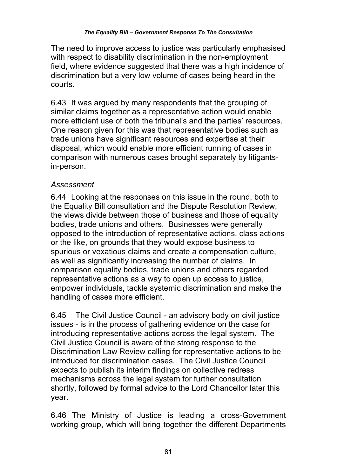The need to improve access to justice was particularly emphasised with respect to disability discrimination in the non-employment field, where evidence suggested that there was a high incidence of discrimination but a very low volume of cases being heard in the courts.

6.43 It was argued by many respondents that the grouping of similar claims together as a representative action would enable more efficient use of both the tribunal's and the parties' resources. One reason given for this was that representative bodies such as trade unions have significant resources and expertise at their disposal, which would enable more efficient running of cases in comparison with numerous cases brought separately by litigantsin-person.

## *Assessment*

6.44 Looking at the responses on this issue in the round, both to the Equality Bill consultation and the Dispute Resolution Review, the views divide between those of business and those of equality bodies, trade unions and others. Businesses were generally opposed to the introduction of representative actions, class actions or the like, on grounds that they would expose business to spurious or vexatious claims and create a compensation culture, as well as significantly increasing the number of claims. In comparison equality bodies, trade unions and others regarded representative actions as a way to open up access to justice, empower individuals, tackle systemic discrimination and make the handling of cases more efficient.

6.45 The Civil Justice Council - an advisory body on civil justice issues - is in the process of gathering evidence on the case for introducing representative actions across the legal system. The Civil Justice Council is aware of the strong response to the Discrimination Law Review calling for representative actions to be introduced for discrimination cases. The Civil Justice Council expects to publish its interim findings on collective redress mechanisms across the legal system for further consultation shortly, followed by formal advice to the Lord Chancellor later this year.

6.46 The Ministry of Justice is leading a cross-Government working group, which will bring together the different Departments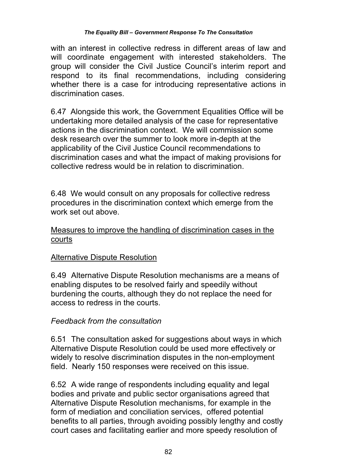with an interest in collective redress in different areas of law and will coordinate engagement with interested stakeholders. The group will consider the Civil Justice Council's interim report and respond to its final recommendations, including considering whether there is a case for introducing representative actions in discrimination cases.

6.47 Alongside this work, the Government Equalities Office will be undertaking more detailed analysis of the case for representative actions in the discrimination context. We will commission some desk research over the summer to look more in-depth at the applicability of the Civil Justice Council recommendations to discrimination cases and what the impact of making provisions for collective redress would be in relation to discrimination.

6.48 We would consult on any proposals for collective redress procedures in the discrimination context which emerge from the work set out above.

### Measures to improve the handling of discrimination cases in the courts

## Alternative Dispute Resolution

6.49 Alternative Dispute Resolution mechanisms are a means of enabling disputes to be resolved fairly and speedily without burdening the courts, although they do not replace the need for access to redress in the courts.

#### *Feedback from the consultation*

6.51 The consultation asked for suggestions about ways in which Alternative Dispute Resolution could be used more effectively or widely to resolve discrimination disputes in the non-employment field. Nearly 150 responses were received on this issue.

6.52 A wide range of respondents including equality and legal bodies and private and public sector organisations agreed that Alternative Dispute Resolution mechanisms, for example in the form of mediation and conciliation services, offered potential benefits to all parties, through avoiding possibly lengthy and costly court cases and facilitating earlier and more speedy resolution of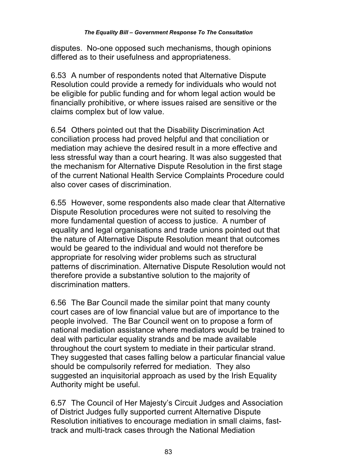disputes. No-one opposed such mechanisms, though opinions differed as to their usefulness and appropriateness.

6.53 A number of respondents noted that Alternative Dispute Resolution could provide a remedy for individuals who would not be eligible for public funding and for whom legal action would be financially prohibitive, or where issues raised are sensitive or the claims complex but of low value.

6.54 Others pointed out that the Disability Discrimination Act conciliation process had proved helpful and that conciliation or mediation may achieve the desired result in a more effective and less stressful way than a court hearing. It was also suggested that the mechanism for Alternative Dispute Resolution in the first stage of the current National Health Service Complaints Procedure could also cover cases of discrimination.

6.55 However, some respondents also made clear that Alternative Dispute Resolution procedures were not suited to resolving the more fundamental question of access to justice. A number of equality and legal organisations and trade unions pointed out that the nature of Alternative Dispute Resolution meant that outcomes would be geared to the individual and would not therefore be appropriate for resolving wider problems such as structural patterns of discrimination. Alternative Dispute Resolution would not therefore provide a substantive solution to the majority of discrimination matters.

6.56 The Bar Council made the similar point that many county court cases are of low financial value but are of importance to the people involved. The Bar Council went on to propose a form of national mediation assistance where mediators would be trained to deal with particular equality strands and be made available throughout the court system to mediate in their particular strand. They suggested that cases falling below a particular financial value should be compulsorily referred for mediation. They also suggested an inquisitorial approach as used by the Irish Equality Authority might be useful.

6.57 The Council of Her Majesty's Circuit Judges and Association of District Judges fully supported current Alternative Dispute Resolution initiatives to encourage mediation in small claims, fasttrack and multi-track cases through the National Mediation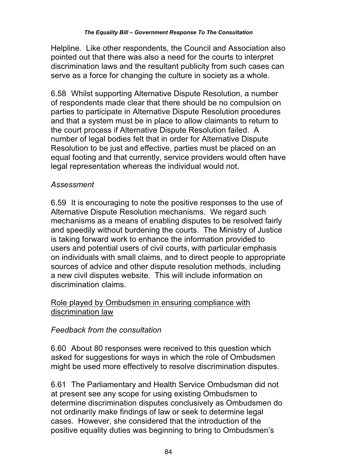Helpline. Like other respondents, the Council and Association also pointed out that there was also a need for the courts to interpret discrimination laws and the resultant publicity from such cases can serve as a force for changing the culture in society as a whole.

6.58 Whilst supporting Alternative Dispute Resolution, a number of respondents made clear that there should be no compulsion on parties to participate in Alternative Dispute Resolution procedures and that a system must be in place to allow claimants to return to the court process if Alternative Dispute Resolution failed. A number of legal bodies felt that in order for Alternative Dispute Resolution to be just and effective, parties must be placed on an equal footing and that currently, service providers would often have legal representation whereas the individual would not.

# *Assessment*

6.59 It is encouraging to note the positive responses to the use of Alternative Dispute Resolution mechanisms. We regard such mechanisms as a means of enabling disputes to be resolved fairly and speedily without burdening the courts. The Ministry of Justice is taking forward work to enhance the information provided to users and potential users of civil courts, with particular emphasis on individuals with small claims, and to direct people to appropriate sources of advice and other dispute resolution methods, including a new civil disputes website. This will include information on discrimination claims.

## Role played by Ombudsmen in ensuring compliance with discrimination law

# *Feedback from the consultation*

6.60 About 80 responses were received to this question which asked for suggestions for ways in which the role of Ombudsmen might be used more effectively to resolve discrimination disputes.

6.61 The Parliamentary and Health Service Ombudsman did not at present see any scope for using existing Ombudsmen to determine discrimination disputes conclusively as Ombudsmen do not ordinarily make findings of law or seek to determine legal cases. However, she considered that the introduction of the positive equality duties was beginning to bring to Ombudsmen's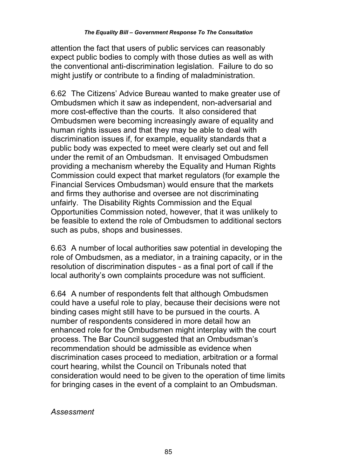attention the fact that users of public services can reasonably expect public bodies to comply with those duties as well as with the conventional anti-discrimination legislation. Failure to do so might justify or contribute to a finding of maladministration.

6.62 The Citizens' Advice Bureau wanted to make greater use of Ombudsmen which it saw as independent, non-adversarial and more cost-effective than the courts. It also considered that Ombudsmen were becoming increasingly aware of equality and human rights issues and that they may be able to deal with discrimination issues if, for example, equality standards that a public body was expected to meet were clearly set out and fell under the remit of an Ombudsman. It envisaged Ombudsmen providing a mechanism whereby the Equality and Human Rights Commission could expect that market regulators (for example the Financial Services Ombudsman) would ensure that the markets and firms they authorise and oversee are not discriminating unfairly. The Disability Rights Commission and the Equal Opportunities Commission noted, however, that it was unlikely to be feasible to extend the role of Ombudsmen to additional sectors such as pubs, shops and businesses.

6.63 A number of local authorities saw potential in developing the role of Ombudsmen, as a mediator, in a training capacity, or in the resolution of discrimination disputes - as a final port of call if the local authority's own complaints procedure was not sufficient.

6.64 A number of respondents felt that although Ombudsmen could have a useful role to play, because their decisions were not binding cases might still have to be pursued in the courts. A number of respondents considered in more detail how an enhanced role for the Ombudsmen might interplay with the court process. The Bar Council suggested that an Ombudsman's recommendation should be admissible as evidence when discrimination cases proceed to mediation, arbitration or a formal court hearing, whilst the Council on Tribunals noted that consideration would need to be given to the operation of time limits for bringing cases in the event of a complaint to an Ombudsman.

*Assessment*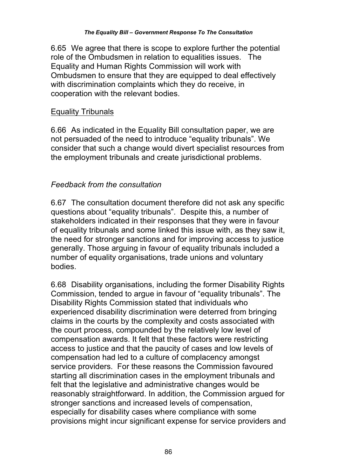6.65 We agree that there is scope to explore further the potential role of the Ombudsmen in relation to equalities issues. The Equality and Human Rights Commission will work with Ombudsmen to ensure that they are equipped to deal effectively with discrimination complaints which they do receive, in cooperation with the relevant bodies.

### Equality Tribunals

6.66 As indicated in the Equality Bill consultation paper, we are not persuaded of the need to introduce "equality tribunals". We consider that such a change would divert specialist resources from the employment tribunals and create jurisdictional problems.

## *Feedback from the consultation*

6.67 The consultation document therefore did not ask any specific questions about "equality tribunals". Despite this, a number of stakeholders indicated in their responses that they were in favour of equality tribunals and some linked this issue with, as they saw it, the need for stronger sanctions and for improving access to justice generally. Those arguing in favour of equality tribunals included a number of equality organisations, trade unions and voluntary bodies.

6.68 Disability organisations, including the former Disability Rights Commission, tended to argue in favour of "equality tribunals". The Disability Rights Commission stated that individuals who experienced disability discrimination were deterred from bringing claims in the courts by the complexity and costs associated with the court process, compounded by the relatively low level of compensation awards. It felt that these factors were restricting access to justice and that the paucity of cases and low levels of compensation had led to a culture of complacency amongst service providers. For these reasons the Commission favoured starting all discrimination cases in the employment tribunals and felt that the legislative and administrative changes would be reasonably straightforward. In addition, the Commission argued for stronger sanctions and increased levels of compensation, especially for disability cases where compliance with some provisions might incur significant expense for service providers and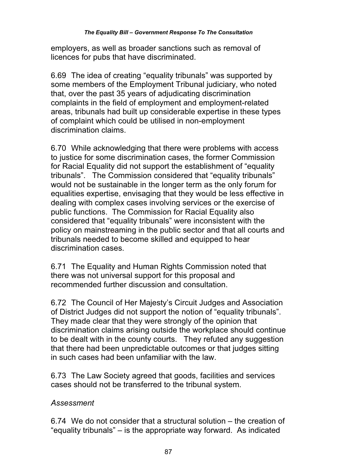employers, as well as broader sanctions such as removal of licences for pubs that have discriminated.

6.69 The idea of creating "equality tribunals" was supported by some members of the Employment Tribunal judiciary, who noted that, over the past 35 years of adjudicating discrimination complaints in the field of employment and employment-related areas, tribunals had built up considerable expertise in these types of complaint which could be utilised in non-employment discrimination claims.

6.70 While acknowledging that there were problems with access to justice for some discrimination cases, the former Commission for Racial Equality did not support the establishment of "equality tribunals". The Commission considered that "equality tribunals" would not be sustainable in the longer term as the only forum for equalities expertise, envisaging that they would be less effective in dealing with complex cases involving services or the exercise of public functions. The Commission for Racial Equality also considered that "equality tribunals" were inconsistent with the policy on mainstreaming in the public sector and that all courts and tribunals needed to become skilled and equipped to hear discrimination cases.

6.71 The Equality and Human Rights Commission noted that there was not universal support for this proposal and recommended further discussion and consultation.

6.72 The Council of Her Majesty's Circuit Judges and Association of District Judges did not support the notion of "equality tribunals". They made clear that they were strongly of the opinion that discrimination claims arising outside the workplace should continue to be dealt with in the county courts. They refuted any suggestion that there had been unpredictable outcomes or that judges sitting in such cases had been unfamiliar with the law.

6.73 The Law Society agreed that goods, facilities and services cases should not be transferred to the tribunal system.

## *Assessment*

6.74 We do not consider that a structural solution – the creation of "equality tribunals" – is the appropriate way forward. As indicated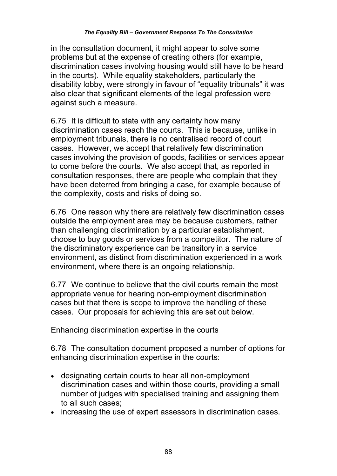in the consultation document, it might appear to solve some problems but at the expense of creating others (for example, discrimination cases involving housing would still have to be heard in the courts). While equality stakeholders, particularly the disability lobby, were strongly in favour of "equality tribunals" it was also clear that significant elements of the legal profession were against such a measure.

6.75 It is difficult to state with any certainty how many discrimination cases reach the courts. This is because, unlike in employment tribunals, there is no centralised record of court cases. However, we accept that relatively few discrimination cases involving the provision of goods, facilities or services appear to come before the courts. We also accept that, as reported in consultation responses, there are people who complain that they have been deterred from bringing a case, for example because of the complexity, costs and risks of doing so.

6.76 One reason why there are relatively few discrimination cases outside the employment area may be because customers, rather than challenging discrimination by a particular establishment, choose to buy goods or services from a competitor. The nature of the discriminatory experience can be transitory in a service environment, as distinct from discrimination experienced in a work environment, where there is an ongoing relationship.

6.77 We continue to believe that the civil courts remain the most appropriate venue for hearing non-employment discrimination cases but that there is scope to improve the handling of these cases. Our proposals for achieving this are set out below.

## Enhancing discrimination expertise in the courts

6.78 The consultation document proposed a number of options for enhancing discrimination expertise in the courts:

- designating certain courts to hear all non-employment discrimination cases and within those courts, providing a small number of judges with specialised training and assigning them to all such cases;
- increasing the use of expert assessors in discrimination cases.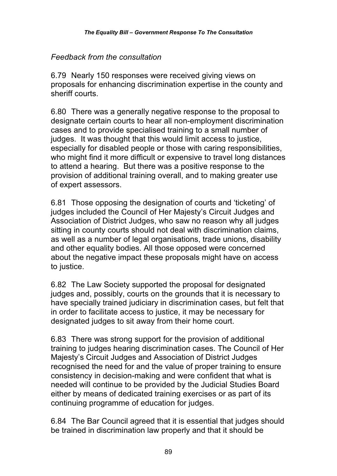## *Feedback from the consultation*

6.79 Nearly 150 responses were received giving views on proposals for enhancing discrimination expertise in the county and sheriff courts.

6.80 There was a generally negative response to the proposal to designate certain courts to hear all non-employment discrimination cases and to provide specialised training to a small number of judges. It was thought that this would limit access to justice, especially for disabled people or those with caring responsibilities, who might find it more difficult or expensive to travel long distances to attend a hearing. But there was a positive response to the provision of additional training overall, and to making greater use of expert assessors.

6.81 Those opposing the designation of courts and 'ticketing' of judges included the Council of Her Majesty's Circuit Judges and Association of District Judges, who saw no reason why all judges sitting in county courts should not deal with discrimination claims, as well as a number of legal organisations, trade unions, disability and other equality bodies. All those opposed were concerned about the negative impact these proposals might have on access to justice.

6.82 The Law Society supported the proposal for designated judges and, possibly, courts on the grounds that it is necessary to have specially trained judiciary in discrimination cases, but felt that in order to facilitate access to justice, it may be necessary for designated judges to sit away from their home court.

6.83 There was strong support for the provision of additional training to judges hearing discrimination cases. The Council of Her Majesty's Circuit Judges and Association of District Judges recognised the need for and the value of proper training to ensure consistency in decision-making and were confident that what is needed will continue to be provided by the Judicial Studies Board either by means of dedicated training exercises or as part of its continuing programme of education for judges.

6.84 The Bar Council agreed that it is essential that judges should be trained in discrimination law properly and that it should be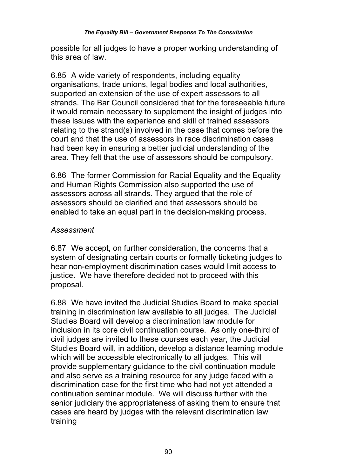possible for all judges to have a proper working understanding of this area of law.

6.85 A wide variety of respondents, including equality organisations, trade unions, legal bodies and local authorities, supported an extension of the use of expert assessors to all strands. The Bar Council considered that for the foreseeable future it would remain necessary to supplement the insight of judges into these issues with the experience and skill of trained assessors relating to the strand(s) involved in the case that comes before the court and that the use of assessors in race discrimination cases had been key in ensuring a better judicial understanding of the area. They felt that the use of assessors should be compulsory.

6.86 The former Commission for Racial Equality and the Equality and Human Rights Commission also supported the use of assessors across all strands. They argued that the role of assessors should be clarified and that assessors should be enabled to take an equal part in the decision-making process.

## *Assessment*

6.87 We accept, on further consideration, the concerns that a system of designating certain courts or formally ticketing judges to hear non-employment discrimination cases would limit access to justice. We have therefore decided not to proceed with this proposal.

6.88 We have invited the Judicial Studies Board to make special training in discrimination law available to all judges. The Judicial Studies Board will develop a discrimination law module for inclusion in its core civil continuation course. As only one-third of civil judges are invited to these courses each year, the Judicial Studies Board will, in addition, develop a distance learning module which will be accessible electronically to all judges. This will provide supplementary guidance to the civil continuation module and also serve as a training resource for any judge faced with a discrimination case for the first time who had not yet attended a continuation seminar module. We will discuss further with the senior judiciary the appropriateness of asking them to ensure that cases are heard by judges with the relevant discrimination law training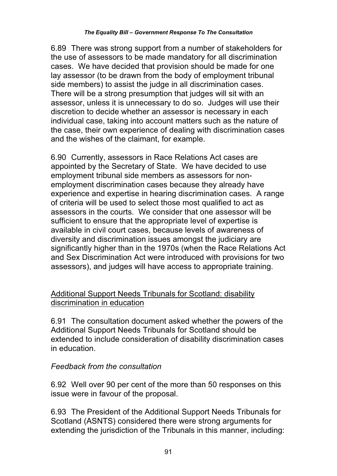6.89 There was strong support from a number of stakeholders for the use of assessors to be made mandatory for all discrimination cases. We have decided that provision should be made for one lay assessor (to be drawn from the body of employment tribunal side members) to assist the judge in all discrimination cases. There will be a strong presumption that judges will sit with an assessor, unless it is unnecessary to do so. Judges will use their discretion to decide whether an assessor is necessary in each individual case, taking into account matters such as the nature of the case, their own experience of dealing with discrimination cases and the wishes of the claimant, for example.

6.90 Currently, assessors in Race Relations Act cases are appointed by the Secretary of State. We have decided to use employment tribunal side members as assessors for nonemployment discrimination cases because they already have experience and expertise in hearing discrimination cases. A range of criteria will be used to select those most qualified to act as assessors in the courts. We consider that one assessor will be sufficient to ensure that the appropriate level of expertise is available in civil court cases, because levels of awareness of diversity and discrimination issues amongst the judiciary are significantly higher than in the 1970s (when the Race Relations Act and Sex Discrimination Act were introduced with provisions for two assessors), and judges will have access to appropriate training.

## Additional Support Needs Tribunals for Scotland: disability discrimination in education

6.91 The consultation document asked whether the powers of the Additional Support Needs Tribunals for Scotland should be extended to include consideration of disability discrimination cases in education.

# *Feedback from the consultation*

6.92 Well over 90 per cent of the more than 50 responses on this issue were in favour of the proposal.

6.93 The President of the Additional Support Needs Tribunals for Scotland (ASNTS) considered there were strong arguments for extending the jurisdiction of the Tribunals in this manner, including: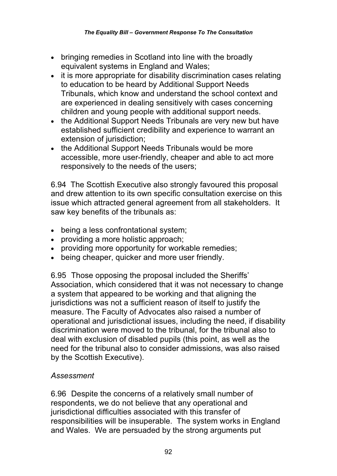- bringing remedies in Scotland into line with the broadly equivalent systems in England and Wales;
- it is more appropriate for disability discrimination cases relating to education to be heard by Additional Support Needs Tribunals, which know and understand the school context and are experienced in dealing sensitively with cases concerning children and young people with additional support needs.
- the Additional Support Needs Tribunals are very new but have established sufficient credibility and experience to warrant an extension of jurisdiction;
- the Additional Support Needs Tribunals would be more accessible, more user-friendly, cheaper and able to act more responsively to the needs of the users;

6.94 The Scottish Executive also strongly favoured this proposal and drew attention to its own specific consultation exercise on this issue which attracted general agreement from all stakeholders. It saw key benefits of the tribunals as:

- being a less confrontational system;
- providing a more holistic approach;
- providing more opportunity for workable remedies;
- being cheaper, quicker and more user friendly.

6.95 Those opposing the proposal included the Sheriffs' Association, which considered that it was not necessary to change a system that appeared to be working and that aligning the jurisdictions was not a sufficient reason of itself to justify the measure. The Faculty of Advocates also raised a number of operational and jurisdictional issues, including the need, if disability discrimination were moved to the tribunal, for the tribunal also to deal with exclusion of disabled pupils (this point, as well as the need for the tribunal also to consider admissions, was also raised by the Scottish Executive).

# *Assessment*

6.96 Despite the concerns of a relatively small number of respondents, we do not believe that any operational and jurisdictional difficulties associated with this transfer of responsibilities will be insuperable. The system works in England and Wales. We are persuaded by the strong arguments put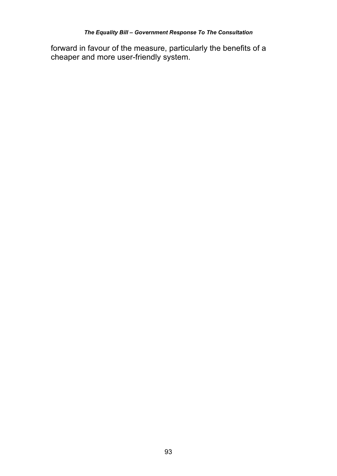forward in favour of the measure, particularly the benefits of a cheaper and more user-friendly system.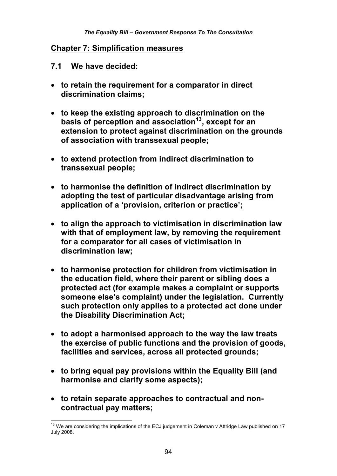#### **Chapter 7: Simplification measures**

- **7.1 We have decided:**
- **to retain the requirement for a comparator in direct discrimination claims;**
- **to keep the existing approach to discrimination on the basis of perception and association13, except for an extension to protect against discrimination on the grounds of association with transsexual people;**
- **to extend protection from indirect discrimination to transsexual people;**
- **to harmonise the definition of indirect discrimination by adopting the test of particular disadvantage arising from application of a 'provision, criterion or practice';**
- **to align the approach to victimisation in discrimination law with that of employment law, by removing the requirement for a comparator for all cases of victimisation in discrimination law;**
- **to harmonise protection for children from victimisation in the education field, where their parent or sibling does a protected act (for example makes a complaint or supports someone else's complaint) under the legislation. Currently such protection only applies to a protected act done under the Disability Discrimination Act;**
- **to adopt a harmonised approach to the way the law treats the exercise of public functions and the provision of goods, facilities and services, across all protected grounds;**
- **to bring equal pay provisions within the Equality Bill (and harmonise and clarify some aspects);**
- **to retain separate approaches to contractual and noncontractual pay matters;**

 $\overline{\phantom{a}}$  $13$  We are considering the implications of the ECJ judgement in Coleman v Attridge Law published on 17 July 2008.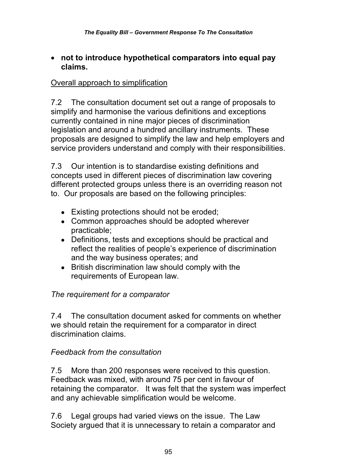### **not to introduce hypothetical comparators into equal pay claims.**

### Overall approach to simplification

7.2 The consultation document set out a range of proposals to simplify and harmonise the various definitions and exceptions currently contained in nine major pieces of discrimination legislation and around a hundred ancillary instruments. These proposals are designed to simplify the law and help employers and service providers understand and comply with their responsibilities.

7.3 Our intention is to standardise existing definitions and concepts used in different pieces of discrimination law covering different protected groups unless there is an overriding reason not to. Our proposals are based on the following principles:

- Existing protections should not be eroded;
- Common approaches should be adopted wherever practicable;
- Definitions, tests and exceptions should be practical and reflect the realities of people's experience of discrimination and the way business operates; and
- British discrimination law should comply with the requirements of European law.

# *The requirement for a comparator*

7.4 The consultation document asked for comments on whether we should retain the requirement for a comparator in direct discrimination claims.

## *Feedback from the consultation*

7.5 More than 200 responses were received to this question. Feedback was mixed, with around 75 per cent in favour of retaining the comparator. It was felt that the system was imperfect and any achievable simplification would be welcome.

7.6 Legal groups had varied views on the issue. The Law Society argued that it is unnecessary to retain a comparator and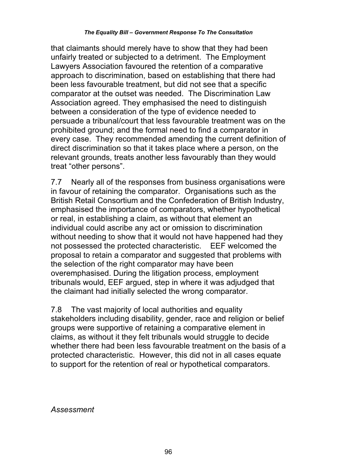that claimants should merely have to show that they had been unfairly treated or subjected to a detriment. The Employment Lawyers Association favoured the retention of a comparative approach to discrimination, based on establishing that there had been less favourable treatment, but did not see that a specific comparator at the outset was needed. The Discrimination Law Association agreed. They emphasised the need to distinguish between a consideration of the type of evidence needed to persuade a tribunal/court that less favourable treatment was on the prohibited ground; and the formal need to find a comparator in every case. They recommended amending the current definition of direct discrimination so that it takes place where a person, on the relevant grounds, treats another less favourably than they would treat "other persons".

7.7 Nearly all of the responses from business organisations were in favour of retaining the comparator. Organisations such as the British Retail Consortium and the Confederation of British Industry, emphasised the importance of comparators, whether hypothetical or real, in establishing a claim, as without that element an individual could ascribe any act or omission to discrimination without needing to show that it would not have happened had they not possessed the protected characteristic. EEF welcomed the proposal to retain a comparator and suggested that problems with the selection of the right comparator may have been overemphasised. During the litigation process, employment tribunals would, EEF argued, step in where it was adjudged that the claimant had initially selected the wrong comparator.

7.8 The vast majority of local authorities and equality stakeholders including disability, gender, race and religion or belief groups were supportive of retaining a comparative element in claims, as without it they felt tribunals would struggle to decide whether there had been less favourable treatment on the basis of a protected characteristic. However, this did not in all cases equate to support for the retention of real or hypothetical comparators.

*Assessment*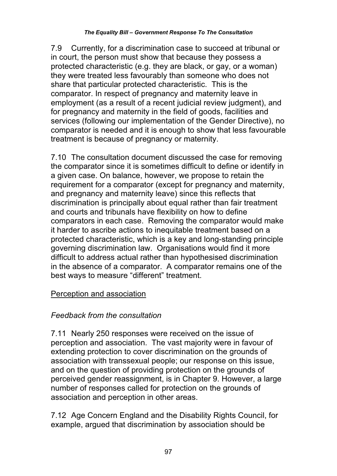7.9 Currently, for a discrimination case to succeed at tribunal or in court, the person must show that because they possess a protected characteristic (e.g. they are black, or gay, or a woman) they were treated less favourably than someone who does not share that particular protected characteristic. This is the comparator. In respect of pregnancy and maternity leave in employment (as a result of a recent judicial review judgment), and for pregnancy and maternity in the field of goods, facilities and services (following our implementation of the Gender Directive), no comparator is needed and it is enough to show that less favourable treatment is because of pregnancy or maternity.

7.10 The consultation document discussed the case for removing the comparator since it is sometimes difficult to define or identify in a given case. On balance, however, we propose to retain the requirement for a comparator (except for pregnancy and maternity, and pregnancy and maternity leave) since this reflects that discrimination is principally about equal rather than fair treatment and courts and tribunals have flexibility on how to define comparators in each case. Removing the comparator would make it harder to ascribe actions to inequitable treatment based on a protected characteristic, which is a key and long-standing principle governing discrimination law. Organisations would find it more difficult to address actual rather than hypothesised discrimination in the absence of a comparator. A comparator remains one of the best ways to measure "different" treatment.

# Perception and association

# *Feedback from the consultation*

7.11 Nearly 250 responses were received on the issue of perception and association. The vast majority were in favour of extending protection to cover discrimination on the grounds of association with transsexual people; our response on this issue, and on the question of providing protection on the grounds of perceived gender reassignment, is in Chapter 9. However, a large number of responses called for protection on the grounds of association and perception in other areas.

7.12 Age Concern England and the Disability Rights Council, for example, argued that discrimination by association should be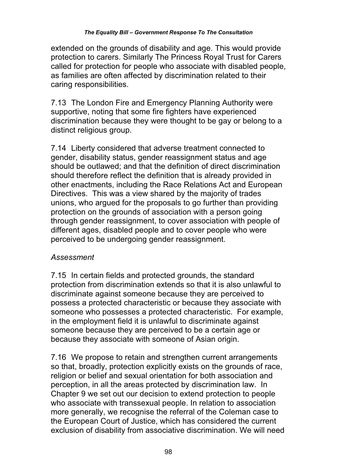extended on the grounds of disability and age. This would provide protection to carers. Similarly The Princess Royal Trust for Carers called for protection for people who associate with disabled people, as families are often affected by discrimination related to their caring responsibilities.

7.13 The London Fire and Emergency Planning Authority were supportive, noting that some fire fighters have experienced discrimination because they were thought to be gay or belong to a distinct religious group.

7.14 Liberty considered that adverse treatment connected to gender, disability status, gender reassignment status and age should be outlawed; and that the definition of direct discrimination should therefore reflect the definition that is already provided in other enactments, including the Race Relations Act and European Directives. This was a view shared by the majority of trades unions, who argued for the proposals to go further than providing protection on the grounds of association with a person going through gender reassignment, to cover association with people of different ages, disabled people and to cover people who were perceived to be undergoing gender reassignment.

# *Assessment*

7.15 In certain fields and protected grounds, the standard protection from discrimination extends so that it is also unlawful to discriminate against someone because they are perceived to possess a protected characteristic or because they associate with someone who possesses a protected characteristic. For example, in the employment field it is unlawful to discriminate against someone because they are perceived to be a certain age or because they associate with someone of Asian origin.

7.16 We propose to retain and strengthen current arrangements so that, broadly, protection explicitly exists on the grounds of race, religion or belief and sexual orientation for both association and perception, in all the areas protected by discrimination law. In Chapter 9 we set out our decision to extend protection to people who associate with transsexual people. In relation to association more generally, we recognise the referral of the Coleman case to the European Court of Justice, which has considered the current exclusion of disability from associative discrimination. We will need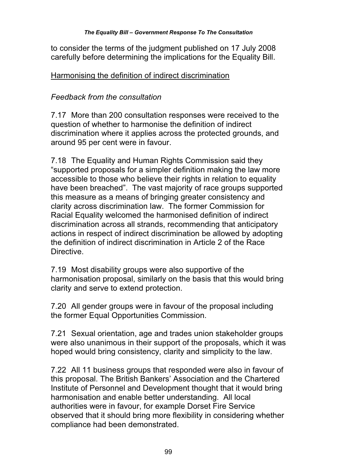to consider the terms of the judgment published on 17 July 2008 carefully before determining the implications for the Equality Bill.

## Harmonising the definition of indirect discrimination

## *Feedback from the consultation*

7.17 More than 200 consultation responses were received to the question of whether to harmonise the definition of indirect discrimination where it applies across the protected grounds, and around 95 per cent were in favour.

7.18 The Equality and Human Rights Commission said they "supported proposals for a simpler definition making the law more accessible to those who believe their rights in relation to equality have been breached". The vast majority of race groups supported this measure as a means of bringing greater consistency and clarity across discrimination law. The former Commission for Racial Equality welcomed the harmonised definition of indirect discrimination across all strands, recommending that anticipatory actions in respect of indirect discrimination be allowed by adopting the definition of indirect discrimination in Article 2 of the Race Directive.

7.19 Most disability groups were also supportive of the harmonisation proposal, similarly on the basis that this would bring clarity and serve to extend protection.

7.20 All gender groups were in favour of the proposal including the former Equal Opportunities Commission.

7.21 Sexual orientation, age and trades union stakeholder groups were also unanimous in their support of the proposals, which it was hoped would bring consistency, clarity and simplicity to the law.

7.22 All 11 business groups that responded were also in favour of this proposal. The British Bankers' Association and the Chartered Institute of Personnel and Development thought that it would bring harmonisation and enable better understanding. All local authorities were in favour, for example Dorset Fire Service observed that it should bring more flexibility in considering whether compliance had been demonstrated.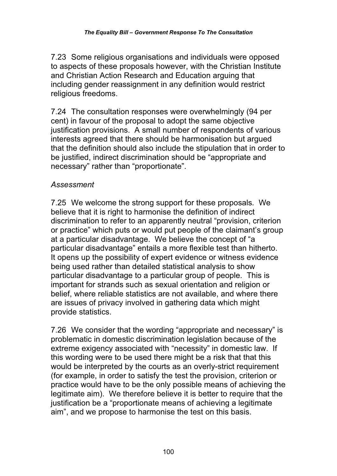7.23 Some religious organisations and individuals were opposed to aspects of these proposals however, with the Christian Institute and Christian Action Research and Education arguing that including gender reassignment in any definition would restrict religious freedoms.

7.24 The consultation responses were overwhelmingly (94 per cent) in favour of the proposal to adopt the same objective justification provisions. A small number of respondents of various interests agreed that there should be harmonisation but argued that the definition should also include the stipulation that in order to be justified, indirect discrimination should be "appropriate and necessary" rather than "proportionate".

## *Assessment*

7.25 We welcome the strong support for these proposals*.* We believe that it is right to harmonise the definition of indirect discrimination to refer to an apparently neutral "provision, criterion or practice" which puts or would put people of the claimant's group at a particular disadvantage. We believe the concept of "a particular disadvantage" entails a more flexible test than hitherto. It opens up the possibility of expert evidence or witness evidence being used rather than detailed statistical analysis to show particular disadvantage to a particular group of people. This is important for strands such as sexual orientation and religion or belief, where reliable statistics are not available, and where there are issues of privacy involved in gathering data which might provide statistics.

7.26 We consider that the wording "appropriate and necessary" is problematic in domestic discrimination legislation because of the extreme exigency associated with "necessity" in domestic law. If this wording were to be used there might be a risk that that this would be interpreted by the courts as an overly-strict requirement (for example, in order to satisfy the test the provision, criterion or practice would have to be the only possible means of achieving the legitimate aim). We therefore believe it is better to require that the justification be a "proportionate means of achieving a legitimate aim", and we propose to harmonise the test on this basis.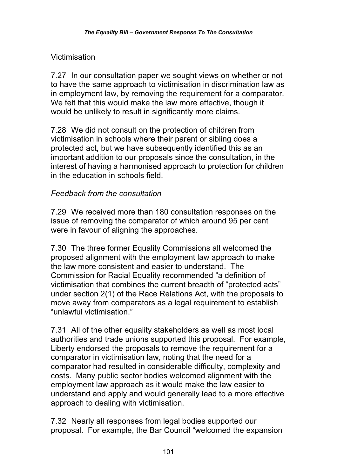## Victimisation

7.27 In our consultation paper we sought views on whether or not to have the same approach to victimisation in discrimination law as in employment law, by removing the requirement for a comparator. We felt that this would make the law more effective, though it would be unlikely to result in significantly more claims.

7.28 We did not consult on the protection of children from victimisation in schools where their parent or sibling does a protected act, but we have subsequently identified this as an important addition to our proposals since the consultation, in the interest of having a harmonised approach to protection for children in the education in schools field.

## *Feedback from the consultation*

7.29 We received more than 180 consultation responses on the issue of removing the comparator of which around 95 per cent were in favour of aligning the approaches.

7.30 The three former Equality Commissions all welcomed the proposed alignment with the employment law approach to make the law more consistent and easier to understand. The Commission for Racial Equality recommended "a definition of victimisation that combines the current breadth of "protected acts" under section 2(1) of the Race Relations Act, with the proposals to move away from comparators as a legal requirement to establish "unlawful victimisation."

7.31 All of the other equality stakeholders as well as most local authorities and trade unions supported this proposal. For example, Liberty endorsed the proposals to remove the requirement for a comparator in victimisation law, noting that the need for a comparator had resulted in considerable difficulty, complexity and costs. Many public sector bodies welcomed alignment with the employment law approach as it would make the law easier to understand and apply and would generally lead to a more effective approach to dealing with victimisation.

7.32 Nearly all responses from legal bodies supported our proposal. For example, the Bar Council "welcomed the expansion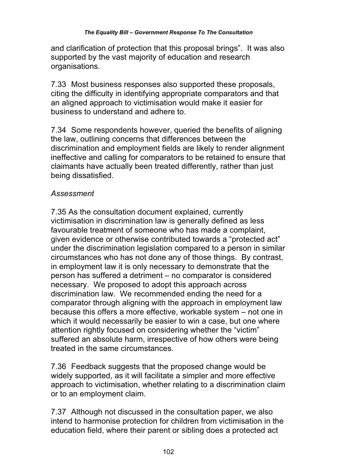and clarification of protection that this proposal brings". It was also supported by the vast majority of education and research organisations.

7.33 Most business responses also supported these proposals, citing the difficulty in identifying appropriate comparators and that an aligned approach to victimisation would make it easier for business to understand and adhere to.

7.34 Some respondents however, queried the benefits of aligning the law, outlining concerns that differences between the discrimination and employment fields are likely to render alignment ineffective and calling for comparators to be retained to ensure that claimants have actually been treated differently, rather than just being dissatisfied.

# *Assessment*

7.35 As the consultation document explained, currently victimisation in discrimination law is generally defined as less favourable treatment of someone who has made a complaint, given evidence or otherwise contributed towards a "protected act" under the discrimination legislation compared to a person in similar circumstances who has not done any of those things. By contrast, in employment law it is only necessary to demonstrate that the person has suffered a detriment – no comparator is considered necessary. We proposed to adopt this approach across discrimination law. We recommended ending the need for a comparator through aligning with the approach in employment law because this offers a more effective, workable system – not one in which it would necessarily be easier to win a case, but one where attention rightly focused on considering whether the "victim" suffered an absolute harm, irrespective of how others were being treated in the same circumstances.

7.36 Feedback suggests that the proposed change would be widely supported, as it will facilitate a simpler and more effective approach to victimisation, whether relating to a discrimination claim or to an employment claim.

7.37 Although not discussed in the consultation paper, we also intend to harmonise protection for children from victimisation in the education field, where their parent or sibling does a protected act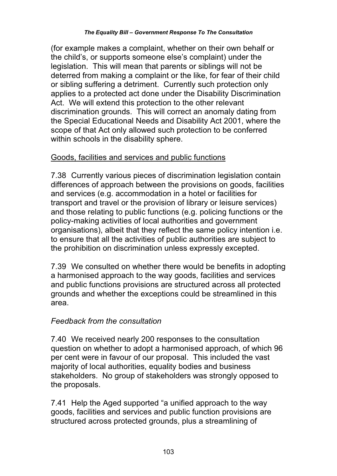(for example makes a complaint, whether on their own behalf or the child's, or supports someone else's complaint) under the legislation. This will mean that parents or siblings will not be deterred from making a complaint or the like, for fear of their child or sibling suffering a detriment. Currently such protection only applies to a protected act done under the Disability Discrimination Act. We will extend this protection to the other relevant discrimination grounds. This will correct an anomaly dating from the Special Educational Needs and Disability Act 2001, where the scope of that Act only allowed such protection to be conferred within schools in the disability sphere.

## Goods, facilities and services and public functions

7.38 Currently various pieces of discrimination legislation contain differences of approach between the provisions on goods, facilities and services (e.g. accommodation in a hotel or facilities for transport and travel or the provision of library or leisure services) and those relating to public functions (e.g. policing functions or the policy-making activities of local authorities and government organisations), albeit that they reflect the same policy intention i.e. to ensure that all the activities of public authorities are subject to the prohibition on discrimination unless expressly excepted.

7.39 We consulted on whether there would be benefits in adopting a harmonised approach to the way goods, facilities and services and public functions provisions are structured across all protected grounds and whether the exceptions could be streamlined in this area.

# *Feedback from the consultation*

7.40 We received nearly 200 responses to the consultation question on whether to adopt a harmonised approach, of which 96 per cent were in favour of our proposal. This included the vast majority of local authorities, equality bodies and business stakeholders. No group of stakeholders was strongly opposed to the proposals.

7.41 Help the Aged supported "a unified approach to the way goods, facilities and services and public function provisions are structured across protected grounds, plus a streamlining of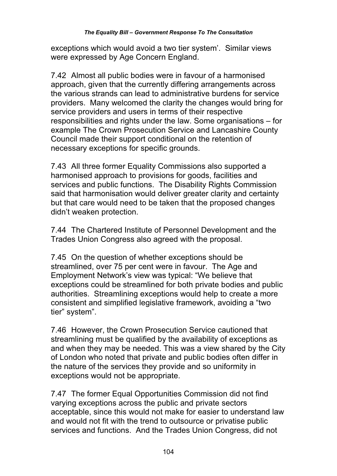exceptions which would avoid a two tier system'. Similar views were expressed by Age Concern England.

7.42 Almost all public bodies were in favour of a harmonised approach, given that the currently differing arrangements across the various strands can lead to administrative burdens for service providers. Many welcomed the clarity the changes would bring for service providers and users in terms of their respective responsibilities and rights under the law. Some organisations – for example The Crown Prosecution Service and Lancashire County Council made their support conditional on the retention of necessary exceptions for specific grounds.

7.43 All three former Equality Commissions also supported a harmonised approach to provisions for goods, facilities and services and public functions. The Disability Rights Commission said that harmonisation would deliver greater clarity and certainty but that care would need to be taken that the proposed changes didn't weaken protection.

7.44 The Chartered Institute of Personnel Development and the Trades Union Congress also agreed with the proposal.

7.45 On the question of whether exceptions should be streamlined, over 75 per cent were in favour. The Age and Employment Network's view was typical: "We believe that exceptions could be streamlined for both private bodies and public authorities. Streamlining exceptions would help to create a more consistent and simplified legislative framework, avoiding a "two tier" system".

7.46 However, the Crown Prosecution Service cautioned that streamlining must be qualified by the availability of exceptions as and when they may be needed. This was a view shared by the City of London who noted that private and public bodies often differ in the nature of the services they provide and so uniformity in exceptions would not be appropriate.

7.47 The former Equal Opportunities Commission did not find varying exceptions across the public and private sectors acceptable, since this would not make for easier to understand law and would not fit with the trend to outsource or privatise public services and functions. And the Trades Union Congress, did not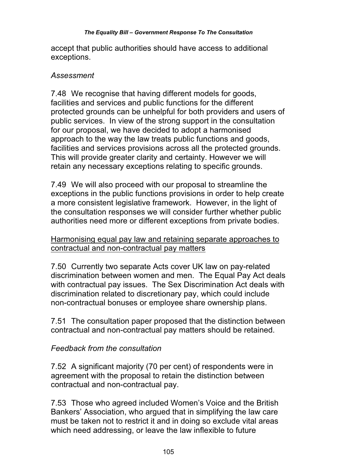accept that public authorities should have access to additional exceptions.

#### *Assessment*

7.48 We recognise that having different models for goods, facilities and services and public functions for the different protected grounds can be unhelpful for both providers and users of public services. In view of the strong support in the consultation for our proposal, we have decided to adopt a harmonised approach to the way the law treats public functions and goods, facilities and services provisions across all the protected grounds. This will provide greater clarity and certainty. However we will retain any necessary exceptions relating to specific grounds.

7.49 We will also proceed with our proposal to streamline the exceptions in the public functions provisions in order to help create a more consistent legislative framework. However, in the light of the consultation responses we will consider further whether public authorities need more or different exceptions from private bodies.

### Harmonising equal pay law and retaining separate approaches to contractual and non-contractual pay matters

7.50 Currently two separate Acts cover UK law on pay-related discrimination between women and men. The Equal Pay Act deals with contractual pay issues. The Sex Discrimination Act deals with discrimination related to discretionary pay, which could include non-contractual bonuses or employee share ownership plans.

7.51 The consultation paper proposed that the distinction between contractual and non-contractual pay matters should be retained.

## *Feedback from the consultation*

7.52 A significant majority (70 per cent) of respondents were in agreement with the proposal to retain the distinction between contractual and non-contractual pay.

7.53 Those who agreed included Women's Voice and the British Bankers' Association, who argued that in simplifying the law care must be taken not to restrict it and in doing so exclude vital areas which need addressing, or leave the law inflexible to future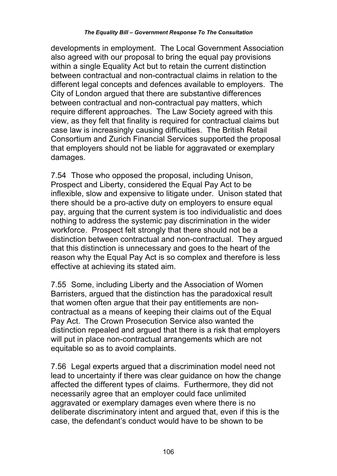developments in employment. The Local Government Association also agreed with our proposal to bring the equal pay provisions within a single Equality Act but to retain the current distinction between contractual and non-contractual claims in relation to the different legal concepts and defences available to employers. The City of London argued that there are substantive differences between contractual and non-contractual pay matters, which require different approaches. The Law Society agreed with this view, as they felt that finality is required for contractual claims but case law is increasingly causing difficulties. The British Retail Consortium and Zurich Financial Services supported the proposal that employers should not be liable for aggravated or exemplary damages.

7.54 Those who opposed the proposal, including Unison, Prospect and Liberty, considered the Equal Pay Act to be inflexible, slow and expensive to litigate under. Unison stated that there should be a pro-active duty on employers to ensure equal pay, arguing that the current system is too individualistic and does nothing to address the systemic pay discrimination in the wider workforce. Prospect felt strongly that there should not be a distinction between contractual and non-contractual. They argued that this distinction is unnecessary and goes to the heart of the reason why the Equal Pay Act is so complex and therefore is less effective at achieving its stated aim.

7.55 Some, including Liberty and the Association of Women Barristers, argued that the distinction has the paradoxical result that women often argue that their pay entitlements are noncontractual as a means of keeping their claims out of the Equal Pay Act. The Crown Prosecution Service also wanted the distinction repealed and argued that there is a risk that employers will put in place non-contractual arrangements which are not equitable so as to avoid complaints.

7.56 Legal experts argued that a discrimination model need not lead to uncertainty if there was clear guidance on how the change affected the different types of claims. Furthermore, they did not necessarily agree that an employer could face unlimited aggravated or exemplary damages even where there is no deliberate discriminatory intent and argued that, even if this is the case, the defendant's conduct would have to be shown to be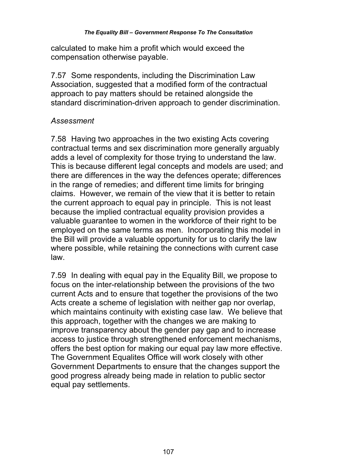calculated to make him a profit which would exceed the compensation otherwise payable.

7.57 Some respondents, including the Discrimination Law Association, suggested that a modified form of the contractual approach to pay matters should be retained alongside the standard discrimination-driven approach to gender discrimination.

#### *Assessment*

7.58 Having two approaches in the two existing Acts covering contractual terms and sex discrimination more generally arguably adds a level of complexity for those trying to understand the law. This is because different legal concepts and models are used; and there are differences in the way the defences operate; differences in the range of remedies; and different time limits for bringing claims. However, we remain of the view that it is better to retain the current approach to equal pay in principle. This is not least because the implied contractual equality provision provides a valuable guarantee to women in the workforce of their right to be employed on the same terms as men. Incorporating this model in the Bill will provide a valuable opportunity for us to clarify the law where possible, while retaining the connections with current case law.

7.59 In dealing with equal pay in the Equality Bill, we propose to focus on the inter-relationship between the provisions of the two current Acts and to ensure that together the provisions of the two Acts create a scheme of legislation with neither gap nor overlap, which maintains continuity with existing case law. We believe that this approach, together with the changes we are making to improve transparency about the gender pay gap and to increase access to justice through strengthened enforcement mechanisms, offers the best option for making our equal pay law more effective. The Government Equalites Office will work closely with other Government Departments to ensure that the changes support the good progress already being made in relation to public sector equal pay settlements.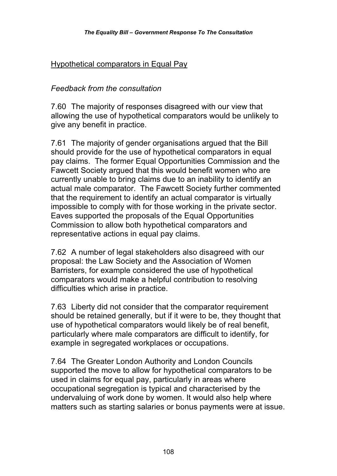## Hypothetical comparators in Equal Pay

#### *Feedback from the consultation*

7.60 The majority of responses disagreed with our view that allowing the use of hypothetical comparators would be unlikely to give any benefit in practice.

7.61 The majority of gender organisations argued that the Bill should provide for the use of hypothetical comparators in equal pay claims. The former Equal Opportunities Commission and the Fawcett Society argued that this would benefit women who are currently unable to bring claims due to an inability to identify an actual male comparator. The Fawcett Society further commented that the requirement to identify an actual comparator is virtually impossible to comply with for those working in the private sector. Eaves supported the proposals of the Equal Opportunities Commission to allow both hypothetical comparators and representative actions in equal pay claims.

7.62 A number of legal stakeholders also disagreed with our proposal: the Law Society and the Association of Women Barristers, for example considered the use of hypothetical comparators would make a helpful contribution to resolving difficulties which arise in practice.

7.63 Liberty did not consider that the comparator requirement should be retained generally, but if it were to be, they thought that use of hypothetical comparators would likely be of real benefit, particularly where male comparators are difficult to identify, for example in segregated workplaces or occupations.

7.64 The Greater London Authority and London Councils supported the move to allow for hypothetical comparators to be used in claims for equal pay, particularly in areas where occupational segregation is typical and characterised by the undervaluing of work done by women. It would also help where matters such as starting salaries or bonus payments were at issue.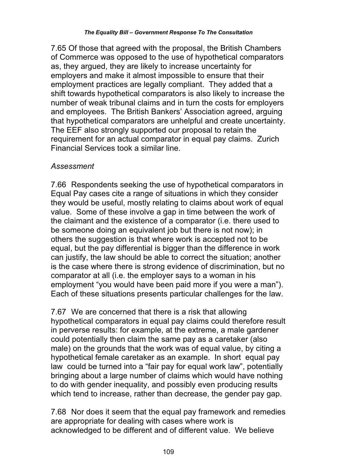7.65 Of those that agreed with the proposal, the British Chambers of Commerce was opposed to the use of hypothetical comparators as, they argued, they are likely to increase uncertainty for employers and make it almost impossible to ensure that their employment practices are legally compliant. They added that a shift towards hypothetical comparators is also likely to increase the number of weak tribunal claims and in turn the costs for employers and employees. The British Bankers' Association agreed, arguing that hypothetical comparators are unhelpful and create uncertainty. The EEF also strongly supported our proposal to retain the requirement for an actual comparator in equal pay claims. Zurich Financial Services took a similar line.

#### *Assessment*

7.66 Respondents seeking the use of hypothetical comparators in Equal Pay cases cite a range of situations in which they consider they would be useful, mostly relating to claims about work of equal value. Some of these involve a gap in time between the work of the claimant and the existence of a comparator (i.e. there used to be someone doing an equivalent job but there is not now); in others the suggestion is that where work is accepted not to be equal, but the pay differential is bigger than the difference in work can justify, the law should be able to correct the situation; another is the case where there is strong evidence of discrimination, but no comparator at all (i.e. the employer says to a woman in his employment "you would have been paid more if you were a man"). Each of these situations presents particular challenges for the law.

7.67 We are concerned that there is a risk that allowing hypothetical comparators in equal pay claims could therefore result in perverse results: for example, at the extreme, a male gardener could potentially then claim the same pay as a caretaker (also male) on the grounds that the work was of equal value, by citing a hypothetical female caretaker as an example. In short equal pay law could be turned into a "fair pay for equal work law", potentially bringing about a large number of claims which would have nothing to do with gender inequality, and possibly even producing results which tend to increase, rather than decrease, the gender pay gap.

7.68 Nor does it seem that the equal pay framework and remedies are appropriate for dealing with cases where work is acknowledged to be different and of different value. We believe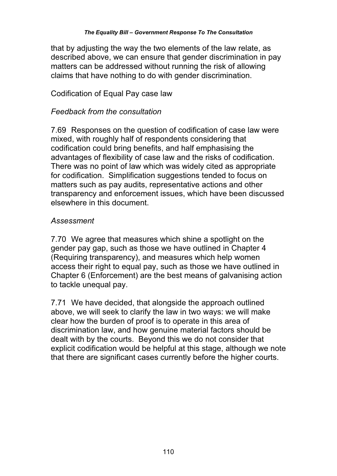that by adjusting the way the two elements of the law relate, as described above, we can ensure that gender discrimination in pay matters can be addressed without running the risk of allowing claims that have nothing to do with gender discrimination.

#### Codification of Equal Pay case law

#### *Feedback from the consultation*

7.69 Responses on the question of codification of case law were mixed, with roughly half of respondents considering that codification could bring benefits, and half emphasising the advantages of flexibility of case law and the risks of codification. There was no point of law which was widely cited as appropriate for codification. Simplification suggestions tended to focus on matters such as pay audits, representative actions and other transparency and enforcement issues, which have been discussed elsewhere in this document.

#### *Assessment*

7.70 We agree that measures which shine a spotlight on the gender pay gap, such as those we have outlined in Chapter 4 (Requiring transparency), and measures which help women access their right to equal pay, such as those we have outlined in Chapter 6 (Enforcement) are the best means of galvanising action to tackle unequal pay.

7.71 We have decided, that alongside the approach outlined above, we will seek to clarify the law in two ways: we will make clear how the burden of proof is to operate in this area of discrimination law, and how genuine material factors should be dealt with by the courts. Beyond this we do not consider that explicit codification would be helpful at this stage, although we note that there are significant cases currently before the higher courts.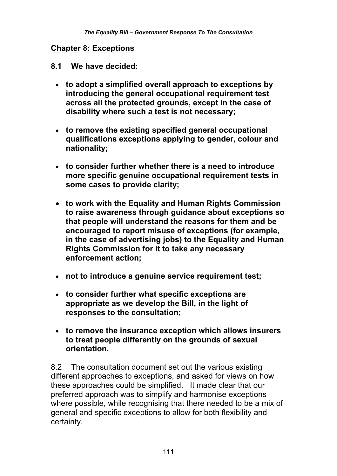#### **Chapter 8: Exceptions**

#### **8.1 We have decided:**

- **to adopt a simplified overall approach to exceptions by introducing the general occupational requirement test across all the protected grounds, except in the case of disability where such a test is not necessary;**
- **to remove the existing specified general occupational qualifications exceptions applying to gender, colour and nationality;**
- **to consider further whether there is a need to introduce more specific genuine occupational requirement tests in some cases to provide clarity;**
- **to work with the Equality and Human Rights Commission to raise awareness through guidance about exceptions so that people will understand the reasons for them and be encouraged to report misuse of exceptions (for example, in the case of advertising jobs) to the Equality and Human Rights Commission for it to take any necessary enforcement action;**
- **not to introduce a genuine service requirement test;**
- **to consider further what specific exceptions are appropriate as we develop the Bill, in the light of responses to the consultation;**
- **to remove the insurance exception which allows insurers to treat people differently on the grounds of sexual orientation.**

8.2 The consultation document set out the various existing different approaches to exceptions, and asked for views on how these approaches could be simplified. It made clear that our preferred approach was to simplify and harmonise exceptions where possible, while recognising that there needed to be a mix of general and specific exceptions to allow for both flexibility and certainty.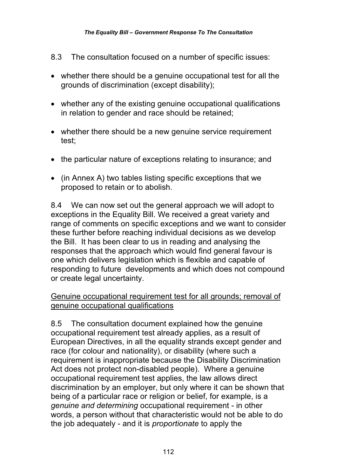- 8.3 The consultation focused on a number of specific issues:
- whether there should be a genuine occupational test for all the grounds of discrimination (except disability);
- whether any of the existing genuine occupational qualifications in relation to gender and race should be retained;
- whether there should be a new genuine service requirement test;
- the particular nature of exceptions relating to insurance; and
- (in Annex A) two tables listing specific exceptions that we proposed to retain or to abolish.

8.4 We can now set out the general approach we will adopt to exceptions in the Equality Bill. We received a great variety and range of comments on specific exceptions and we want to consider these further before reaching individual decisions as we develop the Bill. It has been clear to us in reading and analysing the responses that the approach which would find general favour is one which delivers legislation which is flexible and capable of responding to future developments and which does not compound or create legal uncertainty.

### Genuine occupational requirement test for all grounds; removal of genuine occupational qualifications

8.5 The consultation document explained how the genuine occupational requirement test already applies, as a result of European Directives, in all the equality strands except gender and race (for colour and nationality), or disability (where such a requirement is inappropriate because the Disability Discrimination Act does not protect non-disabled people). Where a genuine occupational requirement test applies, the law allows direct discrimination by an employer, but only where it can be shown that being of a particular race or religion or belief, for example, is a *genuine and determining* occupational requirement - in other words, a person without that characteristic would not be able to do the job adequately - and it is *proportionate* to apply the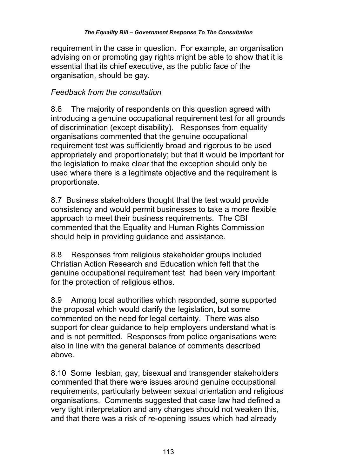requirement in the case in question. For example, an organisation advising on or promoting gay rights might be able to show that it is essential that its chief executive, as the public face of the organisation, should be gay.

## *Feedback from the consultation*

8.6 The majority of respondents on this question agreed with introducing a genuine occupational requirement test for all grounds of discrimination (except disability). Responses from equality organisations commented that the genuine occupational requirement test was sufficiently broad and rigorous to be used appropriately and proportionately; but that it would be important for the legislation to make clear that the exception should only be used where there is a legitimate objective and the requirement is proportionate.

8.7 Business stakeholders thought that the test would provide consistency and would permit businesses to take a more flexible approach to meet their business requirements. The CBI commented that the Equality and Human Rights Commission should help in providing guidance and assistance.

8.8 Responses from religious stakeholder groups included Christian Action Research and Education which felt that the genuine occupational requirement test had been very important for the protection of religious ethos.

8.9 Among local authorities which responded, some supported the proposal which would clarify the legislation, but some commented on the need for legal certainty. There was also support for clear guidance to help employers understand what is and is not permitted. Responses from police organisations were also in line with the general balance of comments described above.

8.10 Some lesbian, gay, bisexual and transgender stakeholders commented that there were issues around genuine occupational requirements, particularly between sexual orientation and religious organisations. Comments suggested that case law had defined a very tight interpretation and any changes should not weaken this, and that there was a risk of re-opening issues which had already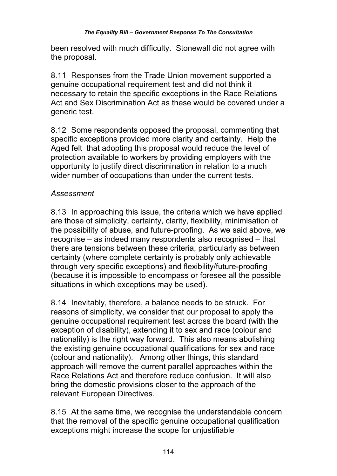been resolved with much difficulty. Stonewall did not agree with the proposal.

8.11 Responses from the Trade Union movement supported a genuine occupational requirement test and did not think it necessary to retain the specific exceptions in the Race Relations Act and Sex Discrimination Act as these would be covered under a generic test.

8.12 Some respondents opposed the proposal, commenting that specific exceptions provided more clarity and certainty. Help the Aged felt that adopting this proposal would reduce the level of protection available to workers by providing employers with the opportunity to justify direct discrimination in relation to a much wider number of occupations than under the current tests.

## *Assessment*

8.13 In approaching this issue, the criteria which we have applied are those of simplicity, certainty, clarity, flexibility, minimisation of the possibility of abuse, and future-proofing. As we said above, we recognise – as indeed many respondents also recognised – that there are tensions between these criteria, particularly as between certainty (where complete certainty is probably only achievable through very specific exceptions) and flexibility/future-proofing (because it is impossible to encompass or foresee all the possible situations in which exceptions may be used).

8.14 Inevitably, therefore, a balance needs to be struck. For reasons of simplicity, we consider that our proposal to apply the genuine occupational requirement test across the board (with the exception of disability), extending it to sex and race (colour and nationality) is the right way forward. This also means abolishing the existing genuine occupational qualifications for sex and race (colour and nationality). Among other things, this standard approach will remove the current parallel approaches within the Race Relations Act and therefore reduce confusion. It will also bring the domestic provisions closer to the approach of the relevant European Directives.

8.15 At the same time, we recognise the understandable concern that the removal of the specific genuine occupational qualification exceptions might increase the scope for unjustifiable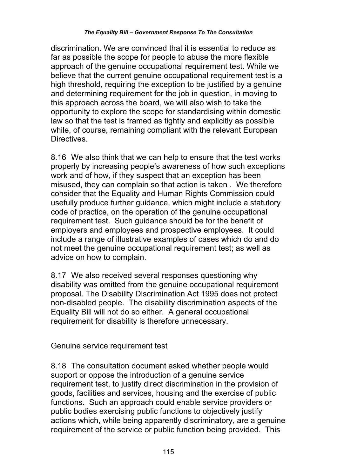discrimination. We are convinced that it is essential to reduce as far as possible the scope for people to abuse the more flexible approach of the genuine occupational requirement test. While we believe that the current genuine occupational requirement test is a high threshold, requiring the exception to be justified by a genuine and determining requirement for the job in question, in moving to this approach across the board, we will also wish to take the opportunity to explore the scope for standardising within domestic law so that the test is framed as tightly and explicitly as possible while, of course, remaining compliant with the relevant European Directives.

8.16 We also think that we can help to ensure that the test works properly by increasing people's awareness of how such exceptions work and of how, if they suspect that an exception has been misused, they can complain so that action is taken . We therefore consider that the Equality and Human Rights Commission could usefully produce further guidance, which might include a statutory code of practice, on the operation of the genuine occupational requirement test. Such guidance should be for the benefit of employers and employees and prospective employees. It could include a range of illustrative examples of cases which do and do not meet the genuine occupational requirement test; as well as advice on how to complain.

8.17 We also received several responses questioning why disability was omitted from the genuine occupational requirement proposal. The Disability Discrimination Act 1995 does not protect non-disabled people. The disability discrimination aspects of the Equality Bill will not do so either. A general occupational requirement for disability is therefore unnecessary.

### Genuine service requirement test

8.18 The consultation document asked whether people would support or oppose the introduction of a genuine service requirement test, to justify direct discrimination in the provision of goods, facilities and services, housing and the exercise of public functions. Such an approach could enable service providers or public bodies exercising public functions to objectively justify actions which, while being apparently discriminatory, are a genuine requirement of the service or public function being provided. This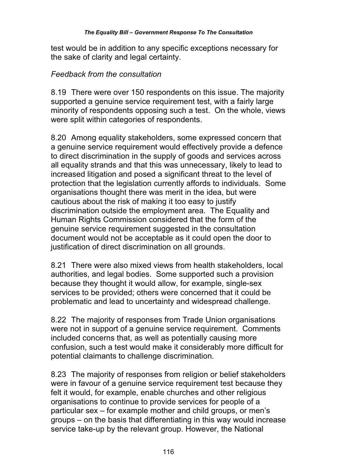test would be in addition to any specific exceptions necessary for the sake of clarity and legal certainty.

#### *Feedback from the consultation*

8.19 There were over 150 respondents on this issue. The majority supported a genuine service requirement test, with a fairly large minority of respondents opposing such a test. On the whole, views were split within categories of respondents.

8.20 Among equality stakeholders, some expressed concern that a genuine service requirement would effectively provide a defence to direct discrimination in the supply of goods and services across all equality strands and that this was unnecessary, likely to lead to increased litigation and posed a significant threat to the level of protection that the legislation currently affords to individuals. Some organisations thought there was merit in the idea, but were cautious about the risk of making it too easy to justify discrimination outside the employment area. The Equality and Human Rights Commission considered that the form of the genuine service requirement suggested in the consultation document would not be acceptable as it could open the door to justification of direct discrimination on all grounds.

8.21 There were also mixed views from health stakeholders, local authorities, and legal bodies. Some supported such a provision because they thought it would allow, for example, single-sex services to be provided; others were concerned that it could be problematic and lead to uncertainty and widespread challenge.

8.22 The majority of responses from Trade Union organisations were not in support of a genuine service requirement. Comments included concerns that, as well as potentially causing more confusion, such a test would make it considerably more difficult for potential claimants to challenge discrimination.

8.23 The majority of responses from religion or belief stakeholders were in favour of a genuine service requirement test because they felt it would, for example, enable churches and other religious organisations to continue to provide services for people of a particular sex – for example mother and child groups, or men's groups – on the basis that differentiating in this way would increase service take-up by the relevant group. However, the National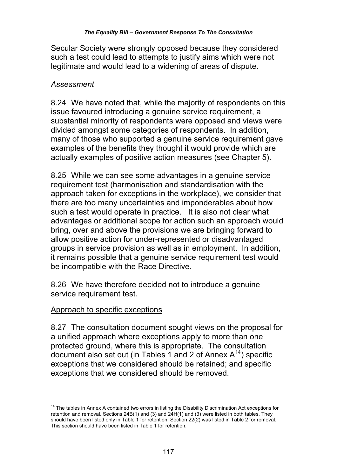Secular Society were strongly opposed because they considered such a test could lead to attempts to justify aims which were not legitimate and would lead to a widening of areas of dispute.

## *Assessment*

8.24 We have noted that, while the majority of respondents on this issue favoured introducing a genuine service requirement, a substantial minority of respondents were opposed and views were divided amongst some categories of respondents. In addition, many of those who supported a genuine service requirement gave examples of the benefits they thought it would provide which are actually examples of positive action measures (see Chapter 5).

8.25 While we can see some advantages in a genuine service requirement test (harmonisation and standardisation with the approach taken for exceptions in the workplace), we consider that there are too many uncertainties and imponderables about how such a test would operate in practice. It is also not clear what advantages or additional scope for action such an approach would bring, over and above the provisions we are bringing forward to allow positive action for under-represented or disadvantaged groups in service provision as well as in employment. In addition, it remains possible that a genuine service requirement test would be incompatible with the Race Directive.

8.26 We have therefore decided not to introduce a genuine service requirement test.

### Approach to specific exceptions

8.27 The consultation document sought views on the proposal for a unified approach where exceptions apply to more than one protected ground, where this is appropriate. The consultation document also set out (in Tables 1 and 2 of Annex  $A^{14}$ ) specific exceptions that we considered should be retained; and specific exceptions that we considered should be removed.

 $\overline{\phantom{a}}$ <sup>14</sup> The tables in Annex A contained two errors in listing the Disability Discrimination Act exceptions for retention and removal. Sections 24B(1) and (3) and 24H(1) and (3) were listed in both tables. They should have been listed only in Table 1 for retention. Section 22(2) was listed in Table 2 for removal. This section should have been listed in Table 1 for retention.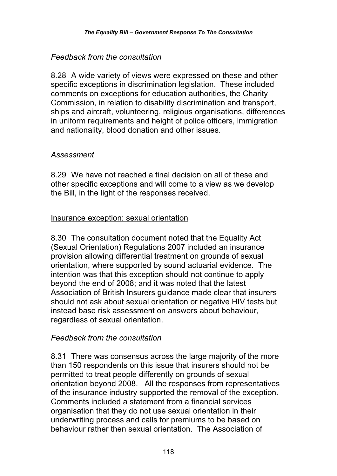## *Feedback from the consultation*

8.28 A wide variety of views were expressed on these and other specific exceptions in discrimination legislation. These included comments on exceptions for education authorities, the Charity Commission, in relation to disability discrimination and transport, ships and aircraft, volunteering, religious organisations, differences in uniform requirements and height of police officers, immigration and nationality, blood donation and other issues.

## *Assessment*

8.29 We have not reached a final decision on all of these and other specific exceptions and will come to a view as we develop the Bill, in the light of the responses received.

## Insurance exception: sexual orientation

8.30 The consultation document noted that the Equality Act (Sexual Orientation) Regulations 2007 included an insurance provision allowing differential treatment on grounds of sexual orientation, where supported by sound actuarial evidence. The intention was that this exception should not continue to apply beyond the end of 2008; and it was noted that the latest Association of British Insurers guidance made clear that insurers should not ask about sexual orientation or negative HIV tests but instead base risk assessment on answers about behaviour, regardless of sexual orientation.

### *Feedback from the consultation*

8.31 There was consensus across the large majority of the more than 150 respondents on this issue that insurers should not be permitted to treat people differently on grounds of sexual orientation beyond 2008. All the responses from representatives of the insurance industry supported the removal of the exception. Comments included a statement from a financial services organisation that they do not use sexual orientation in their underwriting process and calls for premiums to be based on behaviour rather then sexual orientation. The Association of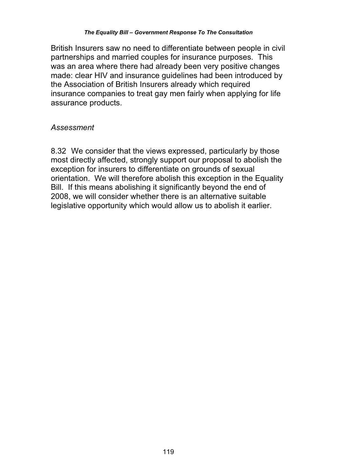British Insurers saw no need to differentiate between people in civil partnerships and married couples for insurance purposes. This was an area where there had already been very positive changes made: clear HIV and insurance guidelines had been introduced by the Association of British Insurers already which required insurance companies to treat gay men fairly when applying for life assurance products.

### *Assessment*

8.32 We consider that the views expressed, particularly by those most directly affected, strongly support our proposal to abolish the exception for insurers to differentiate on grounds of sexual orientation. We will therefore abolish this exception in the Equality Bill. If this means abolishing it significantly beyond the end of 2008, we will consider whether there is an alternative suitable legislative opportunity which would allow us to abolish it earlier.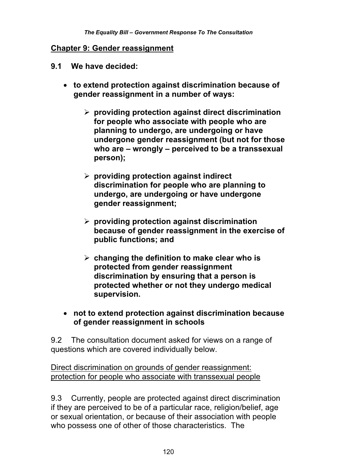#### **Chapter 9: Gender reassignment**

- **9.1 We have decided:** 
	- **to extend protection against discrimination because of gender reassignment in a number of ways:** 
		- **providing protection against direct discrimination for people who associate with people who are planning to undergo, are undergoing or have undergone gender reassignment (but not for those who are – wrongly – perceived to be a transsexual person);**
		- **providing protection against indirect discrimination for people who are planning to undergo, are undergoing or have undergone gender reassignment;**
		- **providing protection against discrimination because of gender reassignment in the exercise of public functions; and**
		- **changing the definition to make clear who is protected from gender reassignment discrimination by ensuring that a person is protected whether or not they undergo medical supervision.**
	- **not to extend protection against discrimination because of gender reassignment in schools**

9.2 The consultation document asked for views on a range of questions which are covered individually below.

Direct discrimination on grounds of gender reassignment: protection for people who associate with transsexual people

9.3 Currently, people are protected against direct discrimination if they are perceived to be of a particular race, religion/belief, age or sexual orientation, or because of their association with people who possess one of other of those characteristics. The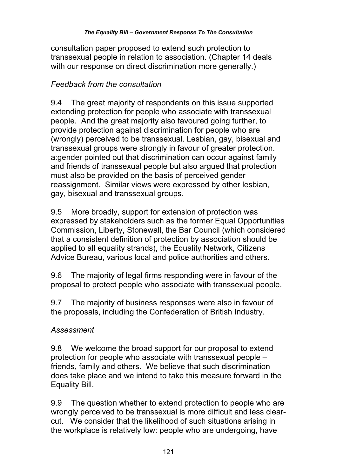consultation paper proposed to extend such protection to transsexual people in relation to association. (Chapter 14 deals with our response on direct discrimination more generally.)

# *Feedback from the consultation*

9.4 The great majority of respondents on this issue supported extending protection for people who associate with transsexual people. And the great majority also favoured going further, to provide protection against discrimination for people who are (wrongly) perceived to be transsexual. Lesbian, gay, bisexual and transsexual groups were strongly in favour of greater protection. a:gender pointed out that discrimination can occur against family and friends of transsexual people but also argued that protection must also be provided on the basis of perceived gender reassignment. Similar views were expressed by other lesbian, gay, bisexual and transsexual groups.

9.5 More broadly, support for extension of protection was expressed by stakeholders such as the former Equal Opportunities Commission, Liberty, Stonewall, the Bar Council (which considered that a consistent definition of protection by association should be applied to all equality strands), the Equality Network, Citizens Advice Bureau, various local and police authorities and others.

9.6 The majority of legal firms responding were in favour of the proposal to protect people who associate with transsexual people.

9.7 The majority of business responses were also in favour of the proposals, including the Confederation of British Industry.

## *Assessment*

9.8 We welcome the broad support for our proposal to extend protection for people who associate with transsexual people – friends, family and others. We believe that such discrimination does take place and we intend to take this measure forward in the Equality Bill.

9.9 The question whether to extend protection to people who are wrongly perceived to be transsexual is more difficult and less clearcut. We consider that the likelihood of such situations arising in the workplace is relatively low: people who are undergoing, have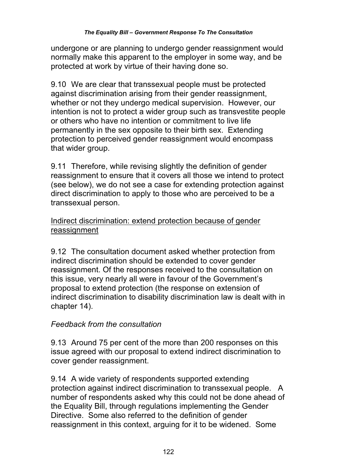undergone or are planning to undergo gender reassignment would normally make this apparent to the employer in some way, and be protected at work by virtue of their having done so.

9.10 We are clear that transsexual people must be protected against discrimination arising from their gender reassignment, whether or not they undergo medical supervision. However, our intention is not to protect a wider group such as transvestite people or others who have no intention or commitment to live life permanently in the sex opposite to their birth sex. Extending protection to perceived gender reassignment would encompass that wider group.

9.11 Therefore, while revising slightly the definition of gender reassignment to ensure that it covers all those we intend to protect (see below), we do not see a case for extending protection against direct discrimination to apply to those who are perceived to be a transsexual person.

## Indirect discrimination: extend protection because of gender reassignment

9.12 The consultation document asked whether protection from indirect discrimination should be extended to cover gender reassignment. Of the responses received to the consultation on this issue, very nearly all were in favour of the Government's proposal to extend protection (the response on extension of indirect discrimination to disability discrimination law is dealt with in chapter 14).

## *Feedback from the consultation*

9.13 Around 75 per cent of the more than 200 responses on this issue agreed with our proposal to extend indirect discrimination to cover gender reassignment.

9.14 A wide variety of respondents supported extending protection against indirect discrimination to transsexual people. A number of respondents asked why this could not be done ahead of the Equality Bill, through regulations implementing the Gender Directive. Some also referred to the definition of gender reassignment in this context, arguing for it to be widened. Some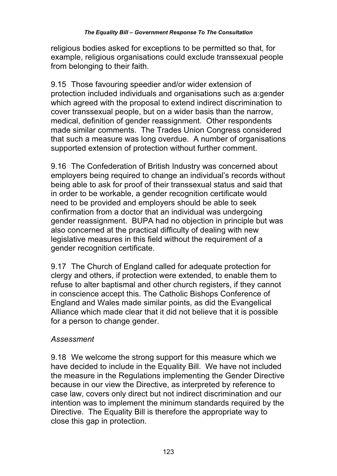religious bodies asked for exceptions to be permitted so that, for example, religious organisations could exclude transsexual people from belonging to their faith.

9.15 Those favouring speedier and/or wider extension of protection included individuals and organisations such as a:gender which agreed with the proposal to extend indirect discrimination to cover transsexual people, but on a wider basis than the narrow, medical, definition of gender reassignment. Other respondents made similar comments. The Trades Union Congress considered that such a measure was long overdue. A number of organisations supported extension of protection without further comment.

9.16 The Confederation of British Industry was concerned about employers being required to change an individual's records without being able to ask for proof of their transsexual status and said that in order to be workable, a gender recognition certificate would need to be provided and employers should be able to seek confirmation from a doctor that an individual was undergoing gender reassignment. BUPA had no objection in principle but was also concerned at the practical difficulty of dealing with new legislative measures in this field without the requirement of a gender recognition certificate.

9.17 The Church of England called for adequate protection for clergy and others, if protection were extended, to enable them to refuse to alter baptismal and other church registers, if they cannot in conscience accept this. The Catholic Bishops Conference of England and Wales made similar points, as did the Evangelical Alliance which made clear that it did not believe that it is possible for a person to change gender.

### *Assessment*

9.18 We welcome the strong support for this measure which we have decided to include in the Equality Bill. We have not included the measure in the Regulations implementing the Gender Directive because in our view the Directive, as interpreted by reference to case law, covers only direct but not indirect discrimination and our intention was to implement the minimum standards required by the Directive. The Equality Bill is therefore the appropriate way to close this gap in protection.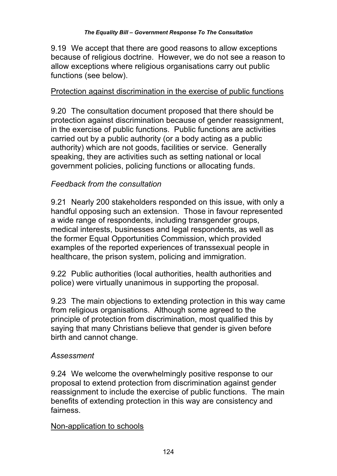9.19 We accept that there are good reasons to allow exceptions because of religious doctrine. However, we do not see a reason to allow exceptions where religious organisations carry out public functions (see below).

## Protection against discrimination in the exercise of public functions

9.20 The consultation document proposed that there should be protection against discrimination because of gender reassignment, in the exercise of public functions. Public functions are activities carried out by a public authority (or a body acting as a public authority) which are not goods, facilities or service. Generally speaking, they are activities such as setting national or local government policies, policing functions or allocating funds.

## *Feedback from the consultation*

9.21 Nearly 200 stakeholders responded on this issue, with only a handful opposing such an extension. Those in favour represented a wide range of respondents, including transgender groups, medical interests, businesses and legal respondents, as well as the former Equal Opportunities Commission, which provided examples of the reported experiences of transsexual people in healthcare, the prison system, policing and immigration.

9.22 Public authorities (local authorities, health authorities and police) were virtually unanimous in supporting the proposal.

9.23 The main objections to extending protection in this way came from religious organisations. Although some agreed to the principle of protection from discrimination, most qualified this by saying that many Christians believe that gender is given before birth and cannot change.

### *Assessment*

9.24 We welcome the overwhelmingly positive response to our proposal to extend protection from discrimination against gender reassignment to include the exercise of public functions. The main benefits of extending protection in this way are consistency and fairness.

### Non-application to schools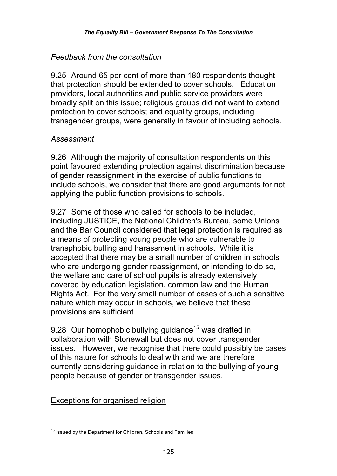## *Feedback from the consultation*

9.25 Around 65 per cent of more than 180 respondents thought that protection should be extended to cover schools. Education providers, local authorities and public service providers were broadly split on this issue; religious groups did not want to extend protection to cover schools; and equality groups, including transgender groups, were generally in favour of including schools.

## *Assessment*

9.26 Although the majority of consultation respondents on this point favoured extending protection against discrimination because of gender reassignment in the exercise of public functions to include schools, we consider that there are good arguments for not applying the public function provisions to schools.

9.27 Some of those who called for schools to be included, including JUSTICE, the National Children's Bureau, some Unions and the Bar Council considered that legal protection is required as a means of protecting young people who are vulnerable to transphobic bulling and harassment in schools. While it is accepted that there may be a small number of children in schools who are undergoing gender reassignment, or intending to do so, the welfare and care of school pupils is already extensively covered by education legislation, common law and the Human Rights Act. For the very small number of cases of such a sensitive nature which may occur in schools, we believe that these provisions are sufficient.

9.28 Our homophobic bullying guidance<sup>15</sup> was drafted in collaboration with Stonewall but does not cover transgender issues. However, we recognise that there could possibly be cases of this nature for schools to deal with and we are therefore currently considering guidance in relation to the bullying of young people because of gender or transgender issues.

## Exceptions for organised religion

 $\overline{\phantom{a}}$ <sup>15</sup> Issued by the Department for Children, Schools and Families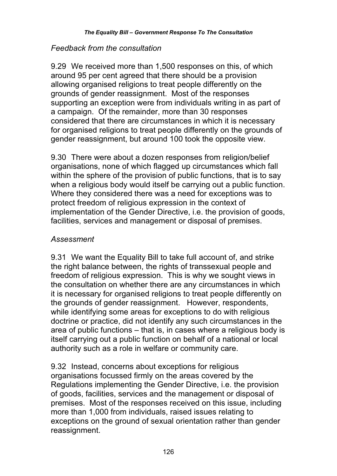## *Feedback from the consultation*

9.29 We received more than 1,500 responses on this, of which around 95 per cent agreed that there should be a provision allowing organised religions to treat people differently on the grounds of gender reassignment. Most of the responses supporting an exception were from individuals writing in as part of a campaign. Of the remainder, more than 30 responses considered that there are circumstances in which it is necessary for organised religions to treat people differently on the grounds of gender reassignment, but around 100 took the opposite view.

9.30 There were about a dozen responses from religion/belief organisations, none of which flagged up circumstances which fall within the sphere of the provision of public functions, that is to say when a religious body would itself be carrying out a public function. Where they considered there was a need for exceptions was to protect freedom of religious expression in the context of implementation of the Gender Directive, i.e. the provision of goods, facilities, services and management or disposal of premises.

### *Assessment*

9.31 We want the Equality Bill to take full account of, and strike the right balance between, the rights of transsexual people and freedom of religious expression. This is why we sought views in the consultation on whether there are any circumstances in which it is necessary for organised religions to treat people differently on the grounds of gender reassignment. However, respondents, while identifying some areas for exceptions to do with religious doctrine or practice, did not identify any such circumstances in the area of public functions – that is, in cases where a religious body is itself carrying out a public function on behalf of a national or local authority such as a role in welfare or community care.

9.32 Instead, concerns about exceptions for religious organisations focussed firmly on the areas covered by the Regulations implementing the Gender Directive, i.e. the provision of goods, facilities, services and the management or disposal of premises. Most of the responses received on this issue, including more than 1,000 from individuals, raised issues relating to exceptions on the ground of sexual orientation rather than gender reassignment.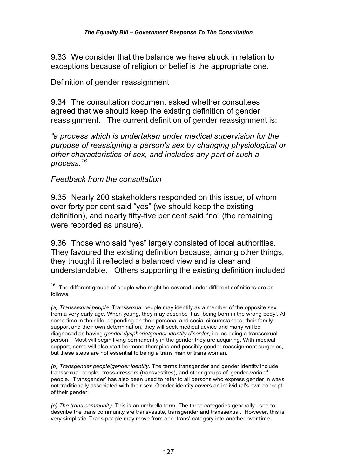9.33 We consider that the balance we have struck in relation to exceptions because of religion or belief is the appropriate one.

#### Definition of gender reassignment

9.34 The consultation document asked whether consultees agreed that we should keep the existing definition of gender reassignment. The current definition of gender reassignment is:

*"a process which is undertaken under medical supervision for the purpose of reassigning a person's sex by changing physiological or other characteristics of sex, and includes any part of such a process.<sup>16</sup>*

#### *Feedback from the consultation*

 $\overline{a}$ 

9.35 Nearly 200 stakeholders responded on this issue, of whom over forty per cent said "yes" (we should keep the existing definition), and nearly fifty-five per cent said "no" (the remaining were recorded as unsure).

9.36 Those who said "yes" largely consisted of local authorities. They favoured the existing definition because, among other things, they thought it reflected a balanced view and is clear and understandable. Others supporting the existing definition included

*(b) Transgender people/gender identity*. The terms transgender and gender identity include transsexual people, cross-dressers (transvestites), and other groups of 'gender-variant' people. 'Transgender' has also been used to refer to all persons who express gender in ways not traditionally associated with their sex. Gender identity covers an individual's own concept of their gender.

 $16$  The different groups of people who might be covered under different definitions are as follows.

*<sup>(</sup>a) Transsexual people*. Transsexual people may identify as a member of the opposite sex from a very early age. When young, they may describe it as 'being born in the wrong body'. At some time in their life, depending on their personal and social circumstances, their family support and their own determination, they will seek medical advice and many will be diagnosed as having *gender dysphoria/gender identity disorder*, i.e. as being a transsexual person. Most will begin living permanently in the gender they are acquiring. With medical support, some will also start hormone therapies and possibly gender reassignment surgeries, but these steps are not essential to being a trans man or trans woman.

*<sup>(</sup>c) The trans community*. This is an umbrella term. The three categories generally used to describe the trans community are transvestite, transgender and transsexual. However, this is very simplistic. Trans people may move from one 'trans' category into another over time.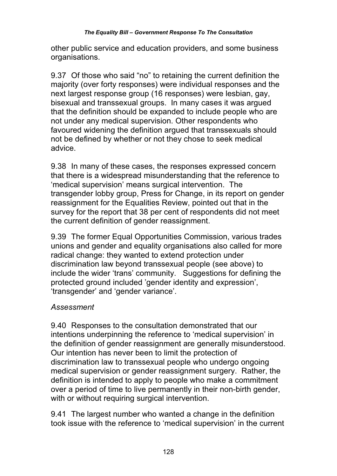#### *The Equality Bill – Government Response To The Consultation*

other public service and education providers, and some business organisations.

9.37 Of those who said "no" to retaining the current definition the majority (over forty responses) were individual responses and the next largest response group (16 responses) were lesbian, gay, bisexual and transsexual groups. In many cases it was argued that the definition should be expanded to include people who are not under any medical supervision. Other respondents who favoured widening the definition argued that transsexuals should not be defined by whether or not they chose to seek medical advice.

9.38 In many of these cases, the responses expressed concern that there is a widespread misunderstanding that the reference to 'medical supervision' means surgical intervention. The transgender lobby group, Press for Change, in its report on gender reassignment for the Equalities Review, pointed out that in the survey for the report that 38 per cent of respondents did not meet the current definition of gender reassignment.

9.39 The former Equal Opportunities Commission, various trades unions and gender and equality organisations also called for more radical change: they wanted to extend protection under discrimination law beyond transsexual people (see above) to include the wider 'trans' community. Suggestions for defining the protected ground included 'gender identity and expression', 'transgender' and 'gender variance'.

#### *Assessment*

9.40 Responses to the consultation demonstrated that our intentions underpinning the reference to 'medical supervision' in the definition of gender reassignment are generally misunderstood. Our intention has never been to limit the protection of discrimination law to transsexual people who undergo ongoing medical supervision or gender reassignment surgery. Rather, the definition is intended to apply to people who make a commitment over a period of time to live permanently in their non-birth gender, with or without requiring surgical intervention.

9.41 The largest number who wanted a change in the definition took issue with the reference to 'medical supervision' in the current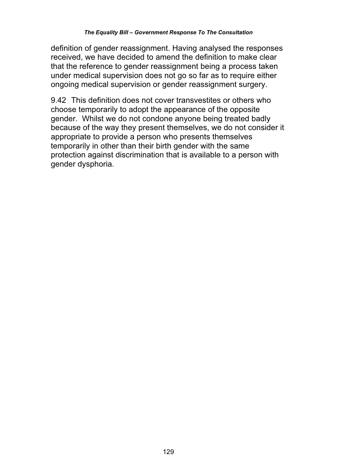definition of gender reassignment. Having analysed the responses received, we have decided to amend the definition to make clear that the reference to gender reassignment being a process taken under medical supervision does not go so far as to require either ongoing medical supervision or gender reassignment surgery.

9.42 This definition does not cover transvestites or others who choose temporarily to adopt the appearance of the opposite gender. Whilst we do not condone anyone being treated badly because of the way they present themselves, we do not consider it appropriate to provide a person who presents themselves temporarily in other than their birth gender with the same protection against discrimination that is available to a person with gender dysphoria.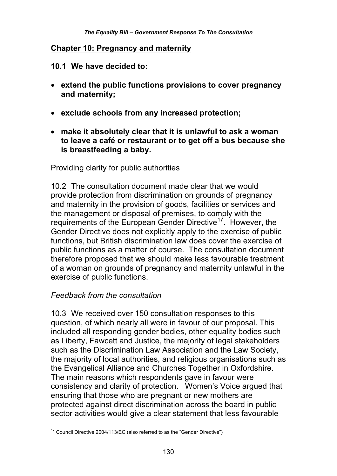#### **Chapter 10: Pregnancy and maternity**

**10.1 We have decided to:** 

- **extend the public functions provisions to cover pregnancy and maternity;**
- **exclude schools from any increased protection;**
- **make it absolutely clear that it is unlawful to ask a woman to leave a café or restaurant or to get off a bus because she is breastfeeding a baby.**

### Providing clarity for public authorities

10.2 The consultation document made clear that we would provide protection from discrimination on grounds of pregnancy and maternity in the provision of goods, facilities or services and the management or disposal of premises, to comply with the requirements of the European Gender Directive<sup>17</sup>. However, the Gender Directive does not explicitly apply to the exercise of public functions, but British discrimination law does cover the exercise of public functions as a matter of course. The consultation document therefore proposed that we should make less favourable treatment of a woman on grounds of pregnancy and maternity unlawful in the exercise of public functions.

### *Feedback from the consultation*

10.3 We received over 150 consultation responses to this question, of which nearly all were in favour of our proposal. This included all responding gender bodies, other equality bodies such as Liberty, Fawcett and Justice, the majority of legal stakeholders such as the Discrimination Law Association and the Law Society, the majority of local authorities, and religious organisations such as the Evangelical Alliance and Churches Together in Oxfordshire. The main reasons which respondents gave in favour were consistency and clarity of protection. Women's Voice argued that ensuring that those who are pregnant or new mothers are protected against direct discrimination across the board in public sector activities would give a clear statement that less favourable

 $\overline{\phantom{a}}$  $17$  Council Directive 2004/113/EC (also referred to as the "Gender Directive")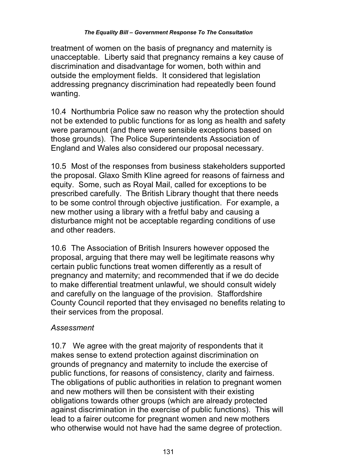treatment of women on the basis of pregnancy and maternity is unacceptable. Liberty said that pregnancy remains a key cause of discrimination and disadvantage for women, both within and outside the employment fields. It considered that legislation addressing pregnancy discrimination had repeatedly been found wanting.

10.4 Northumbria Police saw no reason why the protection should not be extended to public functions for as long as health and safety were paramount (and there were sensible exceptions based on those grounds). The Police Superintendents Association of England and Wales also considered our proposal necessary.

10.5 Most of the responses from business stakeholders supported the proposal. Glaxo Smith Kline agreed for reasons of fairness and equity. Some, such as Royal Mail, called for exceptions to be prescribed carefully. The British Library thought that there needs to be some control through objective justification. For example, a new mother using a library with a fretful baby and causing a disturbance might not be acceptable regarding conditions of use and other readers.

10.6 The Association of British Insurers however opposed the proposal, arguing that there may well be legitimate reasons why certain public functions treat women differently as a result of pregnancy and maternity; and recommended that if we do decide to make differential treatment unlawful, we should consult widely and carefully on the language of the provision. Staffordshire County Council reported that they envisaged no benefits relating to their services from the proposal.

## *Assessment*

10.7 We agree with the great majority of respondents that it makes sense to extend protection against discrimination on grounds of pregnancy and maternity to include the exercise of public functions, for reasons of consistency, clarity and fairness. The obligations of public authorities in relation to pregnant women and new mothers will then be consistent with their existing obligations towards other groups (which are already protected against discrimination in the exercise of public functions). This will lead to a fairer outcome for pregnant women and new mothers who otherwise would not have had the same degree of protection.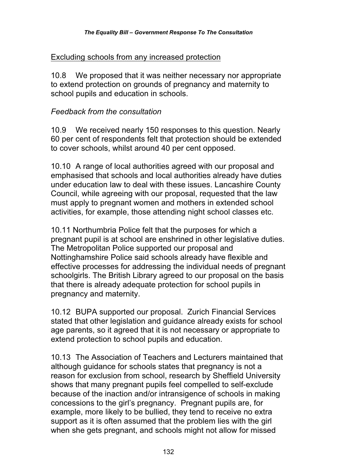## Excluding schools from any increased protection

10.8 We proposed that it was neither necessary nor appropriate to extend protection on grounds of pregnancy and maternity to school pupils and education in schools.

## *Feedback from the consultation*

10.9 We received nearly 150 responses to this question. Nearly 60 per cent of respondents felt that protection should be extended to cover schools, whilst around 40 per cent opposed.

10.10 A range of local authorities agreed with our proposal and emphasised that schools and local authorities already have duties under education law to deal with these issues. Lancashire County Council, while agreeing with our proposal, requested that the law must apply to pregnant women and mothers in extended school activities, for example, those attending night school classes etc.

10.11 Northumbria Police felt that the purposes for which a pregnant pupil is at school are enshrined in other legislative duties. The Metropolitan Police supported our proposal and Nottinghamshire Police said schools already have flexible and effective processes for addressing the individual needs of pregnant schoolgirls. The British Library agreed to our proposal on the basis that there is already adequate protection for school pupils in pregnancy and maternity.

10.12 BUPA supported our proposal. Zurich Financial Services stated that other legislation and guidance already exists for school age parents, so it agreed that it is not necessary or appropriate to extend protection to school pupils and education.

10.13 The Association of Teachers and Lecturers maintained that although guidance for schools states that pregnancy is not a reason for exclusion from school, research by Sheffield University shows that many pregnant pupils feel compelled to self-exclude because of the inaction and/or intransigence of schools in making concessions to the girl's pregnancy. Pregnant pupils are, for example, more likely to be bullied, they tend to receive no extra support as it is often assumed that the problem lies with the girl when she gets pregnant, and schools might not allow for missed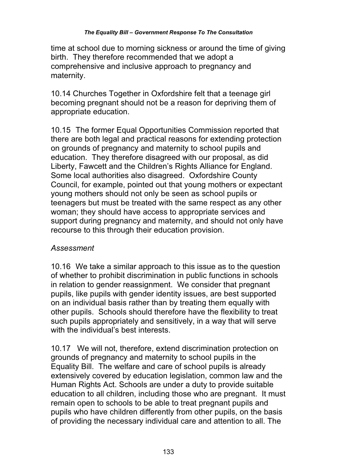time at school due to morning sickness or around the time of giving birth. They therefore recommended that we adopt a comprehensive and inclusive approach to pregnancy and maternity.

10.14 Churches Together in Oxfordshire felt that a teenage girl becoming pregnant should not be a reason for depriving them of appropriate education.

10.15 The former Equal Opportunities Commission reported that there are both legal and practical reasons for extending protection on grounds of pregnancy and maternity to school pupils and education. They therefore disagreed with our proposal, as did Liberty, Fawcett and the Children's Rights Alliance for England. Some local authorities also disagreed. Oxfordshire County Council, for example, pointed out that young mothers or expectant young mothers should not only be seen as school pupils or teenagers but must be treated with the same respect as any other woman; they should have access to appropriate services and support during pregnancy and maternity, and should not only have recourse to this through their education provision.

## *Assessment*

10.16 We take a similar approach to this issue as to the question of whether to prohibit discrimination in public functions in schools in relation to gender reassignment. We consider that pregnant pupils, like pupils with gender identity issues, are best supported on an individual basis rather than by treating them equally with other pupils. Schools should therefore have the flexibility to treat such pupils appropriately and sensitively, in a way that will serve with the individual's best interests.

10.17 We will not, therefore, extend discrimination protection on grounds of pregnancy and maternity to school pupils in the Equality Bill. The welfare and care of school pupils is already extensively covered by education legislation, common law and the Human Rights Act. Schools are under a duty to provide suitable education to all children, including those who are pregnant. It must remain open to schools to be able to treat pregnant pupils and pupils who have children differently from other pupils, on the basis of providing the necessary individual care and attention to all. The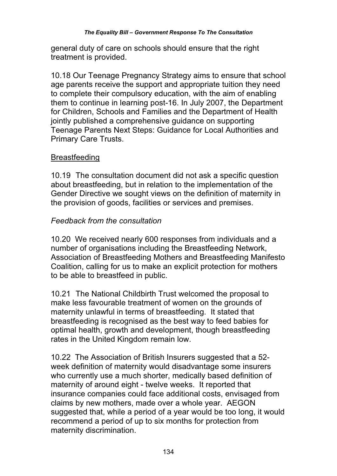general duty of care on schools should ensure that the right treatment is provided.

10.18 Our Teenage Pregnancy Strategy aims to ensure that school age parents receive the support and appropriate tuition they need to complete their compulsory education, with the aim of enabling them to continue in learning post-16. In July 2007, the Department for Children, Schools and Families and the Department of Health jointly published a comprehensive guidance on supporting Teenage Parents Next Steps: Guidance for Local Authorities and Primary Care Trusts.

## **Breastfeeding**

10.19 The consultation document did not ask a specific question about breastfeeding, but in relation to the implementation of the Gender Directive we sought views on the definition of maternity in the provision of goods, facilities or services and premises.

## *Feedback from the consultation*

10.20 We received nearly 600 responses from individuals and a number of organisations including the Breastfeeding Network, Association of Breastfeeding Mothers and Breastfeeding Manifesto Coalition, calling for us to make an explicit protection for mothers to be able to breastfeed in public.

10.21 The National Childbirth Trust welcomed the proposal to make less favourable treatment of women on the grounds of maternity unlawful in terms of breastfeeding. It stated that breastfeeding is recognised as the best way to feed babies for optimal health, growth and development, though breastfeeding rates in the United Kingdom remain low.

10.22 The Association of British Insurers suggested that a 52 week definition of maternity would disadvantage some insurers who currently use a much shorter, medically based definition of maternity of around eight - twelve weeks. It reported that insurance companies could face additional costs, envisaged from claims by new mothers, made over a whole year. AEGON suggested that, while a period of a year would be too long, it would recommend a period of up to six months for protection from maternity discrimination.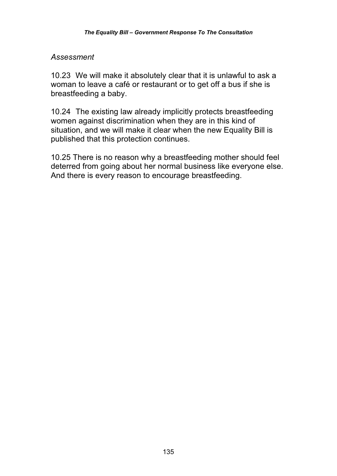#### *Assessment*

10.23 We will make it absolutely clear that it is unlawful to ask a woman to leave a café or restaurant or to get off a bus if she is breastfeeding a baby.

10.24 The existing law already implicitly protects breastfeeding women against discrimination when they are in this kind of situation, and we will make it clear when the new Equality Bill is published that this protection continues.

10.25 There is no reason why a breastfeeding mother should feel deterred from going about her normal business like everyone else. And there is every reason to encourage breastfeeding.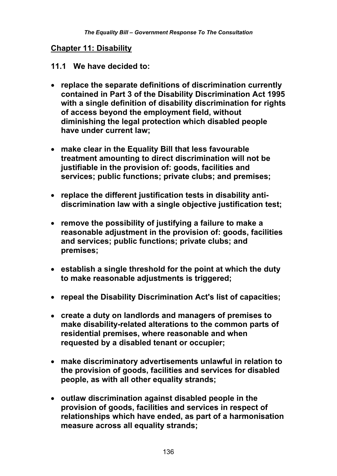#### **Chapter 11: Disability**

#### **11.1 We have decided to:**

- **replace the separate definitions of discrimination currently contained in Part 3 of the Disability Discrimination Act 1995 with a single definition of disability discrimination for rights of access beyond the employment field, without diminishing the legal protection which disabled people have under current law;**
- **make clear in the Equality Bill that less favourable treatment amounting to direct discrimination will not be justifiable in the provision of: goods, facilities and services; public functions; private clubs; and premises;**
- **replace the different justification tests in disability antidiscrimination law with a single objective justification test;**
- **remove the possibility of justifying a failure to make a reasonable adjustment in the provision of: goods, facilities and services; public functions; private clubs; and premises;**
- **establish a single threshold for the point at which the duty to make reasonable adjustments is triggered;**
- **repeal the Disability Discrimination Act's list of capacities;**
- **create a duty on landlords and managers of premises to make disability-related alterations to the common parts of residential premises, where reasonable and when requested by a disabled tenant or occupier;**
- **make discriminatory advertisements unlawful in relation to the provision of goods, facilities and services for disabled people, as with all other equality strands;**
- **outlaw discrimination against disabled people in the provision of goods, facilities and services in respect of relationships which have ended, as part of a harmonisation measure across all equality strands;**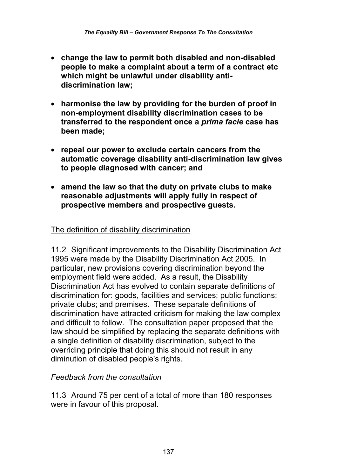- **change the law to permit both disabled and non-disabled people to make a complaint about a term of a contract etc which might be unlawful under disability antidiscrimination law;**
- **harmonise the law by providing for the burden of proof in non-employment disability discrimination cases to be transferred to the respondent once a** *prima facie* **case has been made;**
- **repeal our power to exclude certain cancers from the automatic coverage disability anti-discrimination law gives to people diagnosed with cancer; and**
- **amend the law so that the duty on private clubs to make reasonable adjustments will apply fully in respect of prospective members and prospective guests.**

### The definition of disability discrimination

11.2 Significant improvements to the Disability Discrimination Act 1995 were made by the Disability Discrimination Act 2005. In particular, new provisions covering discrimination beyond the employment field were added. As a result, the Disability Discrimination Act has evolved to contain separate definitions of discrimination for: goods, facilities and services; public functions; private clubs; and premises. These separate definitions of discrimination have attracted criticism for making the law complex and difficult to follow. The consultation paper proposed that the law should be simplified by replacing the separate definitions with a single definition of disability discrimination, subject to the overriding principle that doing this should not result in any diminution of disabled people's rights.

#### *Feedback from the consultation*

11.3 Around 75 per cent of a total of more than 180 responses were in favour of this proposal.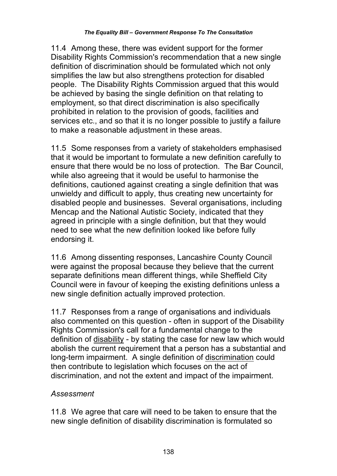11.4 Among these, there was evident support for the former Disability Rights Commission's recommendation that a new single definition of discrimination should be formulated which not only simplifies the law but also strengthens protection for disabled people. The Disability Rights Commission argued that this would be achieved by basing the single definition on that relating to employment, so that direct discrimination is also specifically prohibited in relation to the provision of goods, facilities and services etc., and so that it is no longer possible to justify a failure to make a reasonable adjustment in these areas.

11.5 Some responses from a variety of stakeholders emphasised that it would be important to formulate a new definition carefully to ensure that there would be no loss of protection. The Bar Council, while also agreeing that it would be useful to harmonise the definitions, cautioned against creating a single definition that was unwieldy and difficult to apply, thus creating new uncertainty for disabled people and businesses. Several organisations, including Mencap and the National Autistic Society, indicated that they agreed in principle with a single definition, but that they would need to see what the new definition looked like before fully endorsing it.

11.6 Among dissenting responses, Lancashire County Council were against the proposal because they believe that the current separate definitions mean different things, while Sheffield City Council were in favour of keeping the existing definitions unless a new single definition actually improved protection.

11.7 Responses from a range of organisations and individuals also commented on this question - often in support of the Disability Rights Commission's call for a fundamental change to the definition of disability - by stating the case for new law which would abolish the current requirement that a person has a substantial and long-term impairment. A single definition of discrimination could then contribute to legislation which focuses on the act of discrimination, and not the extent and impact of the impairment.

### *Assessment*

11.8 We agree that care will need to be taken to ensure that the new single definition of disability discrimination is formulated so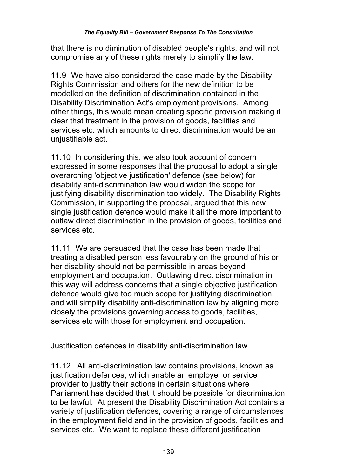that there is no diminution of disabled people's rights, and will not compromise any of these rights merely to simplify the law.

11.9 We have also considered the case made by the Disability Rights Commission and others for the new definition to be modelled on the definition of discrimination contained in the Disability Discrimination Act's employment provisions. Among other things, this would mean creating specific provision making it clear that treatment in the provision of goods, facilities and services etc. which amounts to direct discrimination would be an unjustifiable act.

11.10 In considering this, we also took account of concern expressed in some responses that the proposal to adopt a single overarching 'objective justification' defence (see below) for disability anti-discrimination law would widen the scope for justifying disability discrimination too widely. The Disability Rights Commission, in supporting the proposal, argued that this new single justification defence would make it all the more important to outlaw direct discrimination in the provision of goods, facilities and services etc.

11.11 We are persuaded that the case has been made that treating a disabled person less favourably on the ground of his or her disability should not be permissible in areas beyond employment and occupation. Outlawing direct discrimination in this way will address concerns that a single objective justification defence would give too much scope for justifying discrimination, and will simplify disability anti-discrimination law by aligning more closely the provisions governing access to goods, facilities, services etc with those for employment and occupation.

# Justification defences in disability anti-discrimination law

11.12 All anti-discrimination law contains provisions, known as justification defences, which enable an employer or service provider to justify their actions in certain situations where Parliament has decided that it should be possible for discrimination to be lawful. At present the Disability Discrimination Act contains a variety of justification defences, covering a range of circumstances in the employment field and in the provision of goods, facilities and services etc. We want to replace these different justification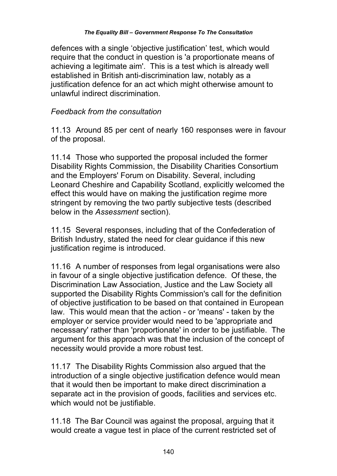defences with a single 'objective justification' test, which would require that the conduct in question is 'a proportionate means of achieving a legitimate aim'. This is a test which is already well established in British anti-discrimination law, notably as a justification defence for an act which might otherwise amount to unlawful indirect discrimination.

## *Feedback from the consultation*

11.13 Around 85 per cent of nearly 160 responses were in favour of the proposal.

11.14 Those who supported the proposal included the former Disability Rights Commission, the Disability Charities Consortium and the Employers' Forum on Disability. Several, including Leonard Cheshire and Capability Scotland, explicitly welcomed the effect this would have on making the justification regime more stringent by removing the two partly subjective tests (described below in the *Assessment* section).

11.15 Several responses, including that of the Confederation of British Industry, stated the need for clear guidance if this new justification regime is introduced.

11.16 A number of responses from legal organisations were also in favour of a single objective justification defence. Of these, the Discrimination Law Association, Justice and the Law Society all supported the Disability Rights Commission's call for the definition of objective justification to be based on that contained in European law. This would mean that the action - or 'means' - taken by the employer or service provider would need to be 'appropriate and necessary' rather than 'proportionate' in order to be justifiable. The argument for this approach was that the inclusion of the concept of necessity would provide a more robust test.

11.17 The Disability Rights Commission also argued that the introduction of a single objective justification defence would mean that it would then be important to make direct discrimination a separate act in the provision of goods, facilities and services etc. which would not be justifiable.

11.18 The Bar Council was against the proposal, arguing that it would create a vague test in place of the current restricted set of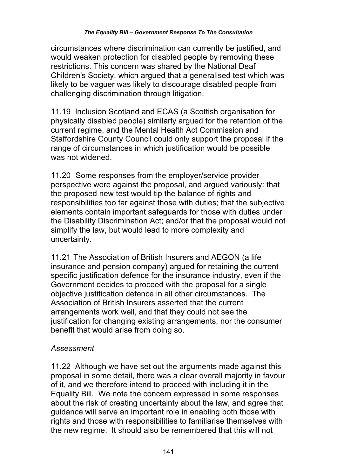circumstances where discrimination can currently be justified, and would weaken protection for disabled people by removing these restrictions. This concern was shared by the National Deaf Children's Society, which argued that a generalised test which was likely to be vaguer was likely to discourage disabled people from challenging discrimination through litigation.

11.19 Inclusion Scotland and ECAS (a Scottish organisation for physically disabled people) similarly argued for the retention of the current regime, and the Mental Health Act Commission and Staffordshire County Council could only support the proposal if the range of circumstances in which justification would be possible was not widened.

11.20 Some responses from the employer/service provider perspective were against the proposal, and argued variously: that the proposed new test would tip the balance of rights and responsibilities too far against those with duties; that the subjective elements contain important safeguards for those with duties under the Disability Discrimination Act; and/or that the proposal would not simplify the law, but would lead to more complexity and uncertainty.

11.21 The Association of British Insurers and AEGON (a life insurance and pension company) argued for retaining the current specific justification defence for the insurance industry, even if the Government decides to proceed with the proposal for a single objective justification defence in all other circumstances. The Association of British Insurers asserted that the current arrangements work well, and that they could not see the justification for changing existing arrangements, nor the consumer benefit that would arise from doing so.

## *Assessment*

11.22 Although we have set out the arguments made against this proposal in some detail, there was a clear overall majority in favour of it, and we therefore intend to proceed with including it in the Equality Bill. We note the concern expressed in some responses about the risk of creating uncertainty about the law, and agree that guidance will serve an important role in enabling both those with rights and those with responsibilities to familiarise themselves with the new regime. It should also be remembered that this will not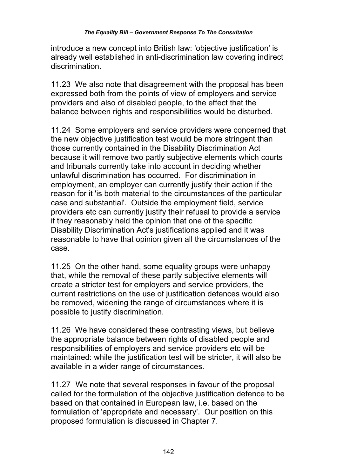introduce a new concept into British law: 'objective justification' is already well established in anti-discrimination law covering indirect discrimination.

11.23 We also note that disagreement with the proposal has been expressed both from the points of view of employers and service providers and also of disabled people, to the effect that the balance between rights and responsibilities would be disturbed.

11.24 Some employers and service providers were concerned that the new objective justification test would be more stringent than those currently contained in the Disability Discrimination Act because it will remove two partly subjective elements which courts and tribunals currently take into account in deciding whether unlawful discrimination has occurred. For discrimination in employment, an employer can currently justify their action if the reason for it 'is both material to the circumstances of the particular case and substantial'. Outside the employment field, service providers etc can currently justify their refusal to provide a service if they reasonably held the opinion that one of the specific Disability Discrimination Act's justifications applied and it was reasonable to have that opinion given all the circumstances of the case.

11.25 On the other hand, some equality groups were unhappy that, while the removal of these partly subjective elements will create a stricter test for employers and service providers, the current restrictions on the use of justification defences would also be removed, widening the range of circumstances where it is possible to justify discrimination.

11.26 We have considered these contrasting views, but believe the appropriate balance between rights of disabled people and responsibilities of employers and service providers etc will be maintained: while the justification test will be stricter, it will also be available in a wider range of circumstances.

11.27 We note that several responses in favour of the proposal called for the formulation of the objective justification defence to be based on that contained in European law, i.e. based on the formulation of 'appropriate and necessary'. Our position on this proposed formulation is discussed in Chapter 7.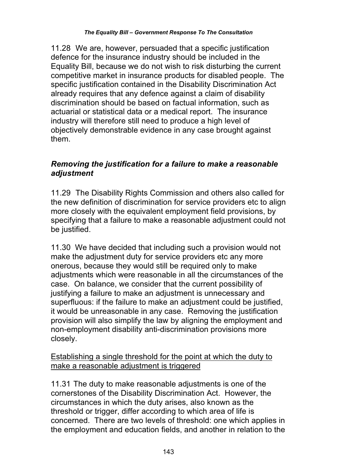11.28 We are, however, persuaded that a specific justification defence for the insurance industry should be included in the Equality Bill, because we do not wish to risk disturbing the current competitive market in insurance products for disabled people. The specific justification contained in the Disability Discrimination Act already requires that any defence against a claim of disability discrimination should be based on factual information, such as actuarial or statistical data or a medical report. The insurance industry will therefore still need to produce a high level of objectively demonstrable evidence in any case brought against them.

## *Removing the justification for a failure to make a reasonable adjustment*

11.29 The Disability Rights Commission and others also called for the new definition of discrimination for service providers etc to align more closely with the equivalent employment field provisions, by specifying that a failure to make a reasonable adjustment could not be justified.

11.30 We have decided that including such a provision would not make the adjustment duty for service providers etc any more onerous, because they would still be required only to make adjustments which were reasonable in all the circumstances of the case. On balance, we consider that the current possibility of justifying a failure to make an adjustment is unnecessary and superfluous: if the failure to make an adjustment could be justified, it would be unreasonable in any case. Removing the justification provision will also simplify the law by aligning the employment and non-employment disability anti-discrimination provisions more closely.

### Establishing a single threshold for the point at which the duty to make a reasonable adjustment is triggered

11.31 The duty to make reasonable adjustments is one of the cornerstones of the Disability Discrimination Act. However, the circumstances in which the duty arises, also known as the threshold or trigger, differ according to which area of life is concerned. There are two levels of threshold: one which applies in the employment and education fields, and another in relation to the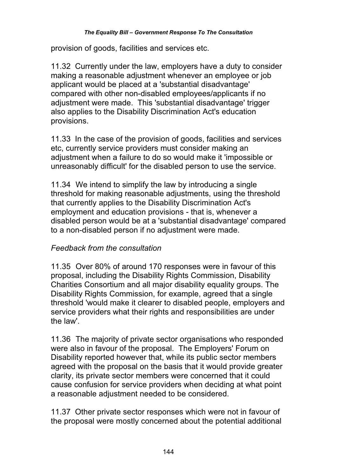#### *The Equality Bill – Government Response To The Consultation*

provision of goods, facilities and services etc.

11.32 Currently under the law, employers have a duty to consider making a reasonable adjustment whenever an employee or job applicant would be placed at a 'substantial disadvantage' compared with other non-disabled employees/applicants if no adiustment were made. This 'substantial disadvantage' trigger also applies to the Disability Discrimination Act's education provisions.

11.33 In the case of the provision of goods, facilities and services etc, currently service providers must consider making an adjustment when a failure to do so would make it 'impossible or unreasonably difficult' for the disabled person to use the service.

11.34 We intend to simplify the law by introducing a single threshold for making reasonable adjustments, using the threshold that currently applies to the Disability Discrimination Act's employment and education provisions - that is, whenever a disabled person would be at a 'substantial disadvantage' compared to a non-disabled person if no adjustment were made.

#### *Feedback from the consultation*

11.35 Over 80% of around 170 responses were in favour of this proposal, including the Disability Rights Commission, Disability Charities Consortium and all major disability equality groups. The Disability Rights Commission, for example, agreed that a single threshold 'would make it clearer to disabled people, employers and service providers what their rights and responsibilities are under the law'.

11.36 The majority of private sector organisations who responded were also in favour of the proposal. The Employers' Forum on Disability reported however that, while its public sector members agreed with the proposal on the basis that it would provide greater clarity, its private sector members were concerned that it could cause confusion for service providers when deciding at what point a reasonable adjustment needed to be considered.

11.37 Other private sector responses which were not in favour of the proposal were mostly concerned about the potential additional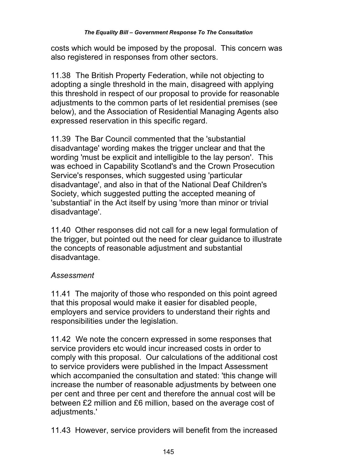costs which would be imposed by the proposal. This concern was also registered in responses from other sectors.

11.38 The British Property Federation, while not objecting to adopting a single threshold in the main, disagreed with applying this threshold in respect of our proposal to provide for reasonable adjustments to the common parts of let residential premises (see below), and the Association of Residential Managing Agents also expressed reservation in this specific regard.

11.39 The Bar Council commented that the 'substantial disadvantage' wording makes the trigger unclear and that the wording 'must be explicit and intelligible to the lay person'. This was echoed in Capability Scotland's and the Crown Prosecution Service's responses, which suggested using 'particular disadvantage', and also in that of the National Deaf Children's Society, which suggested putting the accepted meaning of 'substantial' in the Act itself by using 'more than minor or trivial disadvantage'.

11.40 Other responses did not call for a new legal formulation of the trigger, but pointed out the need for clear guidance to illustrate the concepts of reasonable adjustment and substantial disadvantage.

# *Assessment*

11.41 The majority of those who responded on this point agreed that this proposal would make it easier for disabled people, employers and service providers to understand their rights and responsibilities under the legislation.

11.42 We note the concern expressed in some responses that service providers etc would incur increased costs in order to comply with this proposal. Our calculations of the additional cost to service providers were published in the Impact Assessment which accompanied the consultation and stated: 'this change will increase the number of reasonable adjustments by between one per cent and three per cent and therefore the annual cost will be between £2 million and £6 million, based on the average cost of adiustments.'

11.43 However, service providers will benefit from the increased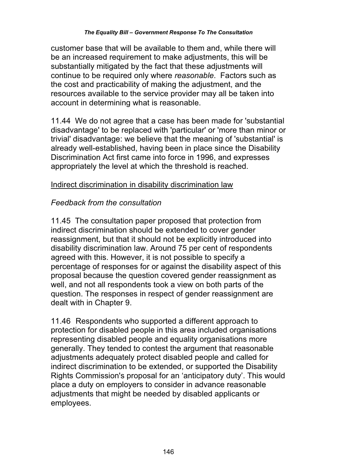customer base that will be available to them and, while there will be an increased requirement to make adjustments, this will be substantially mitigated by the fact that these adjustments will continue to be required only where *reasonable*. Factors such as the cost and practicability of making the adjustment, and the resources available to the service provider may all be taken into account in determining what is reasonable.

11.44 We do not agree that a case has been made for 'substantial disadvantage' to be replaced with 'particular' or 'more than minor or trivial' disadvantage: we believe that the meaning of 'substantial' is already well-established, having been in place since the Disability Discrimination Act first came into force in 1996, and expresses appropriately the level at which the threshold is reached.

### Indirect discrimination in disability discrimination law

### *Feedback from the consultation*

11.45 The consultation paper proposed that protection from indirect discrimination should be extended to cover gender reassignment, but that it should not be explicitly introduced into disability discrimination law. Around 75 per cent of respondents agreed with this. However, it is not possible to specify a percentage of responses for or against the disability aspect of this proposal because the question covered gender reassignment as well, and not all respondents took a view on both parts of the question. The responses in respect of gender reassignment are dealt with in Chapter 9.

11.46 Respondents who supported a different approach to protection for disabled people in this area included organisations representing disabled people and equality organisations more generally. They tended to contest the argument that reasonable adjustments adequately protect disabled people and called for indirect discrimination to be extended, or supported the Disability Rights Commission's proposal for an 'anticipatory duty'. This would place a duty on employers to consider in advance reasonable adjustments that might be needed by disabled applicants or employees.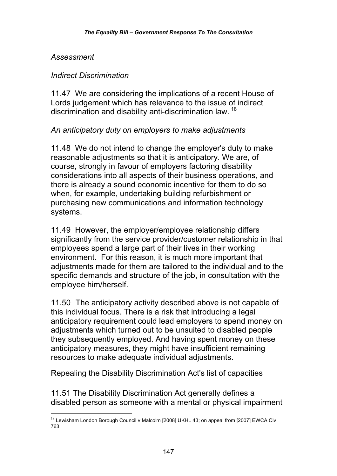### *Assessment*

 $\overline{a}$ 

### *Indirect Discrimination*

11.47 We are considering the implications of a recent House of Lords judgement which has relevance to the issue of indirect discrimination and disability anti-discrimination law. <sup>18</sup>

### *An anticipatory duty on employers to make adjustments*

11.48 We do not intend to change the employer's duty to make reasonable adjustments so that it is anticipatory. We are, of course, strongly in favour of employers factoring disability considerations into all aspects of their business operations, and there is already a sound economic incentive for them to do so when, for example, undertaking building refurbishment or purchasing new communications and information technology systems.

11.49 However, the employer/employee relationship differs significantly from the service provider/customer relationship in that employees spend a large part of their lives in their working environment. For this reason, it is much more important that adjustments made for them are tailored to the individual and to the specific demands and structure of the job, in consultation with the employee him/herself.

11.50 The anticipatory activity described above is not capable of this individual focus. There is a risk that introducing a legal anticipatory requirement could lead employers to spend money on adjustments which turned out to be unsuited to disabled people they subsequently employed. And having spent money on these anticipatory measures, they might have insufficient remaining resources to make adequate individual adjustments.

### Repealing the Disability Discrimination Act's list of capacities

11.51 The Disability Discrimination Act generally defines a disabled person as someone with a mental or physical impairment

 $^{18}$  Lewisham London Borough Council v Malcolm [2008] UKHL 43; on appeal from [2007] EWCA Civ 763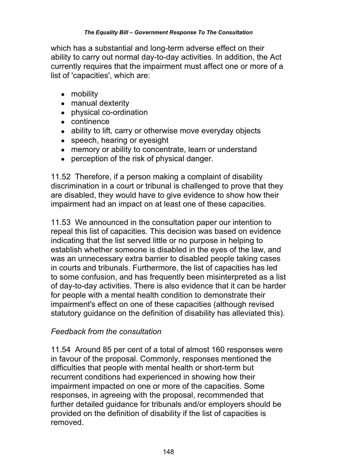which has a substantial and long-term adverse effect on their ability to carry out normal day-to-day activities. In addition, the Act currently requires that the impairment must affect one or more of a list of 'capacities', which are:

- mobility
- manual dexterity
- physical co-ordination
- continence
- ability to lift, carry or otherwise move everyday objects
- speech, hearing or eyesight
- memory or ability to concentrate, learn or understand
- perception of the risk of physical danger.

11.52 Therefore, if a person making a complaint of disability discrimination in a court or tribunal is challenged to prove that they are disabled, they would have to give evidence to show how their impairment had an impact on at least one of these capacities.

11.53 We announced in the consultation paper our intention to repeal this list of capacities. This decision was based on evidence indicating that the list served little or no purpose in helping to establish whether someone is disabled in the eyes of the law, and was an unnecessary extra barrier to disabled people taking cases in courts and tribunals. Furthermore, the list of capacities has led to some confusion, and has frequently been misinterpreted as a list of day-to-day activities. There is also evidence that it can be harder for people with a mental health condition to demonstrate their impairment's effect on one of these capacities (although revised statutory guidance on the definition of disability has alleviated this).

### *Feedback from the consultation*

11.54 Around 85 per cent of a total of almost 160 responses were in favour of the proposal. Commonly, responses mentioned the difficulties that people with mental health or short-term but recurrent conditions had experienced in showing how their impairment impacted on one or more of the capacities. Some responses, in agreeing with the proposal, recommended that further detailed guidance for tribunals and/or employers should be provided on the definition of disability if the list of capacities is removed.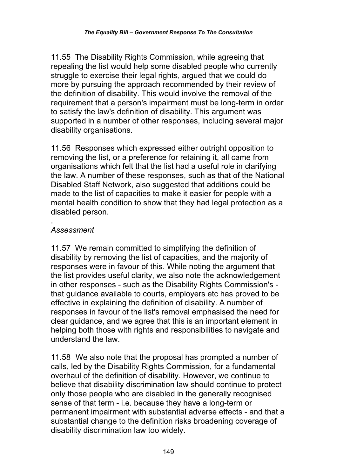11.55 The Disability Rights Commission, while agreeing that repealing the list would help some disabled people who currently struggle to exercise their legal rights, argued that we could do more by pursuing the approach recommended by their review of the definition of disability. This would involve the removal of the requirement that a person's impairment must be long-term in order to satisfy the law's definition of disability. This argument was supported in a number of other responses, including several major disability organisations.

11.56 Responses which expressed either outright opposition to removing the list, or a preference for retaining it, all came from organisations which felt that the list had a useful role in clarifying the law. A number of these responses, such as that of the National Disabled Staff Network, also suggested that additions could be made to the list of capacities to make it easier for people with a mental health condition to show that they had legal protection as a disabled person.

#### . *Assessment*

11.57 We remain committed to simplifying the definition of disability by removing the list of capacities, and the majority of responses were in favour of this. While noting the argument that the list provides useful clarity, we also note the acknowledgement in other responses - such as the Disability Rights Commission's that guidance available to courts, employers etc has proved to be effective in explaining the definition of disability. A number of responses in favour of the list's removal emphasised the need for clear guidance, and we agree that this is an important element in helping both those with rights and responsibilities to navigate and understand the law.

11.58 We also note that the proposal has prompted a number of calls, led by the Disability Rights Commission, for a fundamental overhaul of the definition of disability. However, we continue to believe that disability discrimination law should continue to protect only those people who are disabled in the generally recognised sense of that term - i.e. because they have a long-term or permanent impairment with substantial adverse effects - and that a substantial change to the definition risks broadening coverage of disability discrimination law too widely.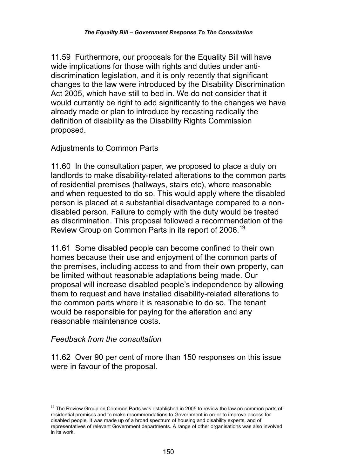11.59 Furthermore, our proposals for the Equality Bill will have wide implications for those with rights and duties under antidiscrimination legislation, and it is only recently that significant changes to the law were introduced by the Disability Discrimination Act 2005, which have still to bed in. We do not consider that it would currently be right to add significantly to the changes we have already made or plan to introduce by recasting radically the definition of disability as the Disability Rights Commission proposed.

### Adjustments to Common Parts

11.60 In the consultation paper, we proposed to place a duty on landlords to make disability-related alterations to the common parts of residential premises (hallways, stairs etc), where reasonable and when requested to do so. This would apply where the disabled person is placed at a substantial disadvantage compared to a nondisabled person. Failure to comply with the duty would be treated as discrimination. This proposal followed a recommendation of the Review Group on Common Parts in its report of 2006.<sup>19</sup>

11.61 Some disabled people can become confined to their own homes because their use and enjoyment of the common parts of the premises, including access to and from their own property, can be limited without reasonable adaptations being made. Our proposal will increase disabled people's independence by allowing them to request and have installed disability-related alterations to the common parts where it is reasonable to do so. The tenant would be responsible for paying for the alteration and any reasonable maintenance costs.

#### *Feedback from the consultation*

 $\overline{a}$ 

11.62 Over 90 per cent of more than 150 responses on this issue were in favour of the proposal.

 $19$  The Review Group on Common Parts was established in 2005 to review the law on common parts of residential premises and to make recommendations to Government in order to improve access for disabled people. It was made up of a broad spectrum of housing and disability experts, and of representatives of relevant Government departments. A range of other organisations was also involved in its work.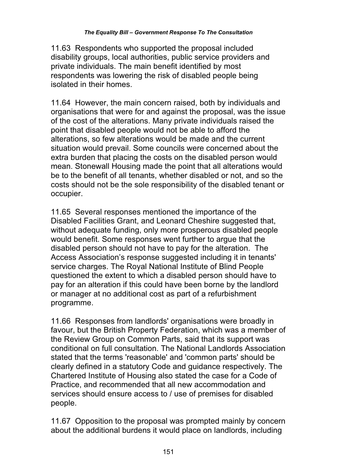11.63 Respondents who supported the proposal included disability groups, local authorities, public service providers and private individuals. The main benefit identified by most respondents was lowering the risk of disabled people being isolated in their homes.

11.64 However, the main concern raised, both by individuals and organisations that were for and against the proposal, was the issue of the cost of the alterations. Many private individuals raised the point that disabled people would not be able to afford the alterations, so few alterations would be made and the current situation would prevail. Some councils were concerned about the extra burden that placing the costs on the disabled person would mean. Stonewall Housing made the point that all alterations would be to the benefit of all tenants, whether disabled or not, and so the costs should not be the sole responsibility of the disabled tenant or occupier.

11.65 Several responses mentioned the importance of the Disabled Facilities Grant, and Leonard Cheshire suggested that, without adequate funding, only more prosperous disabled people would benefit. Some responses went further to argue that the disabled person should not have to pay for the alteration. The Access Association's response suggested including it in tenants' service charges. The Royal National Institute of Blind People questioned the extent to which a disabled person should have to pay for an alteration if this could have been borne by the landlord or manager at no additional cost as part of a refurbishment programme.

11.66 Responses from landlords' organisations were broadly in favour, but the British Property Federation, which was a member of the Review Group on Common Parts, said that its support was conditional on full consultation. The National Landlords Association stated that the terms 'reasonable' and 'common parts' should be clearly defined in a statutory Code and guidance respectively. The Chartered Institute of Housing also stated the case for a Code of Practice, and recommended that all new accommodation and services should ensure access to / use of premises for disabled people.

11.67 Opposition to the proposal was prompted mainly by concern about the additional burdens it would place on landlords, including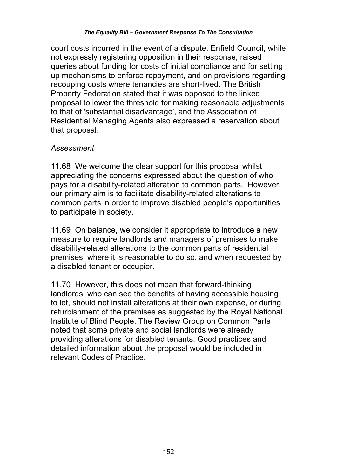#### *The Equality Bill – Government Response To The Consultation*

court costs incurred in the event of a dispute. Enfield Council, while not expressly registering opposition in their response, raised queries about funding for costs of initial compliance and for setting up mechanisms to enforce repayment, and on provisions regarding recouping costs where tenancies are short-lived. The British Property Federation stated that it was opposed to the linked proposal to lower the threshold for making reasonable adjustments to that of 'substantial disadvantage', and the Association of Residential Managing Agents also expressed a reservation about that proposal.

#### *Assessment*

11.68 We welcome the clear support for this proposal whilst appreciating the concerns expressed about the question of who pays for a disability-related alteration to common parts. However, our primary aim is to facilitate disability-related alterations to common parts in order to improve disabled people's opportunities to participate in society.

11.69 On balance, we consider it appropriate to introduce a new measure to require landlords and managers of premises to make disability-related alterations to the common parts of residential premises, where it is reasonable to do so, and when requested by a disabled tenant or occupier.

11.70 However, this does not mean that forward-thinking landlords, who can see the benefits of having accessible housing to let, should not install alterations at their own expense, or during refurbishment of the premises as suggested by the Royal National Institute of Blind People. The Review Group on Common Parts noted that some private and social landlords were already providing alterations for disabled tenants. Good practices and detailed information about the proposal would be included in relevant Codes of Practice.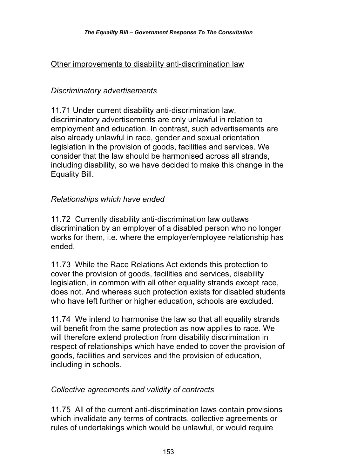### Other improvements to disability anti-discrimination law

## *Discriminatory advertisements*

11.71 Under current disability anti-discrimination law, discriminatory advertisements are only unlawful in relation to employment and education. In contrast, such advertisements are also already unlawful in race, gender and sexual orientation legislation in the provision of goods, facilities and services. We consider that the law should be harmonised across all strands, including disability, so we have decided to make this change in the Equality Bill.

### *Relationships which have ended*

11.72 Currently disability anti-discrimination law outlaws discrimination by an employer of a disabled person who no longer works for them, i.e. where the employer/employee relationship has ended.

11.73 While the Race Relations Act extends this protection to cover the provision of goods, facilities and services, disability legislation, in common with all other equality strands except race, does not. And whereas such protection exists for disabled students who have left further or higher education, schools are excluded.

11.74 We intend to harmonise the law so that all equality strands will benefit from the same protection as now applies to race. We will therefore extend protection from disability discrimination in respect of relationships which have ended to cover the provision of goods, facilities and services and the provision of education, including in schools.

### *Collective agreements and validity of contracts*

11.75 All of the current anti-discrimination laws contain provisions which invalidate any terms of contracts, collective agreements or rules of undertakings which would be unlawful, or would require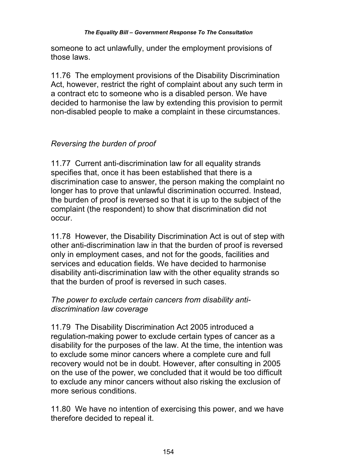someone to act unlawfully, under the employment provisions of those laws.

11.76 The employment provisions of the Disability Discrimination Act, however, restrict the right of complaint about any such term in a contract etc to someone who is a disabled person. We have decided to harmonise the law by extending this provision to permit non-disabled people to make a complaint in these circumstances.

# *Reversing the burden of proof*

11.77 Current anti-discrimination law for all equality strands specifies that, once it has been established that there is a discrimination case to answer, the person making the complaint no longer has to prove that unlawful discrimination occurred. Instead, the burden of proof is reversed so that it is up to the subject of the complaint (the respondent) to show that discrimination did not occur.

11.78 However, the Disability Discrimination Act is out of step with other anti-discrimination law in that the burden of proof is reversed only in employment cases, and not for the goods, facilities and services and education fields. We have decided to harmonise disability anti-discrimination law with the other equality strands so that the burden of proof is reversed in such cases.

### *The power to exclude certain cancers from disability antidiscrimination law coverage*

11.79 The Disability Discrimination Act 2005 introduced a regulation-making power to exclude certain types of cancer as a disability for the purposes of the law. At the time, the intention was to exclude some minor cancers where a complete cure and full recovery would not be in doubt. However, after consulting in 2005 on the use of the power, we concluded that it would be too difficult to exclude any minor cancers without also risking the exclusion of more serious conditions.

11.80 We have no intention of exercising this power, and we have therefore decided to repeal it.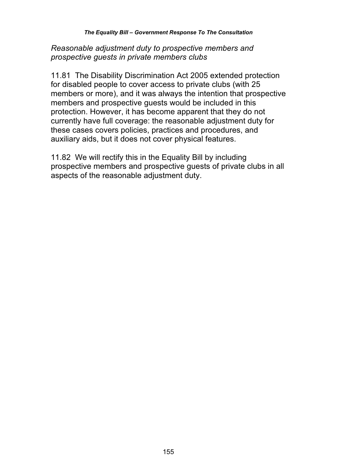*Reasonable adjustment duty to prospective members and prospective guests in private members clubs* 

11.81 The Disability Discrimination Act 2005 extended protection for disabled people to cover access to private clubs (with 25 members or more), and it was always the intention that prospective members and prospective guests would be included in this protection. However, it has become apparent that they do not currently have full coverage: the reasonable adjustment duty for these cases covers policies, practices and procedures, and auxiliary aids, but it does not cover physical features.

11.82 We will rectify this in the Equality Bill by including prospective members and prospective guests of private clubs in all aspects of the reasonable adjustment duty.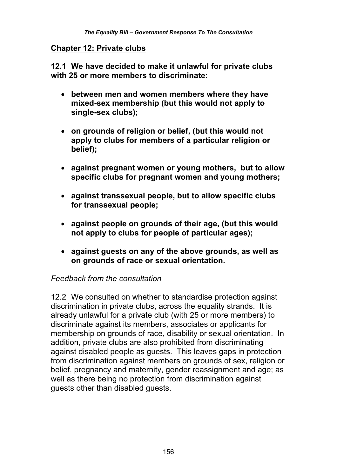#### **Chapter 12: Private clubs**

**12.1 We have decided to make it unlawful for private clubs with 25 or more members to discriminate:** 

- **between men and women members where they have mixed-sex membership (but this would not apply to single-sex clubs);**
- **on grounds of religion or belief, (but this would not apply to clubs for members of a particular religion or belief);**
- **against pregnant women or young mothers, but to allow specific clubs for pregnant women and young mothers;**
- **against transsexual people, but to allow specific clubs for transsexual people;**
- **against people on grounds of their age, (but this would not apply to clubs for people of particular ages);**
- **against guests on any of the above grounds, as well as on grounds of race or sexual orientation.**

#### *Feedback from the consultation*

12.2 We consulted on whether to standardise protection against discrimination in private clubs, across the equality strands. It is already unlawful for a private club (with 25 or more members) to discriminate against its members, associates or applicants for membership on grounds of race, disability or sexual orientation. In addition, private clubs are also prohibited from discriminating against disabled people as guests. This leaves gaps in protection from discrimination against members on grounds of sex, religion or belief, pregnancy and maternity, gender reassignment and age; as well as there being no protection from discrimination against guests other than disabled guests.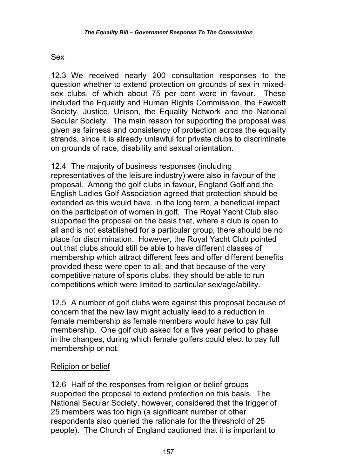# Sex

12.3 We received nearly 200 consultation responses to the question whether to extend protection on grounds of sex in mixedsex clubs, of which about 75 per cent were in favour. These included the Equality and Human Rights Commission, the Fawcett Society, Justice, Unison, the Equality Network and the National Secular Society. The main reason for supporting the proposal was given as fairness and consistency of protection across the equality strands, since it is already unlawful for private clubs to discriminate on grounds of race, disability and sexual orientation.

12.4 The majority of business responses (including representatives of the leisure industry) were also in favour of the proposal. Among the golf clubs in favour, England Golf and the English Ladies Golf Association agreed that protection should be extended as this would have, in the long term, a beneficial impact on the participation of women in golf. The Royal Yacht Club also supported the proposal on the basis that, where a club is open to all and is not established for a particular group, there should be no place for discrimination. However, the Royal Yacht Club pointed out that clubs should still be able to have different classes of membership which attract different fees and offer different benefits provided these were open to all; and that because of the very competitive nature of sports clubs, they should be able to run competitions which were limited to particular sex/age/ability.

12.5 A number of golf clubs were against this proposal because of concern that the new law might actually lead to a reduction in female membership as female members would have to pay full membership. One golf club asked for a five year period to phase in the changes, during which female golfers could elect to pay full membership or not.

# Religion or belief

12.6 Half of the responses from religion or belief groups supported the proposal to extend protection on this basis. The National Secular Society, however, considered that the trigger of 25 members was too high (a significant number of other respondents also queried the rationale for the threshold of 25 people). The Church of England cautioned that it is important to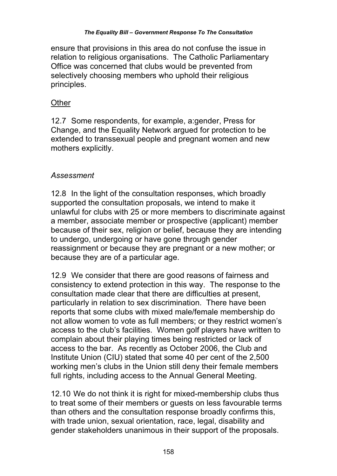ensure that provisions in this area do not confuse the issue in relation to religious organisations. The Catholic Parliamentary Office was concerned that clubs would be prevented from selectively choosing members who uphold their religious principles.

#### **Other**

12.7 Some respondents, for example, a:gender, Press for Change, and the Equality Network argued for protection to be extended to transsexual people and pregnant women and new mothers explicitly.

### *Assessment*

12.8 In the light of the consultation responses, which broadly supported the consultation proposals, we intend to make it unlawful for clubs with 25 or more members to discriminate against a member, associate member or prospective (applicant) member because of their sex, religion or belief, because they are intending to undergo, undergoing or have gone through gender reassignment or because they are pregnant or a new mother; or because they are of a particular age.

12.9 We consider that there are good reasons of fairness and consistency to extend protection in this way. The response to the consultation made clear that there are difficulties at present, particularly in relation to sex discrimination. There have been reports that some clubs with mixed male/female membership do not allow women to vote as full members; or they restrict women's access to the club's facilities. Women golf players have written to complain about their playing times being restricted or lack of access to the bar. As recently as October 2006, the Club and Institute Union (CIU) stated that some 40 per cent of the 2,500 working men's clubs in the Union still deny their female members full rights, including access to the Annual General Meeting.

12.10 We do not think it is right for mixed-membership clubs thus to treat some of their members or guests on less favourable terms than others and the consultation response broadly confirms this, with trade union, sexual orientation, race, legal, disability and gender stakeholders unanimous in their support of the proposals.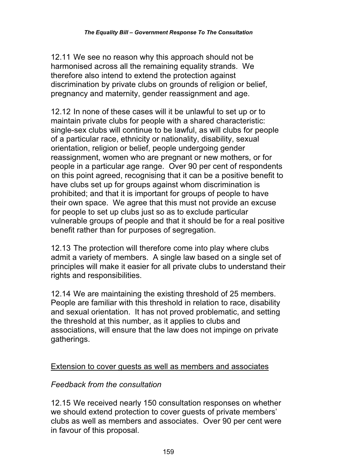12.11 We see no reason why this approach should not be harmonised across all the remaining equality strands. We therefore also intend to extend the protection against discrimination by private clubs on grounds of religion or belief, pregnancy and maternity, gender reassignment and age.

12.12 In none of these cases will it be unlawful to set up or to maintain private clubs for people with a shared characteristic: single-sex clubs will continue to be lawful, as will clubs for people of a particular race, ethnicity or nationality, disability, sexual orientation, religion or belief, people undergoing gender reassignment, women who are pregnant or new mothers, or for people in a particular age range. Over 90 per cent of respondents on this point agreed, recognising that it can be a positive benefit to have clubs set up for groups against whom discrimination is prohibited; and that it is important for groups of people to have their own space. We agree that this must not provide an excuse for people to set up clubs just so as to exclude particular vulnerable groups of people and that it should be for a real positive benefit rather than for purposes of segregation.

12.13 The protection will therefore come into play where clubs admit a variety of members. A single law based on a single set of principles will make it easier for all private clubs to understand their rights and responsibilities.

12.14 We are maintaining the existing threshold of 25 members. People are familiar with this threshold in relation to race, disability and sexual orientation. It has not proved problematic, and setting the threshold at this number, as it applies to clubs and associations, will ensure that the law does not impinge on private gatherings.

### Extension to cover guests as well as members and associates

### *Feedback from the consultation*

12.15 We received nearly 150 consultation responses on whether we should extend protection to cover guests of private members' clubs as well as members and associates. Over 90 per cent were in favour of this proposal.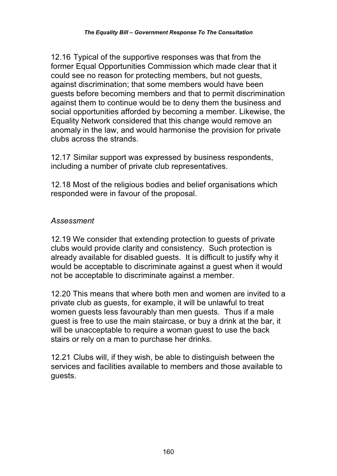12.16 Typical of the supportive responses was that from the former Equal Opportunities Commission which made clear that it could see no reason for protecting members, but not guests, against discrimination; that some members would have been guests before becoming members and that to permit discrimination against them to continue would be to deny them the business and social opportunities afforded by becoming a member. Likewise, the Equality Network considered that this change would remove an anomaly in the law, and would harmonise the provision for private clubs across the strands.

12.17 Similar support was expressed by business respondents, including a number of private club representatives.

12.18 Most of the religious bodies and belief organisations which responded were in favour of the proposal.

### *Assessment*

12.19 We consider that extending protection to guests of private clubs would provide clarity and consistency. Such protection is already available for disabled guests. It is difficult to justify why it would be acceptable to discriminate against a guest when it would not be acceptable to discriminate against a member.

12.20 This means that where both men and women are invited to a private club as guests, for example, it will be unlawful to treat women guests less favourably than men guests. Thus if a male guest is free to use the main staircase, or buy a drink at the bar, it will be unacceptable to require a woman guest to use the back stairs or rely on a man to purchase her drinks.

12.21 Clubs will, if they wish, be able to distinguish between the services and facilities available to members and those available to guests.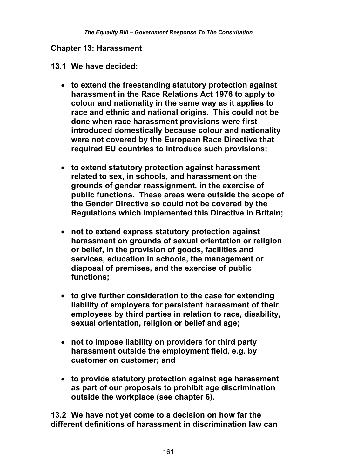#### **Chapter 13: Harassment**

#### **13.1 We have decided:**

- **to extend the freestanding statutory protection against harassment in the Race Relations Act 1976 to apply to colour and nationality in the same way as it applies to race and ethnic and national origins. This could not be done when race harassment provisions were first introduced domestically because colour and nationality were not covered by the European Race Directive that required EU countries to introduce such provisions;**
- **to extend statutory protection against harassment related to sex, in schools, and harassment on the grounds of gender reassignment, in the exercise of public functions. These areas were outside the scope of the Gender Directive so could not be covered by the Regulations which implemented this Directive in Britain;**
- **not to extend express statutory protection against harassment on grounds of sexual orientation or religion or belief, in the provision of goods, facilities and services, education in schools, the management or disposal of premises, and the exercise of public functions;**
- **to give further consideration to the case for extending liability of employers for persistent harassment of their employees by third parties in relation to race, disability, sexual orientation, religion or belief and age;**
- **not to impose liability on providers for third party harassment outside the employment field, e.g. by customer on customer; and**
- **to provide statutory protection against age harassment as part of our proposals to prohibit age discrimination outside the workplace (see chapter 6).**

**13.2 We have not yet come to a decision on how far the different definitions of harassment in discrimination law can**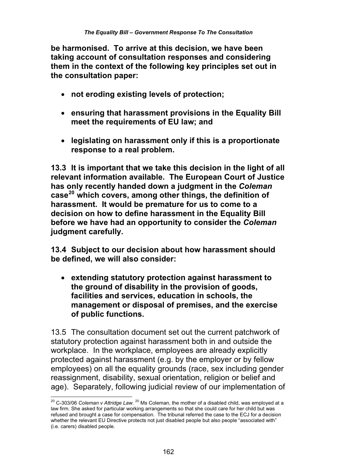**be harmonised. To arrive at this decision, we have been taking account of consultation responses and considering them in the context of the following key principles set out in the consultation paper:** 

- **not eroding existing levels of protection;**
- **ensuring that harassment provisions in the Equality Bill meet the requirements of EU law; and**
- **legislating on harassment only if this is a proportionate response to a real problem.**

**13.3 It is important that we take this decision in the light of all relevant information available. The European Court of Justice has only recently handed down a judgment in the** *Coleman* **case20 which covers, among other things, the definition of harassment. It would be premature for us to come to a decision on how to define harassment in the Equality Bill before we have had an opportunity to consider the** *Coleman* **judgment carefully.** 

**13.4 Subject to our decision about how harassment should be defined, we will also consider:** 

 **extending statutory protection against harassment to the ground of disability in the provision of goods, facilities and services, education in schools, the management or disposal of premises, and the exercise of public functions.** 

13.5 The consultation document set out the current patchwork of statutory protection against harassment both in and outside the workplace. In the workplace, employees are already explicitly protected against harassment (e.g. by the employer or by fellow employees) on all the equality grounds (race, sex including gender reassignment, disability, sexual orientation, religion or belief and age). Separately, following judicial review of our implementation of

 $\overline{a}$ <sup>20</sup> C-303/06 *Coleman v Attridge Law. <sup>20</sup> M*s Coleman, the mother of a disabled child, was employed at a law firm. She asked for particular working arrangements so that she could care for her child but was refused and brought a case for compensation. The tribunal referred the case to the ECJ for a decision whether the relevant EU Directive protects not just disabled people but also people "associated with" (i.e. carers) disabled people.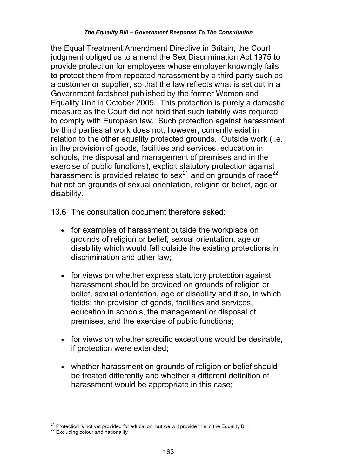the Equal Treatment Amendment Directive in Britain, the Court judgment obliged us to amend the Sex Discrimination Act 1975 to provide protection for employees whose employer knowingly fails to protect them from repeated harassment by a third party such as a customer or supplier, so that the law reflects what is set out in a Government factsheet published by the former Women and Equality Unit in October 2005. This protection is purely a domestic measure as the Court did not hold that such liability was required to comply with European law. Such protection against harassment by third parties at work does not, however, currently exist in relation to the other equality protected grounds. Outside work (i.e. in the provision of goods, facilities and services, education in schools, the disposal and management of premises and in the exercise of public functions), explicit statutory protection against harassment is provided related to sex $21$  and on grounds of race  $22$ but not on grounds of sexual orientation, religion or belief, age or disability.

13.6 The consultation document therefore asked:

- for examples of harassment outside the workplace on grounds of religion or belief, sexual orientation, age or disability which would fall outside the existing protections in discrimination and other law;
- for views on whether express statutory protection against harassment should be provided on grounds of religion or belief, sexual orientation, age or disability and if so, in which fields: the provision of goods, facilities and services, education in schools, the management or disposal of premises, and the exercise of public functions;
- for views on whether specific exceptions would be desirable, if protection were extended;
- whether harassment on grounds of religion or belief should be treated differently and whether a different definition of harassment would be appropriate in this case;

 $\overline{\phantom{a}}$  $^{21}$  Protection is not yet provided for education, but we will provide this in the Equality Bill  $^{22}$  Excluding colour and nationality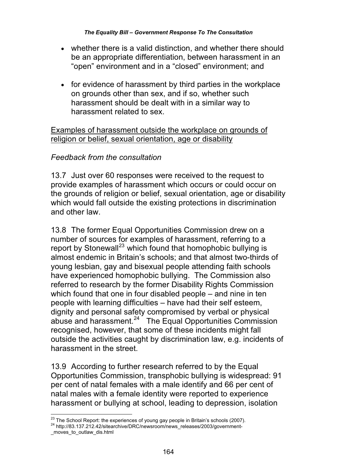- whether there is a valid distinction, and whether there should be an appropriate differentiation, between harassment in an "open" environment and in a "closed" environment; and
- for evidence of harassment by third parties in the workplace on grounds other than sex, and if so, whether such harassment should be dealt with in a similar way to harassment related to sex.

Examples of harassment outside the workplace on grounds of religion or belief, sexual orientation, age or disability

## *Feedback from the consultation*

13.7 Just over 60 responses were received to the request to provide examples of harassment which occurs or could occur on the grounds of religion or belief, sexual orientation, age or disability which would fall outside the existing protections in discrimination and other law.

13.8 The former Equal Opportunities Commission drew on a number of sources for examples of harassment, referring to a report by Stonewall<sup>23</sup> which found that homophobic bullying is almost endemic in Britain's schools; and that almost two-thirds of young lesbian, gay and bisexual people attending faith schools have experienced homophobic bullying. The Commission also referred to research by the former Disability Rights Commission which found that one in four disabled people – and nine in ten people with learning difficulties – have had their self esteem, dignity and personal safety compromised by verbal or physical abuse and harassment.24 The Equal Opportunities Commission recognised, however, that some of these incidents might fall outside the activities caught by discrimination law, e.g. incidents of harassment in the street.

13.9 According to further research referred to by the Equal Opportunities Commission, transphobic bullying is widespread: 91 per cent of natal females with a male identify and 66 per cent of natal males with a female identity were reported to experience harassment or bullying at school, leading to depression, isolation

<sup>&</sup>lt;sup>23</sup> The School Report: the experiences of young gay people in Britain's schools (2007).

<sup>&</sup>lt;sup>24</sup> http://83.137.212.42/sitearchive/DRC/newsroom/news\_releases/2003/government-

\_moves\_to\_outlaw\_dis.html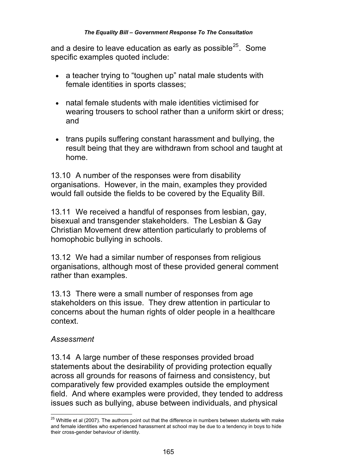and a desire to leave education as early as possible $^{25}$ . Some specific examples quoted include:

- a teacher trying to "toughen up" natal male students with female identities in sports classes;
- natal female students with male identities victimised for wearing trousers to school rather than a uniform skirt or dress; and
- trans pupils suffering constant harassment and bullying, the result being that they are withdrawn from school and taught at home.

13.10 A number of the responses were from disability organisations. However, in the main, examples they provided would fall outside the fields to be covered by the Equality Bill.

13.11 We received a handful of responses from lesbian, gay, bisexual and transgender stakeholders. The Lesbian & Gay Christian Movement drew attention particularly to problems of homophobic bullying in schools.

13.12 We had a similar number of responses from religious organisations, although most of these provided general comment rather than examples.

13.13 There were a small number of responses from age stakeholders on this issue. They drew attention in particular to concerns about the human rights of older people in a healthcare context.

### *Assessment*

13.14 A large number of these responses provided broad statements about the desirability of providing protection equally across all grounds for reasons of fairness and consistency, but comparatively few provided examples outside the employment field. And where examples were provided, they tended to address issues such as bullying, abuse between individuals, and physical

 $\overline{\phantom{a}}$  $^{25}$  Whittle et al (2007). The authors point out that the difference in numbers between students with make and female identities who experienced harassment at school may be due to a tendency in boys to hide their cross-gender behaviour of identity.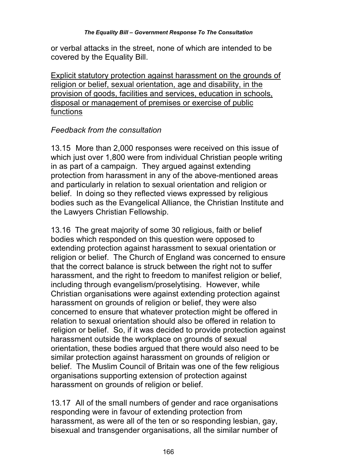or verbal attacks in the street, none of which are intended to be covered by the Equality Bill.

Explicit statutory protection against harassment on the grounds of religion or belief, sexual orientation, age and disability, in the provision of goods, facilities and services, education in schools, disposal or management of premises or exercise of public functions

### *Feedback from the consultation*

13.15 More than 2,000 responses were received on this issue of which just over 1,800 were from individual Christian people writing in as part of a campaign. They argued against extending protection from harassment in any of the above-mentioned areas and particularly in relation to sexual orientation and religion or belief. In doing so they reflected views expressed by religious bodies such as the Evangelical Alliance, the Christian Institute and the Lawyers Christian Fellowship.

13.16 The great majority of some 30 religious, faith or belief bodies which responded on this question were opposed to extending protection against harassment to sexual orientation or religion or belief. The Church of England was concerned to ensure that the correct balance is struck between the right not to suffer harassment, and the right to freedom to manifest religion or belief. including through evangelism/proselytising. However, while Christian organisations were against extending protection against harassment on grounds of religion or belief, they were also concerned to ensure that whatever protection might be offered in relation to sexual orientation should also be offered in relation to religion or belief. So, if it was decided to provide protection against harassment outside the workplace on grounds of sexual orientation, these bodies argued that there would also need to be similar protection against harassment on grounds of religion or belief. The Muslim Council of Britain was one of the few religious organisations supporting extension of protection against harassment on grounds of religion or belief.

13.17 All of the small numbers of gender and race organisations responding were in favour of extending protection from harassment, as were all of the ten or so responding lesbian, gay, bisexual and transgender organisations, all the similar number of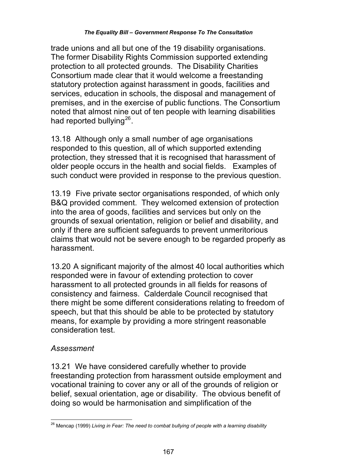trade unions and all but one of the 19 disability organisations. The former Disability Rights Commission supported extending protection to all protected grounds. The Disability Charities Consortium made clear that it would welcome a freestanding statutory protection against harassment in goods, facilities and services, education in schools, the disposal and management of premises, and in the exercise of public functions. The Consortium noted that almost nine out of ten people with learning disabilities had reported bullying $^{26}$ .

13.18 Although only a small number of age organisations responded to this question, all of which supported extending protection, they stressed that it is recognised that harassment of older people occurs in the health and social fields. Examples of such conduct were provided in response to the previous question.

13.19 Five private sector organisations responded, of which only B&Q provided comment. They welcomed extension of protection into the area of goods, facilities and services but only on the grounds of sexual orientation, religion or belief and disability, and only if there are sufficient safeguards to prevent unmeritorious claims that would not be severe enough to be regarded properly as harassment.

13.20 A significant majority of the almost 40 local authorities which responded were in favour of extending protection to cover harassment to all protected grounds in all fields for reasons of consistency and fairness. Calderdale Council recognised that there might be some different considerations relating to freedom of speech, but that this should be able to be protected by statutory means, for example by providing a more stringent reasonable consideration test.

### *Assessment*

13.21 We have considered carefully whether to provide freestanding protection from harassment outside employment and vocational training to cover any or all of the grounds of religion or belief, sexual orientation, age or disability. The obvious benefit of doing so would be harmonisation and simplification of the

 $\overline{a}$ <sup>26</sup> Mencap (1999) *Living in Fear: The need to combat bullying of people with a learning disability*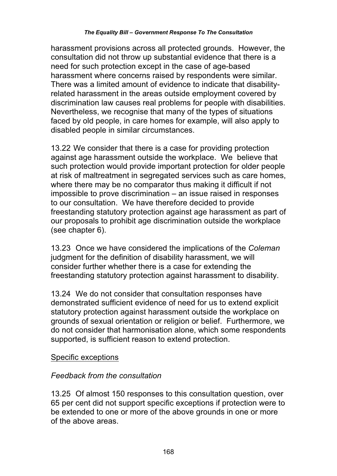harassment provisions across all protected grounds. However, the consultation did not throw up substantial evidence that there is a need for such protection except in the case of age-based harassment where concerns raised by respondents were similar. There was a limited amount of evidence to indicate that disabilityrelated harassment in the areas outside employment covered by discrimination law causes real problems for people with disabilities. Nevertheless, we recognise that many of the types of situations faced by old people, in care homes for example, will also apply to disabled people in similar circumstances.

13.22 We consider that there is a case for providing protection against age harassment outside the workplace. We believe that such protection would provide important protection for older people at risk of maltreatment in segregated services such as care homes, where there may be no comparator thus making it difficult if not impossible to prove discrimination – an issue raised in responses to our consultation. We have therefore decided to provide freestanding statutory protection against age harassment as part of our proposals to prohibit age discrimination outside the workplace (see chapter 6).

13.23 Once we have considered the implications of the *Coleman*  judgment for the definition of disability harassment, we will consider further whether there is a case for extending the freestanding statutory protection against harassment to disability.

13.24 We do not consider that consultation responses have demonstrated sufficient evidence of need for us to extend explicit statutory protection against harassment outside the workplace on grounds of sexual orientation or religion or belief. Furthermore, we do not consider that harmonisation alone, which some respondents supported, is sufficient reason to extend protection.

#### Specific exceptions

### *Feedback from the consultation*

13.25 Of almost 150 responses to this consultation question, over 65 per cent did not support specific exceptions if protection were to be extended to one or more of the above grounds in one or more of the above areas.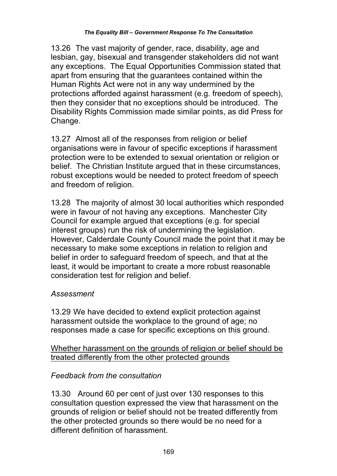13.26 The vast majority of gender, race, disability, age and lesbian, gay, bisexual and transgender stakeholders did not want any exceptions. The Equal Opportunities Commission stated that apart from ensuring that the guarantees contained within the Human Rights Act were not in any way undermined by the protections afforded against harassment (e.g. freedom of speech), then they consider that no exceptions should be introduced. The Disability Rights Commission made similar points, as did Press for Change.

13.27 Almost all of the responses from religion or belief organisations were in favour of specific exceptions if harassment protection were to be extended to sexual orientation or religion or belief. The Christian Institute argued that in these circumstances, robust exceptions would be needed to protect freedom of speech and freedom of religion.

13.28 The majority of almost 30 local authorities which responded were in favour of not having any exceptions. Manchester City Council for example argued that exceptions (e.g. for special interest groups) run the risk of undermining the legislation. However, Calderdale County Council made the point that it may be necessary to make some exceptions in relation to religion and belief in order to safeguard freedom of speech, and that at the least, it would be important to create a more robust reasonable consideration test for religion and belief.

### *Assessment*

13.29 We have decided to extend explicit protection against harassment outside the workplace to the ground of age; no responses made a case for specific exceptions on this ground.

Whether harassment on the grounds of religion or belief should be treated differently from the other protected grounds

### *Feedback from the consultation*

13.30 Around 60 per cent of just over 130 responses to this consultation question expressed the view that harassment on the grounds of religion or belief should not be treated differently from the other protected grounds so there would be no need for a different definition of harassment.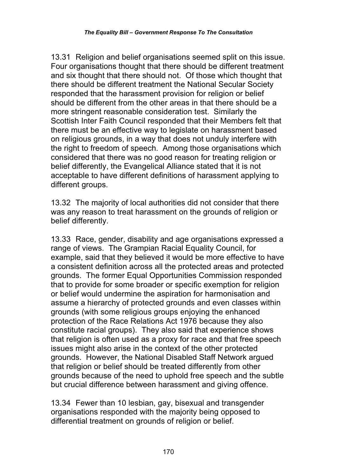13.31 Religion and belief organisations seemed split on this issue. Four organisations thought that there should be different treatment and six thought that there should not. Of those which thought that there should be different treatment the National Secular Society responded that the harassment provision for religion or belief should be different from the other areas in that there should be a more stringent reasonable consideration test. Similarly the Scottish Inter Faith Council responded that their Members felt that there must be an effective way to legislate on harassment based on religious grounds, in a way that does not unduly interfere with the right to freedom of speech. Among those organisations which considered that there was no good reason for treating religion or belief differently, the Evangelical Alliance stated that it is not acceptable to have different definitions of harassment applying to different groups.

13.32 The majority of local authorities did not consider that there was any reason to treat harassment on the grounds of religion or belief differently.

13.33 Race, gender, disability and age organisations expressed a range of views. The Grampian Racial Equality Council, for example, said that they believed it would be more effective to have a consistent definition across all the protected areas and protected grounds. The former Equal Opportunities Commission responded that to provide for some broader or specific exemption for religion or belief would undermine the aspiration for harmonisation and assume a hierarchy of protected grounds and even classes within grounds (with some religious groups enjoying the enhanced protection of the Race Relations Act 1976 because they also constitute racial groups). They also said that experience shows that religion is often used as a proxy for race and that free speech issues might also arise in the context of the other protected grounds. However, the National Disabled Staff Network argued that religion or belief should be treated differently from other grounds because of the need to uphold free speech and the subtle but crucial difference between harassment and giving offence.

13.34 Fewer than 10 lesbian, gay, bisexual and transgender organisations responded with the majority being opposed to differential treatment on grounds of religion or belief.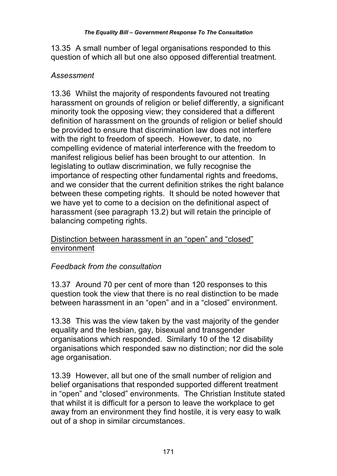13.35 A small number of legal organisations responded to this question of which all but one also opposed differential treatment.

## *Assessment*

13.36 Whilst the majority of respondents favoured not treating harassment on grounds of religion or belief differently, a significant minority took the opposing view; they considered that a different definition of harassment on the grounds of religion or belief should be provided to ensure that discrimination law does not interfere with the right to freedom of speech. However, to date, no compelling evidence of material interference with the freedom to manifest religious belief has been brought to our attention. In legislating to outlaw discrimination, we fully recognise the importance of respecting other fundamental rights and freedoms, and we consider that the current definition strikes the right balance between these competing rights. It should be noted however that we have yet to come to a decision on the definitional aspect of harassment (see paragraph 13.2) but will retain the principle of balancing competing rights.

### Distinction between harassment in an "open" and "closed" environment

# *Feedback from the consultation*

13.37 Around 70 per cent of more than 120 responses to this question took the view that there is no real distinction to be made between harassment in an "open" and in a "closed" environment.

13.38 This was the view taken by the vast majority of the gender equality and the lesbian, gay, bisexual and transgender organisations which responded. Similarly 10 of the 12 disability organisations which responded saw no distinction; nor did the sole age organisation.

13.39 However, all but one of the small number of religion and belief organisations that responded supported different treatment in "open" and "closed" environments. The Christian Institute stated that whilst it is difficult for a person to leave the workplace to get away from an environment they find hostile, it is very easy to walk out of a shop in similar circumstances.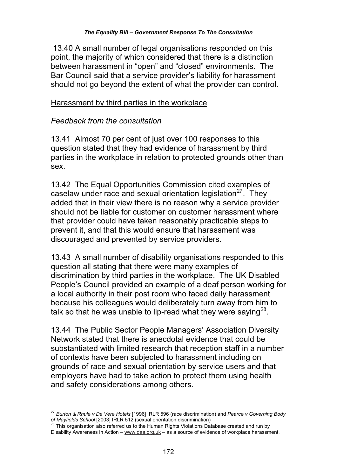13.40 A small number of legal organisations responded on this point, the majority of which considered that there is a distinction between harassment in "open" and "closed" environments. The Bar Council said that a service provider's liability for harassment should not go beyond the extent of what the provider can control.

#### Harassment by third parties in the workplace

#### *Feedback from the consultation*

13.41 Almost 70 per cent of just over 100 responses to this question stated that they had evidence of harassment by third parties in the workplace in relation to protected grounds other than sex.

13.42 The Equal Opportunities Commission cited examples of caselaw under race and sexual orientation legislation $27$ . They added that in their view there is no reason why a service provider should not be liable for customer on customer harassment where that provider could have taken reasonably practicable steps to prevent it, and that this would ensure that harassment was discouraged and prevented by service providers.

13.43 A small number of disability organisations responded to this question all stating that there were many examples of discrimination by third parties in the workplace. The UK Disabled People's Council provided an example of a deaf person working for a local authority in their post room who faced daily harassment because his colleagues would deliberately turn away from him to talk so that he was unable to lip-read what they were saying  $28$ .

13.44 The Public Sector People Managers' Association Diversity Network stated that there is anecdotal evidence that could be substantiated with limited research that reception staff in a number of contexts have been subjected to harassment including on grounds of race and sexual orientation by service users and that employers have had to take action to protect them using health and safety considerations among others.

 $\overline{a}$ <sup>27</sup> *Burton & Rhule v De Vere Hotels* [1996] IRLR 596 (race discrimination) and *Pearce v Governing Body of Mayfields School* [2003] IRLR 512 (sexual orientation discrimination) <sup>28</sup> This organisation also referred us to the Human Rights Violations Database created and run by

Disability Awareness in Action – www.daa.org.uk – as a source of evidence of workplace harassment.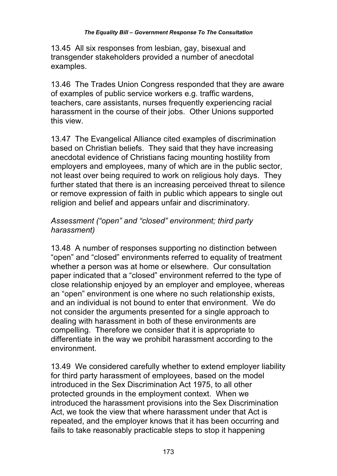13.45 All six responses from lesbian, gay, bisexual and transgender stakeholders provided a number of anecdotal examples.

13.46 The Trades Union Congress responded that they are aware of examples of public service workers e.g. traffic wardens, teachers, care assistants, nurses frequently experiencing racial harassment in the course of their jobs. Other Unions supported this view.

13.47 The Evangelical Alliance cited examples of discrimination based on Christian beliefs. They said that they have increasing anecdotal evidence of Christians facing mounting hostility from employers and employees, many of which are in the public sector, not least over being required to work on religious holy days. They further stated that there is an increasing perceived threat to silence or remove expression of faith in public which appears to single out religion and belief and appears unfair and discriminatory.

## *Assessment ("open" and "closed" environment; third party harassment)*

13.48 A number of responses supporting no distinction between "open" and "closed" environments referred to equality of treatment whether a person was at home or elsewhere. Our consultation paper indicated that a "closed" environment referred to the type of close relationship enjoyed by an employer and employee, whereas an "open" environment is one where no such relationship exists, and an individual is not bound to enter that environment. We do not consider the arguments presented for a single approach to dealing with harassment in both of these environments are compelling. Therefore we consider that it is appropriate to differentiate in the way we prohibit harassment according to the environment.

13.49 We considered carefully whether to extend employer liability for third party harassment of employees, based on the model introduced in the Sex Discrimination Act 1975, to all other protected grounds in the employment context. When we introduced the harassment provisions into the Sex Discrimination Act, we took the view that where harassment under that Act is repeated, and the employer knows that it has been occurring and fails to take reasonably practicable steps to stop it happening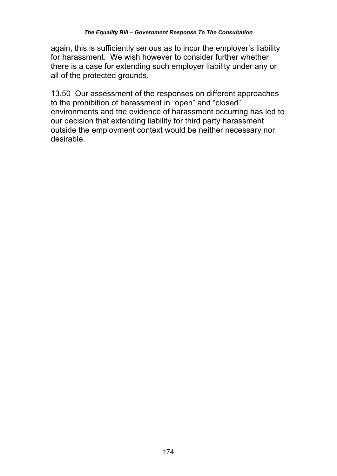again, this is sufficiently serious as to incur the employer's liability for harassment. We wish however to consider further whether there is a case for extending such employer liability under any or all of the protected grounds.

13.50 Our assessment of the responses on different approaches to the prohibition of harassment in "open" and "closed" environments and the evidence of harassment occurring has led to our decision that extending liability for third party harassment outside the employment context would be neither necessary nor desirable.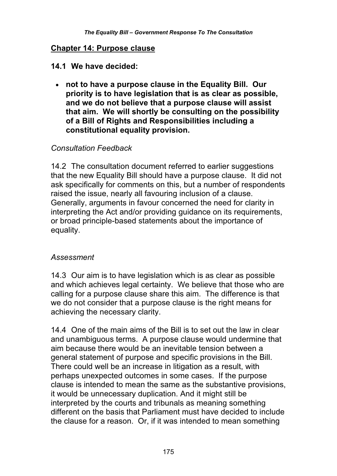#### **Chapter 14: Purpose clause**

#### **14.1 We have decided:**

 **not to have a purpose clause in the Equality Bill. Our priority is to have legislation that is as clear as possible, and we do not believe that a purpose clause will assist that aim. We will shortly be consulting on the possibility of a Bill of Rights and Responsibilities including a constitutional equality provision.** 

### *Consultation Feedback*

14.2 The consultation document referred to earlier suggestions that the new Equality Bill should have a purpose clause. It did not ask specifically for comments on this, but a number of respondents raised the issue, nearly all favouring inclusion of a clause. Generally, arguments in favour concerned the need for clarity in interpreting the Act and/or providing guidance on its requirements, or broad principle-based statements about the importance of equality.

#### *Assessment*

14.3 Our aim is to have legislation which is as clear as possible and which achieves legal certainty. We believe that those who are calling for a purpose clause share this aim. The difference is that we do not consider that a purpose clause is the right means for achieving the necessary clarity.

14.4 One of the main aims of the Bill is to set out the law in clear and unambiguous terms. A purpose clause would undermine that aim because there would be an inevitable tension between a general statement of purpose and specific provisions in the Bill. There could well be an increase in litigation as a result, with perhaps unexpected outcomes in some cases. If the purpose clause is intended to mean the same as the substantive provisions, it would be unnecessary duplication. And it might still be interpreted by the courts and tribunals as meaning something different on the basis that Parliament must have decided to include the clause for a reason. Or, if it was intended to mean something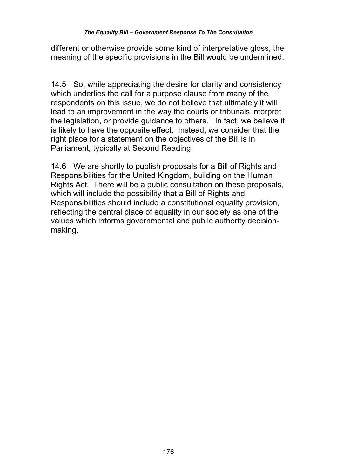different or otherwise provide some kind of interpretative gloss, the meaning of the specific provisions in the Bill would be undermined.

14.5 So, while appreciating the desire for clarity and consistency which underlies the call for a purpose clause from many of the respondents on this issue, we do not believe that ultimately it will lead to an improvement in the way the courts or tribunals interpret the legislation, or provide guidance to others. In fact, we believe it is likely to have the opposite effect. Instead, we consider that the right place for a statement on the objectives of the Bill is in Parliament, typically at Second Reading.

14.6 We are shortly to publish proposals for a Bill of Rights and Responsibilities for the United Kingdom, building on the Human Rights Act. There will be a public consultation on these proposals, which will include the possibility that a Bill of Rights and Responsibilities should include a constitutional equality provision, reflecting the central place of equality in our society as one of the values which informs governmental and public authority decisionmaking.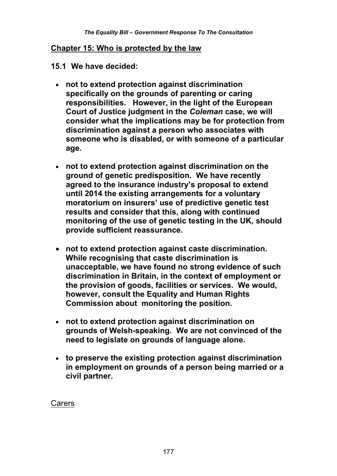#### **Chapter 15: Who is protected by the law**

#### **15.1 We have decided:**

- **not to extend protection against discrimination specifically on the grounds of parenting or caring responsibilities. However, in the light of the European Court of Justice judgment in the** *Coleman* **case, we will consider what the implications may be for protection from discrimination against a person who associates with someone who is disabled, or with someone of a particular age.**
- **not to extend protection against discrimination on the ground of genetic predisposition. We have recently agreed to the insurance industry's proposal to extend until 2014 the existing arrangements for a voluntary moratorium on insurers' use of predictive genetic test results and consider that this, along with continued monitoring of the use of genetic testing in the UK, should provide sufficient reassurance.**
- **not to extend protection against caste discrimination. While recognising that caste discrimination is unacceptable, we have found no strong evidence of such discrimination in Britain, in the context of employment or the provision of goods, facilities or services. We would, however, consult the Equality and Human Rights Commission about monitoring the position.**
- **not to extend protection against discrimination on grounds of Welsh-speaking. We are not convinced of the need to legislate on grounds of language alone.**
- **to preserve the existing protection against discrimination in employment on grounds of a person being married or a civil partner.**

#### Carers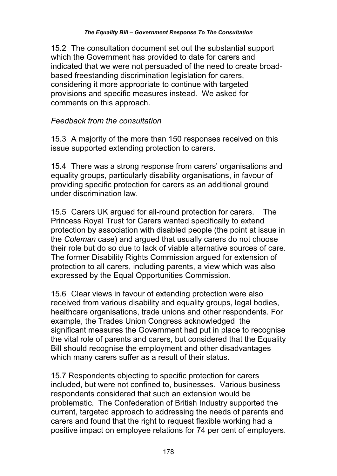15.2 The consultation document set out the substantial support which the Government has provided to date for carers and indicated that we were not persuaded of the need to create broadbased freestanding discrimination legislation for carers, considering it more appropriate to continue with targeted provisions and specific measures instead. We asked for comments on this approach.

### *Feedback from the consultation*

15.3 A majority of the more than 150 responses received on this issue supported extending protection to carers.

15.4 There was a strong response from carers' organisations and equality groups, particularly disability organisations, in favour of providing specific protection for carers as an additional ground under discrimination law.

15.5 Carers UK argued for all-round protection for carers. The Princess Royal Trust for Carers wanted specifically to extend protection by association with disabled people (the point at issue in the *Coleman* case) and argued that usually carers do not choose their role but do so due to lack of viable alternative sources of care. The former Disability Rights Commission argued for extension of protection to all carers, including parents, a view which was also expressed by the Equal Opportunities Commission.

15.6 Clear views in favour of extending protection were also received from various disability and equality groups, legal bodies, healthcare organisations, trade unions and other respondents. For example, the Trades Union Congress acknowledged the significant measures the Government had put in place to recognise the vital role of parents and carers, but considered that the Equality Bill should recognise the employment and other disadvantages which many carers suffer as a result of their status.

15.7 Respondents objecting to specific protection for carers included, but were not confined to, businesses. Various business respondents considered that such an extension would be problematic. The Confederation of British Industry supported the current, targeted approach to addressing the needs of parents and carers and found that the right to request flexible working had a positive impact on employee relations for 74 per cent of employers.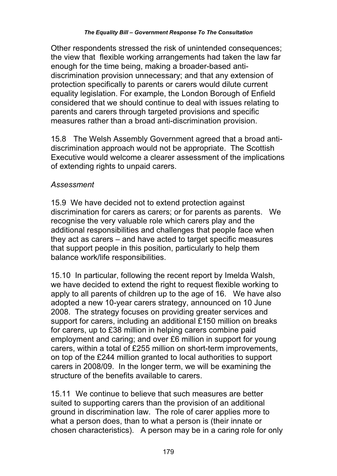Other respondents stressed the risk of unintended consequences; the view that flexible working arrangements had taken the law far enough for the time being, making a broader-based antidiscrimination provision unnecessary; and that any extension of protection specifically to parents or carers would dilute current equality legislation. For example, the London Borough of Enfield considered that we should continue to deal with issues relating to parents and carers through targeted provisions and specific measures rather than a broad anti-discrimination provision.

15.8 The Welsh Assembly Government agreed that a broad antidiscrimination approach would not be appropriate. The Scottish Executive would welcome a clearer assessment of the implications of extending rights to unpaid carers.

### *Assessment*

15.9 We have decided not to extend protection against discrimination for carers as carers; or for parents as parents. We recognise the very valuable role which carers play and the additional responsibilities and challenges that people face when they act as carers – and have acted to target specific measures that support people in this position, particularly to help them balance work/life responsibilities.

15.10 In particular, following the recent report by Imelda Walsh, we have decided to extend the right to request flexible working to apply to all parents of children up to the age of 16. We have also adopted a new 10-year carers strategy, announced on 10 June 2008. The strategy focuses on providing greater services and support for carers, including an additional £150 million on breaks for carers, up to £38 million in helping carers combine paid employment and caring; and over £6 million in support for young carers, within a total of £255 million on short-term improvements, on top of the £244 million granted to local authorities to support carers in 2008/09. In the longer term, we will be examining the structure of the benefits available to carers.

15.11 We continue to believe that such measures are better suited to supporting carers than the provision of an additional ground in discrimination law. The role of carer applies more to what a person does, than to what a person is (their innate or chosen characteristics). A person may be in a caring role for only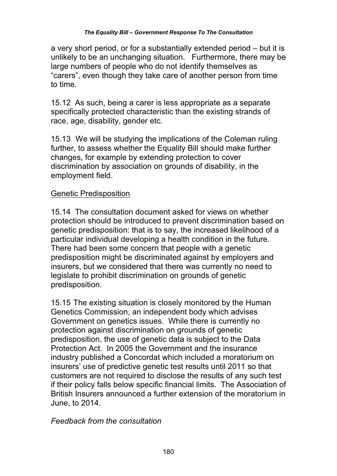a very short period, or for a substantially extended period – but it is unlikely to be an unchanging situation. Furthermore, there may be large numbers of people who do not identify themselves as "carers", even though they take care of another person from time to time.

15.12 As such, being a carer is less appropriate as a separate specifically protected characteristic than the existing strands of race, age, disability, gender etc.

15.13 We will be studying the implications of the Coleman ruling further, to assess whether the Equality Bill should make further changes, for example by extending protection to cover discrimination by association on grounds of disability, in the employment field.

# Genetic Predisposition

15.14 The consultation document asked for views on whether protection should be introduced to prevent discrimination based on genetic predisposition: that is to say, the increased likelihood of a particular individual developing a health condition in the future. There had been some concern that people with a genetic predisposition might be discriminated against by employers and insurers, but we considered that there was currently no need to legislate to prohibit discrimination on grounds of genetic predisposition.

15.15 The existing situation is closely monitored by the Human Genetics Commission, an independent body which advises Government on genetics issues. While there is currently no protection against discrimination on grounds of genetic predisposition, the use of genetic data is subject to the Data Protection Act. In 2005 the Government and the insurance industry published a Concordat which included a moratorium on insurers' use of predictive genetic test results until 2011 so that customers are not required to disclose the results of any such test if their policy falls below specific financial limits. The Association of British Insurers announced a further extension of the moratorium in June, to 2014.

*Feedback from the consultation*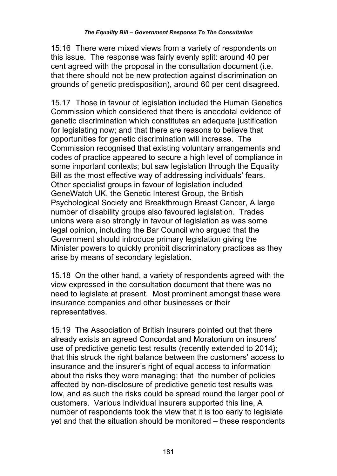15.16 There were mixed views from a variety of respondents on this issue. The response was fairly evenly split: around 40 per cent agreed with the proposal in the consultation document (i.e. that there should not be new protection against discrimination on grounds of genetic predisposition), around 60 per cent disagreed.

15.17 Those in favour of legislation included the Human Genetics Commission which considered that there is anecdotal evidence of genetic discrimination which constitutes an adequate justification for legislating now; and that there are reasons to believe that opportunities for genetic discrimination will increase. The Commission recognised that existing voluntary arrangements and codes of practice appeared to secure a high level of compliance in some important contexts; but saw legislation through the Equality Bill as the most effective way of addressing individuals' fears. Other specialist groups in favour of legislation included GeneWatch UK, the Genetic Interest Group, the British Psychological Society and Breakthrough Breast Cancer, A large number of disability groups also favoured legislation. Trades unions were also strongly in favour of legislation as was some legal opinion, including the Bar Council who argued that the Government should introduce primary legislation giving the Minister powers to quickly prohibit discriminatory practices as they arise by means of secondary legislation.

15.18 On the other hand, a variety of respondents agreed with the view expressed in the consultation document that there was no need to legislate at present. Most prominent amongst these were insurance companies and other businesses or their representatives.

15.19 The Association of British Insurers pointed out that there already exists an agreed Concordat and Moratorium on insurers' use of predictive genetic test results (recently extended to 2014); that this struck the right balance between the customers' access to insurance and the insurer's right of equal access to information about the risks they were managing; that the number of policies affected by non-disclosure of predictive genetic test results was low, and as such the risks could be spread round the larger pool of customers. Various individual insurers supported this line, A number of respondents took the view that it is too early to legislate yet and that the situation should be monitored – these respondents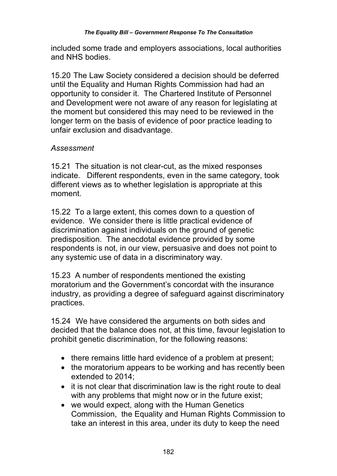included some trade and employers associations, local authorities and NHS bodies.

15.20 The Law Society considered a decision should be deferred until the Equality and Human Rights Commission had had an opportunity to consider it. The Chartered Institute of Personnel and Development were not aware of any reason for legislating at the moment but considered this may need to be reviewed in the longer term on the basis of evidence of poor practice leading to unfair exclusion and disadvantage.

## *Assessment*

15.21 The situation is not clear-cut, as the mixed responses indicate. Different respondents, even in the same category, took different views as to whether legislation is appropriate at this moment.

15.22 To a large extent, this comes down to a question of evidence. We consider there is little practical evidence of discrimination against individuals on the ground of genetic predisposition. The anecdotal evidence provided by some respondents is not, in our view, persuasive and does not point to any systemic use of data in a discriminatory way.

15.23 A number of respondents mentioned the existing moratorium and the Government's concordat with the insurance industry, as providing a degree of safeguard against discriminatory practices.

15.24 We have considered the arguments on both sides and decided that the balance does not, at this time, favour legislation to prohibit genetic discrimination, for the following reasons:

- there remains little hard evidence of a problem at present;
- the moratorium appears to be working and has recently been extended to 2014;
- it is not clear that discrimination law is the right route to deal with any problems that might now or in the future exist;
- we would expect, along with the Human Genetics Commission, the Equality and Human Rights Commission to take an interest in this area, under its duty to keep the need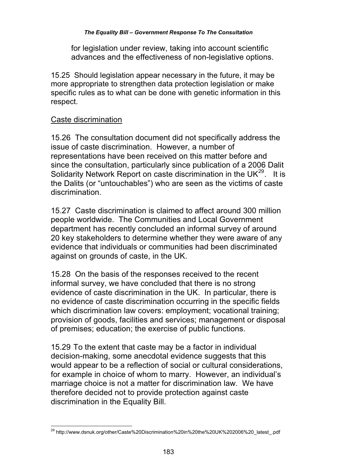#### *The Equality Bill – Government Response To The Consultation*

for legislation under review, taking into account scientific advances and the effectiveness of non-legislative options.

15.25 Should legislation appear necessary in the future, it may be more appropriate to strengthen data protection legislation or make specific rules as to what can be done with genetic information in this respect.

#### Caste discrimination

15.26 The consultation document did not specifically address the issue of caste discrimination. However, a number of representations have been received on this matter before and since the consultation, particularly since publication of a 2006 Dalit Solidarity Network Report on caste discrimination in the UK $^{29}$ . It is the Dalits (or "untouchables") who are seen as the victims of caste discrimination.

15.27 Caste discrimination is claimed to affect around 300 million people worldwide. The Communities and Local Government department has recently concluded an informal survey of around 20 key stakeholders to determine whether they were aware of any evidence that individuals or communities had been discriminated against on grounds of caste, in the UK.

15.28 On the basis of the responses received to the recent informal survey, we have concluded that there is no strong evidence of caste discrimination in the UK. In particular, there is no evidence of caste discrimination occurring in the specific fields which discrimination law covers: employment; vocational training; provision of goods, facilities and services; management or disposal of premises; education; the exercise of public functions.

15.29 To the extent that caste may be a factor in individual decision-making, some anecdotal evidence suggests that this would appear to be a reflection of social or cultural considerations, for example in choice of whom to marry. However, an individual's marriage choice is not a matter for discrimination law. We have therefore decided not to provide protection against caste discrimination in the Equality Bill.

 $\overline{a}$ <sup>29</sup> http://www.dsnuk.org/other/Caste%20Discrimination%20in%20the%20UK%202006%20\_latest\_.pdf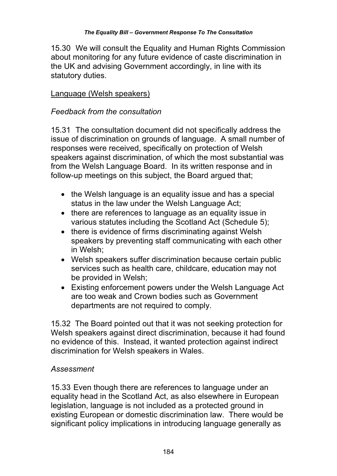15.30 We will consult the Equality and Human Rights Commission about monitoring for any future evidence of caste discrimination in the UK and advising Government accordingly, in line with its statutory duties.

## Language (Welsh speakers)

### *Feedback from the consultation*

15.31 The consultation document did not specifically address the issue of discrimination on grounds of language. A small number of responses were received, specifically on protection of Welsh speakers against discrimination, of which the most substantial was from the Welsh Language Board. In its written response and in follow-up meetings on this subject, the Board argued that;

- the Welsh language is an equality issue and has a special status in the law under the Welsh Language Act;
- there are references to language as an equality issue in various statutes including the Scotland Act (Schedule 5);
- there is evidence of firms discriminating against Welsh speakers by preventing staff communicating with each other in Welsh;
- Welsh speakers suffer discrimination because certain public services such as health care, childcare, education may not be provided in Welsh;
- Existing enforcement powers under the Welsh Language Act are too weak and Crown bodies such as Government departments are not required to comply.

15.32 The Board pointed out that it was not seeking protection for Welsh speakers against direct discrimination, because it had found no evidence of this. Instead, it wanted protection against indirect discrimination for Welsh speakers in Wales.

### *Assessment*

15.33 Even though there are references to language under an equality head in the Scotland Act, as also elsewhere in European legislation, language is not included as a protected ground in existing European or domestic discrimination law. There would be significant policy implications in introducing language generally as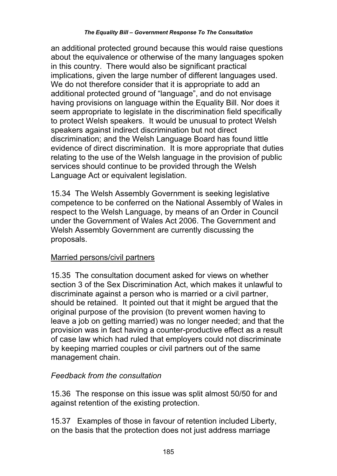an additional protected ground because this would raise questions about the equivalence or otherwise of the many languages spoken in this country. There would also be significant practical implications, given the large number of different languages used. We do not therefore consider that it is appropriate to add an additional protected ground of "language", and do not envisage having provisions on language within the Equality Bill. Nor does it seem appropriate to legislate in the discrimination field specifically to protect Welsh speakers. It would be unusual to protect Welsh speakers against indirect discrimination but not direct discrimination; and the Welsh Language Board has found little evidence of direct discrimination. It is more appropriate that duties relating to the use of the Welsh language in the provision of public services should continue to be provided through the Welsh Language Act or equivalent legislation.

15.34 The Welsh Assembly Government is seeking legislative competence to be conferred on the National Assembly of Wales in respect to the Welsh Language, by means of an Order in Council under the Government of Wales Act 2006. The Government and Welsh Assembly Government are currently discussing the proposals.

# Married persons/civil partners

15.35 The consultation document asked for views on whether section 3 of the Sex Discrimination Act, which makes it unlawful to discriminate against a person who is married or a civil partner, should be retained. It pointed out that it might be argued that the original purpose of the provision (to prevent women having to leave a job on getting married) was no longer needed; and that the provision was in fact having a counter-productive effect as a result of case law which had ruled that employers could not discriminate by keeping married couples or civil partners out of the same management chain.

# *Feedback from the consultation*

15.36 The response on this issue was split almost 50/50 for and against retention of the existing protection.

15.37 Examples of those in favour of retention included Liberty, on the basis that the protection does not just address marriage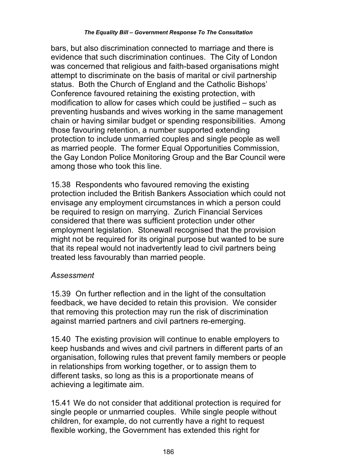bars, but also discrimination connected to marriage and there is evidence that such discrimination continues. The City of London was concerned that religious and faith-based organisations might attempt to discriminate on the basis of marital or civil partnership status. Both the Church of England and the Catholic Bishops' Conference favoured retaining the existing protection, with modification to allow for cases which could be justified – such as preventing husbands and wives working in the same management chain or having similar budget or spending responsibilities. Among those favouring retention, a number supported extending protection to include unmarried couples and single people as well as married people. The former Equal Opportunities Commission, the Gay London Police Monitoring Group and the Bar Council were among those who took this line.

15.38 Respondents who favoured removing the existing protection included the British Bankers Association which could not envisage any employment circumstances in which a person could be required to resign on marrying. Zurich Financial Services considered that there was sufficient protection under other employment legislation. Stonewall recognised that the provision might not be required for its original purpose but wanted to be sure that its repeal would not inadvertently lead to civil partners being treated less favourably than married people.

### *Assessment*

15.39 On further reflection and in the light of the consultation feedback, we have decided to retain this provision. We consider that removing this protection may run the risk of discrimination against married partners and civil partners re-emerging.

15.40 The existing provision will continue to enable employers to keep husbands and wives and civil partners in different parts of an organisation, following rules that prevent family members or people in relationships from working together, or to assign them to different tasks, so long as this is a proportionate means of achieving a legitimate aim.

15.41 We do not consider that additional protection is required for single people or unmarried couples. While single people without children, for example, do not currently have a right to request flexible working, the Government has extended this right for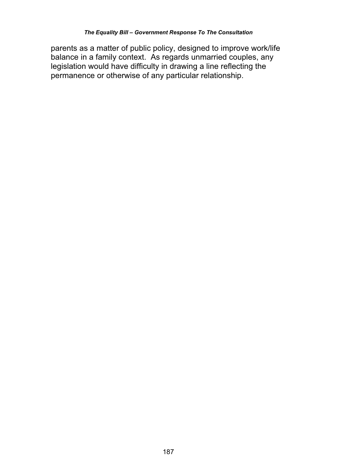parents as a matter of public policy, designed to improve work/life balance in a family context. As regards unmarried couples, any legislation would have difficulty in drawing a line reflecting the permanence or otherwise of any particular relationship.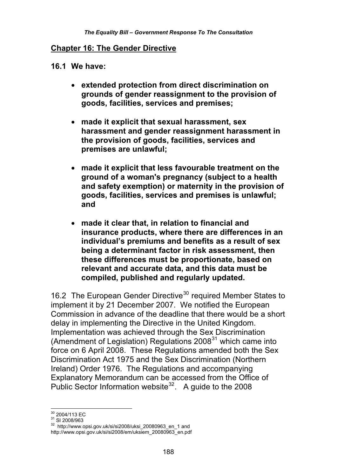#### **Chapter 16: The Gender Directive**

**16.1 We have:** 

- **extended protection from direct discrimination on grounds of gender reassignment to the provision of goods, facilities, services and premises;**
- **made it explicit that sexual harassment, sex harassment and gender reassignment harassment in the provision of goods, facilities, services and premises are unlawful;**
- **made it explicit that less favourable treatment on the ground of a woman's pregnancy (subject to a health and safety exemption) or maternity in the provision of goods, facilities, services and premises is unlawful; and**
- **made it clear that, in relation to financial and insurance products, where there are differences in an individual's premiums and benefits as a result of sex being a determinant factor in risk assessment, then these differences must be proportionate, based on relevant and accurate data, and this data must be compiled, published and regularly updated.**

16.2 The European Gender Directive<sup>30</sup> required Member States to implement it by 21 December 2007. We notified the European Commission in advance of the deadline that there would be a short delay in implementing the Directive in the United Kingdom. Implementation was achieved through the Sex Discrimination (Amendment of Legislation) Regulations  $2008<sup>31</sup>$  which came into force on 6 April 2008. These Regulations amended both the Sex Discrimination Act 1975 and the Sex Discrimination (Northern Ireland) Order 1976. The Regulations and accompanying Explanatory Memorandum can be accessed from the Office of Public Sector Information website<sup>32</sup>. A guide to the 2008

<sup>&</sup>lt;sup>30</sup> 2004/113 EC

 $\frac{31}{31}$  SI 2008/963<br> $\frac{32}{32}$  http://www.opsi.gov.uk/si/si2008/uksi\_20080963\_en\_1 and http://www.opsi.gov.uk/si/si2008/em/uksiem\_20080963\_en.pdf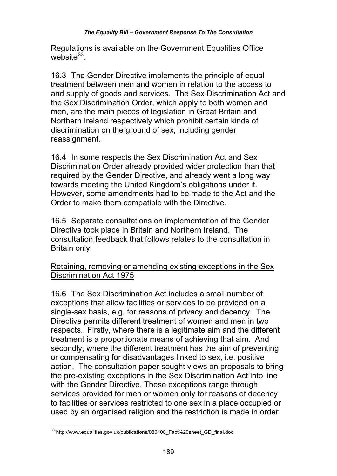#### *The Equality Bill – Government Response To The Consultation*

Regulations is available on the Government Equalities Office website $33$ 

16.3 The Gender Directive implements the principle of equal treatment between men and women in relation to the access to and supply of goods and services. The Sex Discrimination Act and the Sex Discrimination Order, which apply to both women and men, are the main pieces of legislation in Great Britain and Northern Ireland respectively which prohibit certain kinds of discrimination on the ground of sex, including gender reassignment.

16.4 In some respects the Sex Discrimination Act and Sex Discrimination Order already provided wider protection than that required by the Gender Directive, and already went a long way towards meeting the United Kingdom's obligations under it. However, some amendments had to be made to the Act and the Order to make them compatible with the Directive.

16.5 Separate consultations on implementation of the Gender Directive took place in Britain and Northern Ireland. The consultation feedback that follows relates to the consultation in Britain only.

### Retaining, removing or amending existing exceptions in the Sex Discrimination Act 1975

16.6 The Sex Discrimination Act includes a small number of exceptions that allow facilities or services to be provided on a single-sex basis, e.g. for reasons of privacy and decency. The Directive permits different treatment of women and men in two respects. Firstly, where there is a legitimate aim and the different treatment is a proportionate means of achieving that aim. And secondly, where the different treatment has the aim of preventing or compensating for disadvantages linked to sex, i.e. positive action. The consultation paper sought views on proposals to bring the pre-existing exceptions in the Sex Discrimination Act into line with the Gender Directive. These exceptions range through services provided for men or women only for reasons of decency to facilities or services restricted to one sex in a place occupied or used by an organised religion and the restriction is made in order

 $\overline{\phantom{a}}$ <sup>33</sup> http://www.equalities.gov.uk/publications/080408\_Fact%20sheet\_GD\_final.doc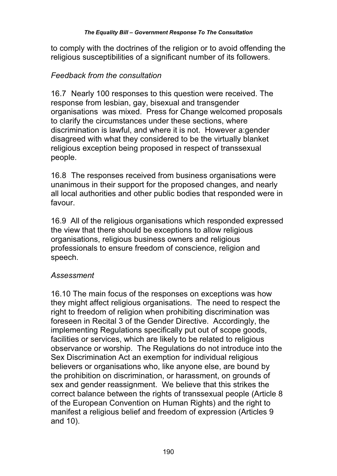to comply with the doctrines of the religion or to avoid offending the religious susceptibilities of a significant number of its followers.

#### *Feedback from the consultation*

16.7 Nearly 100 responses to this question were received. The response from lesbian, gay, bisexual and transgender organisations was mixed. Press for Change welcomed proposals to clarify the circumstances under these sections, where discrimination is lawful, and where it is not. However a:gender disagreed with what they considered to be the virtually blanket religious exception being proposed in respect of transsexual people.

16.8 The responses received from business organisations were unanimous in their support for the proposed changes, and nearly all local authorities and other public bodies that responded were in favour.

16.9 All of the religious organisations which responded expressed the view that there should be exceptions to allow religious organisations, religious business owners and religious professionals to ensure freedom of conscience, religion and speech.

#### *Assessment*

16.10 The main focus of the responses on exceptions was how they might affect religious organisations. The need to respect the right to freedom of religion when prohibiting discrimination was foreseen in Recital 3 of the Gender Directive. Accordingly, the implementing Regulations specifically put out of scope goods, facilities or services, which are likely to be related to religious observance or worship. The Regulations do not introduce into the Sex Discrimination Act an exemption for individual religious believers or organisations who, like anyone else, are bound by the prohibition on discrimination, or harassment, on grounds of sex and gender reassignment. We believe that this strikes the correct balance between the rights of transsexual people (Article 8 of the European Convention on Human Rights) and the right to manifest a religious belief and freedom of expression (Articles 9 and 10).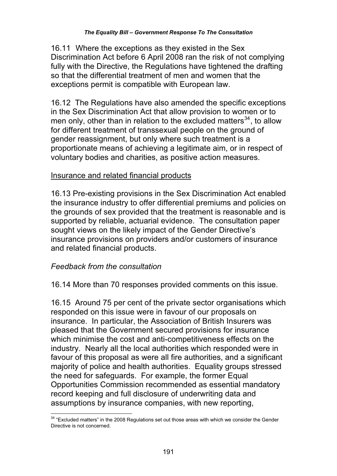16.11 Where the exceptions as they existed in the Sex Discrimination Act before 6 April 2008 ran the risk of not complying fully with the Directive, the Regulations have tightened the drafting so that the differential treatment of men and women that the exceptions permit is compatible with European law.

16.12 The Regulations have also amended the specific exceptions in the Sex Discrimination Act that allow provision to women or to men only, other than in relation to the excluded matters<sup>34</sup>, to allow for different treatment of transsexual people on the ground of gender reassignment, but only where such treatment is a proportionate means of achieving a legitimate aim, or in respect of voluntary bodies and charities, as positive action measures.

#### Insurance and related financial products

16.13 Pre-existing provisions in the Sex Discrimination Act enabled the insurance industry to offer differential premiums and policies on the grounds of sex provided that the treatment is reasonable and is supported by reliable, actuarial evidence. The consultation paper sought views on the likely impact of the Gender Directive's insurance provisions on providers and/or customers of insurance and related financial products.

#### *Feedback from the consultation*

16.14 More than 70 responses provided comments on this issue.

16.15 Around 75 per cent of the private sector organisations which responded on this issue were in favour of our proposals on insurance. In particular, the Association of British Insurers was pleased that the Government secured provisions for insurance which minimise the cost and anti-competitiveness effects on the industry. Nearly all the local authorities which responded were in favour of this proposal as were all fire authorities, and a significant majority of police and health authorities. Equality groups stressed the need for safeguards. For example, the former Equal Opportunities Commission recommended as essential mandatory record keeping and full disclosure of underwriting data and assumptions by insurance companies, with new reporting,

 $\overline{\phantom{a}}$  $34$  "Excluded matters" in the 2008 Regulations set out those areas with which we consider the Gender Directive is not concerned.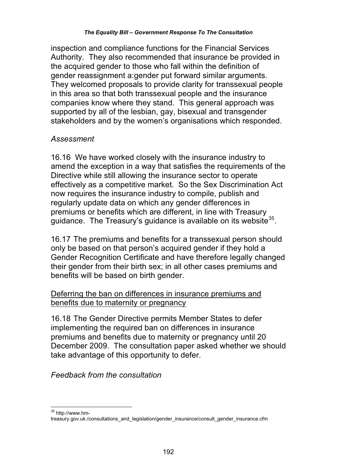inspection and compliance functions for the Financial Services Authority. They also recommended that insurance be provided in the acquired gender to those who fall within the definition of gender reassignment a:gender put forward similar arguments. They welcomed proposals to provide clarity for transsexual people in this area so that both transsexual people and the insurance companies know where they stand. This general approach was supported by all of the lesbian, gay, bisexual and transgender stakeholders and by the women's organisations which responded.

#### *Assessment*

16.16 We have worked closely with the insurance industry to amend the exception in a way that satisfies the requirements of the Directive while still allowing the insurance sector to operate effectively as a competitive market. So the Sex Discrimination Act now requires the insurance industry to compile, publish and regularly update data on which any gender differences in premiums or benefits which are different, in line with Treasury guidance. The Treasury's guidance is available on its website<sup>35</sup>.

16.17 The premiums and benefits for a transsexual person should only be based on that person's acquired gender if they hold a Gender Recognition Certificate and have therefore legally changed their gender from their birth sex; in all other cases premiums and benefits will be based on birth gender.

## Deferring the ban on differences in insurance premiums and benefits due to maternity or pregnancy

16.18 The Gender Directive permits Member States to defer implementing the required ban on differences in insurance premiums and benefits due to maternity or pregnancy until 20 December 2009. The consultation paper asked whether we should take advantage of this opportunity to defer.

*Feedback from the consultation* 

 $\overline{\phantom{a}}$ <sup>35</sup> http://www.hm-

treasury.gov.uk./consultations\_and\_legislation/gender\_insurance/consult\_gender\_insurance.cfm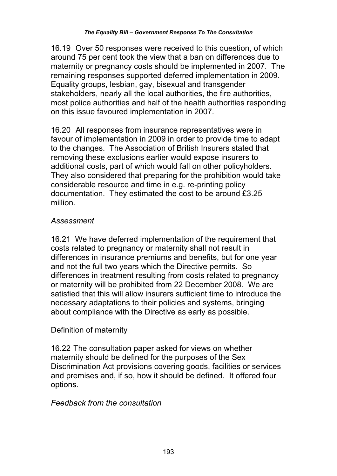16.19 Over 50 responses were received to this question, of which around 75 per cent took the view that a ban on differences due to maternity or pregnancy costs should be implemented in 2007. The remaining responses supported deferred implementation in 2009. Equality groups, lesbian, gay, bisexual and transgender stakeholders, nearly all the local authorities, the fire authorities, most police authorities and half of the health authorities responding on this issue favoured implementation in 2007.

16.20 All responses from insurance representatives were in favour of implementation in 2009 in order to provide time to adapt to the changes. The Association of British Insurers stated that removing these exclusions earlier would expose insurers to additional costs, part of which would fall on other policyholders. They also considered that preparing for the prohibition would take considerable resource and time in e.g. re-printing policy documentation. They estimated the cost to be around £3.25 million.

## *Assessment*

16.21 We have deferred implementation of the requirement that costs related to pregnancy or maternity shall not result in differences in insurance premiums and benefits, but for one year and not the full two years which the Directive permits. So differences in treatment resulting from costs related to pregnancy or maternity will be prohibited from 22 December 2008. We are satisfied that this will allow insurers sufficient time to introduce the necessary adaptations to their policies and systems, bringing about compliance with the Directive as early as possible.

# Definition of maternity

16.22 The consultation paper asked for views on whether maternity should be defined for the purposes of the Sex Discrimination Act provisions covering goods, facilities or services and premises and, if so, how it should be defined. It offered four options.

### *Feedback from the consultation*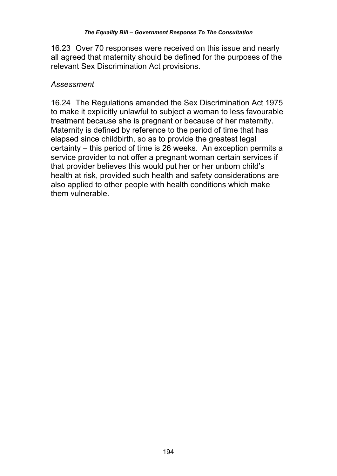16.23 Over 70 responses were received on this issue and nearly all agreed that maternity should be defined for the purposes of the relevant Sex Discrimination Act provisions.

### *Assessment*

16.24 The Regulations amended the Sex Discrimination Act 1975 to make it explicitly unlawful to subject a woman to less favourable treatment because she is pregnant or because of her maternity. Maternity is defined by reference to the period of time that has elapsed since childbirth, so as to provide the greatest legal certainty – this period of time is 26 weeks. An exception permits a service provider to not offer a pregnant woman certain services if that provider believes this would put her or her unborn child's health at risk, provided such health and safety considerations are also applied to other people with health conditions which make them vulnerable.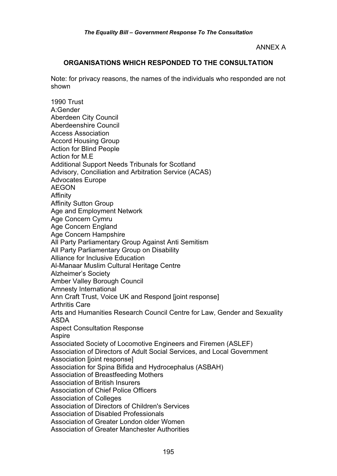ANNEX A

#### **ORGANISATIONS WHICH RESPONDED TO THE CONSULTATION**

Note: for privacy reasons, the names of the individuals who responded are not shown

1990 Trust A:Gender Aberdeen City Council Aberdeenshire Council Access Association Accord Housing Group Action for Blind People Action for M.E Additional Support Needs Tribunals for Scotland Advisory, Conciliation and Arbitration Service (ACAS) Advocates Europe AEGON Affinity Affinity Sutton Group Age and Employment Network Age Concern Cymru Age Concern England Age Concern Hampshire All Party Parliamentary Group Against Anti Semitism All Party Parliamentary Group on Disability Alliance for Inclusive Education Al-Manaar Muslim Cultural Heritage Centre Alzheimer's Society Amber Valley Borough Council Amnesty International Ann Craft Trust, Voice UK and Respond [joint response] Arthritis Care Arts and Humanities Research Council Centre for Law, Gender and Sexuality ASDA Aspect Consultation Response Aspire Associated Society of Locomotive Engineers and Firemen (ASLEF) Association of Directors of Adult Social Services, and Local Government Association [joint response] Association for Spina Bifida and Hydrocephalus (ASBAH) Association of Breastfeeding Mothers Association of British Insurers Association of Chief Police Officers Association of Colleges Association of Directors of Children's Services Association of Disabled Professionals Association of Greater London older Women Association of Greater Manchester Authorities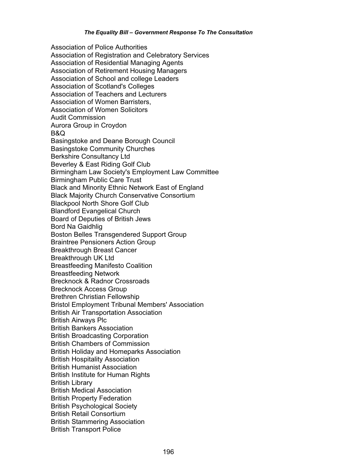Association of Police Authorities Association of Registration and Celebratory Services Association of Residential Managing Agents Association of Retirement Housing Managers Association of School and college Leaders Association of Scotland's Colleges Association of Teachers and Lecturers Association of Women Barristers, Association of Women Solicitors Audit Commission Aurora Group in Croydon B&Q Basingstoke and Deane Borough Council Basingstoke Community Churches Berkshire Consultancy Ltd Beverley & East Riding Golf Club Birmingham Law Society's Employment Law Committee Birmingham Public Care Trust Black and Minority Ethnic Network East of England Black Majority Church Conservative Consortium Blackpool North Shore Golf Club Blandford Evangelical Church Board of Deputies of British Jews Bord Na Gaidhlig Boston Belles Transgendered Support Group Braintree Pensioners Action Group Breakthrough Breast Cancer Breakthrough UK Ltd Breastfeeding Manifesto Coalition Breastfeeding Network Brecknock & Radnor Crossroads Brecknock Access Group Brethren Christian Fellowship Bristol Employment Tribunal Members' Association British Air Transportation Association British Airways Plc British Bankers Association British Broadcasting Corporation British Chambers of Commission British Holiday and Homeparks Association British Hospitality Association British Humanist Association British Institute for Human Rights British Library British Medical Association British Property Federation British Psychological Society British Retail Consortium British Stammering Association British Transport Police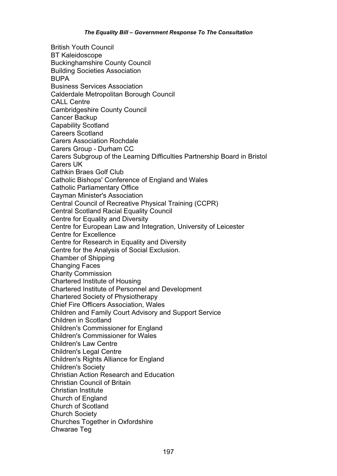British Youth Council BT Kaleidoscope Buckinghamshire County Council Building Societies Association BUPA Business Services Association Calderdale Metropolitan Borough Council CALL Centre Cambridgeshire County Council Cancer Backup Capability Scotland Careers Scotland Carers Association Rochdale Carers Group - Durham CC Carers Subgroup of the Learning Difficulties Partnership Board in Bristol Carers UK Cathkin Braes Golf Club Catholic Bishops' Conference of England and Wales Catholic Parliamentary Office Cayman Minister's Association Central Council of Recreative Physical Training (CCPR) Central Scotland Racial Equality Council Centre for Equality and Diversity Centre for European Law and Integration, University of Leicester Centre for Excellence Centre for Research in Equality and Diversity Centre for the Analysis of Social Exclusion. Chamber of Shipping Changing Faces Charity Commission Chartered Institute of Housing Chartered Institute of Personnel and Development Chartered Society of Physiotherapy Chief Fire Officers Association, Wales Children and Family Court Advisory and Support Service Children in Scotland Children's Commissioner for England Children's Commissioner for Wales Children's Law Centre Children's Legal Centre Children's Rights Alliance for England Children's Society Christian Action Research and Education Christian Council of Britain Christian Institute Church of England Church of Scotland Church Society Churches Together in Oxfordshire Chwarae Teg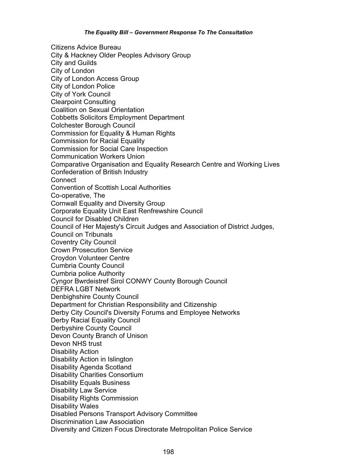Citizens Advice Bureau City & Hackney Older Peoples Advisory Group City and Guilds City of London City of London Access Group City of London Police City of York Council Clearpoint Consulting Coalition on Sexual Orientation Cobbetts Solicitors Employment Department Colchester Borough Council Commission for Equality & Human Rights Commission for Racial Equality Commission for Social Care Inspection Communication Workers Union Comparative Organisation and Equality Research Centre and Working Lives Confederation of British Industry **Connect** Convention of Scottish Local Authorities Co-operative, The Cornwall Equality and Diversity Group Corporate Equality Unit East Renfrewshire Council Council for Disabled Children Council of Her Majesty's Circuit Judges and Association of District Judges, Council on Tribunals Coventry City Council Crown Prosecution Service Croydon Volunteer Centre Cumbria County Council Cumbria police Authority Cyngor Bwrdeistref Sirol CONWY County Borough Council DEFRA LGBT Network Denbighshire County Council Department for Christian Responsibility and Citizenship Derby City Council's Diversity Forums and Employee Networks Derby Racial Equality Council Derbyshire County Council Devon County Branch of Unison Devon NHS trust Disability Action Disability Action in Islington Disability Agenda Scotland Disability Charities Consortium Disability Equals Business Disability Law Service Disability Rights Commission Disability Wales Disabled Persons Transport Advisory Committee Discrimination Law Association Diversity and Citizen Focus Directorate Metropolitan Police Service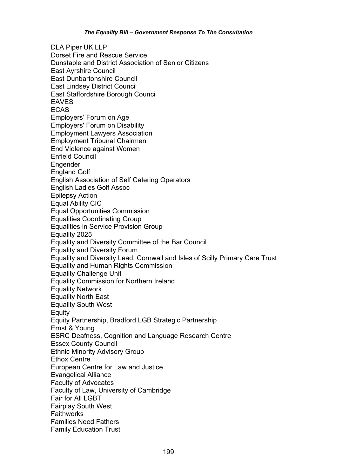DLA Piper UK LLP Dorset Fire and Rescue Service Dunstable and District Association of Senior Citizens East Ayrshire Council East Dunbartonshire Council East Lindsey District Council East Staffordshire Borough Council EAVES ECAS Employers' Forum on Age Employers' Forum on Disability Employment Lawyers Association Employment Tribunal Chairmen End Violence against Women Enfield Council Engender England Golf English Association of Self Catering Operators English Ladies Golf Assoc Epilepsy Action Equal Ability CIC Equal Opportunities Commission Equalities Coordinating Group Equalities in Service Provision Group Equality 2025 Equality and Diversity Committee of the Bar Council Equality and Diversity Forum Equality and Diversity Lead, Cornwall and Isles of Scilly Primary Care Trust Equality and Human Rights Commission Equality Challenge Unit Equality Commission for Northern Ireland Equality Network Equality North East Equality South West **Equity** Equity Partnership, Bradford LGB Strategic Partnership Ernst & Young ESRC Deafness, Cognition and Language Research Centre Essex County Council Ethnic Minority Advisory Group Ethox Centre European Centre for Law and Justice Evangelical Alliance Faculty of Advocates Faculty of Law, University of Cambridge Fair for All LGBT Fairplay South West Faithworks Families Need Fathers Family Education Trust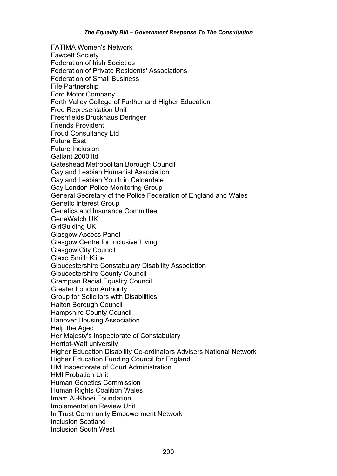FATIMA Women's Network Fawcett Society Federation of Irish Societies Federation of Private Residents' Associations Federation of Small Business Fife Partnership Ford Motor Company Forth Valley College of Further and Higher Education Free Representation Unit Freshfields Bruckhaus Deringer Friends Provident Froud Consultancy Ltd Future East Future Inclusion Gallant 2000 ltd Gateshead Metropolitan Borough Council Gay and Lesbian Humanist Association Gay and Lesbian Youth in Calderdale Gay London Police Monitoring Group General Secretary of the Police Federation of England and Wales Genetic Interest Group Genetics and Insurance Committee GeneWatch UK GirlGuiding UK Glasgow Access Panel Glasgow Centre for Inclusive Living Glasgow City Council Glaxo Smith Kline Gloucestershire Constabulary Disability Association Gloucestershire County Council Grampian Racial Equality Council Greater London Authority Group for Solicitors with Disabilities Halton Borough Council Hampshire County Council Hanover Housing Association Help the Aged Her Majesty's Inspectorate of Constabulary Herriot-Watt university Higher Education Disability Co-ordinators Advisers National Network Higher Education Funding Council for England HM Inspectorate of Court Administration HMI Probation Unit Human Genetics Commission Human Rights Coalition Wales Imam Al-Khoei Foundation Implementation Review Unit In Trust Community Empowerment Network Inclusion Scotland Inclusion South West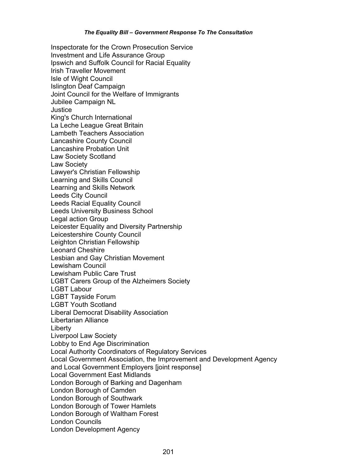Inspectorate for the Crown Prosecution Service Investment and Life Assurance Group Ipswich and Suffolk Council for Racial Equality Irish Traveller Movement Isle of Wight Council Islington Deaf Campaign Joint Council for the Welfare of Immigrants Jubilee Campaign NL **Justice** King's Church International La Leche League Great Britain Lambeth Teachers Association Lancashire County Council Lancashire Probation Unit Law Society Scotland Law Society Lawyer's Christian Fellowship Learning and Skills Council Learning and Skills Network Leeds City Council Leeds Racial Equality Council Leeds University Business School Legal action Group Leicester Equality and Diversity Partnership Leicestershire County Council Leighton Christian Fellowship Leonard Cheshire Lesbian and Gay Christian Movement Lewisham Council Lewisham Public Care Trust LGBT Carers Group of the Alzheimers Society LGBT Labour LGBT Tayside Forum LGBT Youth Scotland Liberal Democrat Disability Association Libertarian Alliance Liberty Liverpool Law Society Lobby to End Age Discrimination Local Authority Coordinators of Regulatory Services Local Government Association, the Improvement and Development Agency and Local Government Employers [joint response] Local Government East Midlands London Borough of Barking and Dagenham London Borough of Camden London Borough of Southwark London Borough of Tower Hamlets London Borough of Waltham Forest London Councils London Development Agency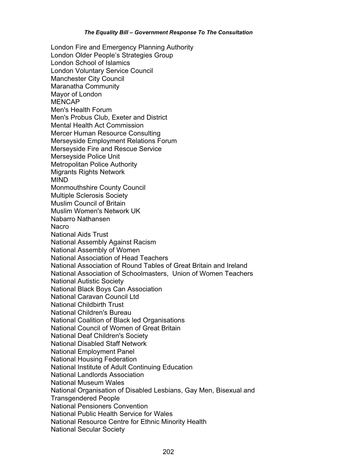London Fire and Emergency Planning Authority London Older People's Strategies Group London School of Islamics London Voluntary Service Council Manchester City Council Maranatha Community Mayor of London MENCAP Men's Health Forum Men's Probus Club, Exeter and District Mental Health Act Commission Mercer Human Resource Consulting Merseyside Employment Relations Forum Merseyside Fire and Rescue Service Merseyside Police Unit Metropolitan Police Authority Migrants Rights Network MIND Monmouthshire County Council Multiple Sclerosis Society Muslim Council of Britain Muslim Women's Network UK Nabarro Nathansen Nacro National Aids Trust National Assembly Against Racism National Assembly of Women National Association of Head Teachers National Association of Round Tables of Great Britain and Ireland National Association of Schoolmasters, Union of Women Teachers National Autistic Society National Black Boys Can Association National Caravan Council Ltd National Childbirth Trust National Children's Bureau National Coalition of Black led Organisations National Council of Women of Great Britain National Deaf Children's Society National Disabled Staff Network National Employment Panel National Housing Federation National Institute of Adult Continuing Education National Landlords Association National Museum Wales National Organisation of Disabled Lesbians, Gay Men, Bisexual and Transgendered People National Pensioners Convention National Public Health Service for Wales National Resource Centre for Ethnic Minority Health National Secular Society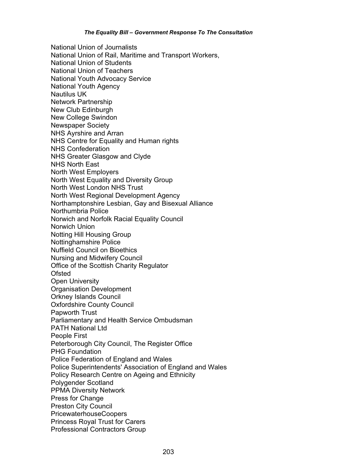National Union of Journalists National Union of Rail, Maritime and Transport Workers, National Union of Students National Union of Teachers National Youth Advocacy Service National Youth Agency Nautilus UK Network Partnership New Club Edinburgh New College Swindon Newspaper Society NHS Ayrshire and Arran NHS Centre for Equality and Human rights NHS Confederation NHS Greater Glasgow and Clyde NHS North East North West Employers North West Equality and Diversity Group North West London NHS Trust North West Regional Development Agency Northamptonshire Lesbian, Gay and Bisexual Alliance Northumbria Police Norwich and Norfolk Racial Equality Council Norwich Union Notting Hill Housing Group Nottinghamshire Police Nuffield Council on Bioethics Nursing and Midwifery Council Office of the Scottish Charity Regulator **Ofsted** Open University Organisation Development Orkney Islands Council Oxfordshire County Council Papworth Trust Parliamentary and Health Service Ombudsman PATH National Ltd People First Peterborough City Council, The Register Office PHG Foundation Police Federation of England and Wales Police Superintendents' Association of England and Wales Policy Research Centre on Ageing and Ethnicity Polygender Scotland PPMA Diversity Network Press for Change Preston City Council PricewaterhouseCoopers Princess Royal Trust for Carers Professional Contractors Group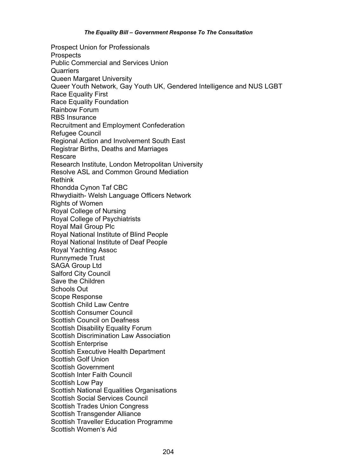Prospect Union for Professionals **Prospects** Public Commercial and Services Union **Quarriers** Queen Margaret University Queer Youth Network, Gay Youth UK, Gendered Intelligence and NUS LGBT Race Equality First Race Equality Foundation Rainbow Forum RBS Insurance Recruitment and Employment Confederation Refugee Council Regional Action and Involvement South East Registrar Births, Deaths and Marriages Rescare Research Institute, London Metropolitan University Resolve ASL and Common Ground Mediation Rethink Rhondda Cynon Taf CBC Rhwydiaith- Welsh Language Officers Network Rights of Women Royal College of Nursing Royal College of Psychiatrists Royal Mail Group Plc Royal National Institute of Blind People Royal National Institute of Deaf People Royal Yachting Assoc Runnymede Trust SAGA Group Ltd Salford City Council Save the Children Schools Out Scope Response Scottish Child Law Centre Scottish Consumer Council Scottish Council on Deafness Scottish Disability Equality Forum Scottish Discrimination Law Association Scottish Enterprise Scottish Executive Health Department Scottish Golf Union Scottish Government Scottish Inter Faith Council Scottish Low Pay Scottish National Equalities Organisations Scottish Social Services Council Scottish Trades Union Congress Scottish Transgender Alliance Scottish Traveller Education Programme Scottish Women's Aid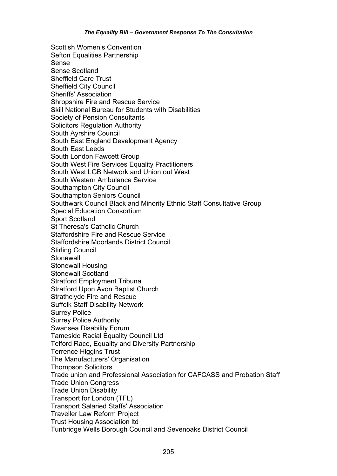Scottish Women's Convention Sefton Equalities Partnership Sense Sense Scotland Sheffield Care Trust Sheffield City Council Sheriffs' Association Shropshire Fire and Rescue Service Skill National Bureau for Students with Disabilities Society of Pension Consultants Solicitors Regulation Authority South Ayrshire Council South East England Development Agency South East Leeds South London Fawcett Group South West Fire Services Equality Practitioners South West LGB Network and Union out West South Western Ambulance Service Southampton City Council Southampton Seniors Council Southwark Council Black and Minority Ethnic Staff Consultative Group Special Education Consortium Sport Scotland St Theresa's Catholic Church Staffordshire Fire and Rescue Service Staffordshire Moorlands District Council Stirling Council **Stonewall** Stonewall Housing Stonewall Scotland Stratford Employment Tribunal Stratford Upon Avon Baptist Church Strathclyde Fire and Rescue Suffolk Staff Disability Network Surrey Police Surrey Police Authority Swansea Disability Forum Tameside Racial Equality Council Ltd Telford Race, Equality and Diversity Partnership Terrence Higgins Trust The Manufacturers' Organisation Thompson Solicitors Trade union and Professional Association for CAFCASS and Probation Staff Trade Union Congress Trade Union Disability Transport for London (TFL) Transport Salaried Staffs' Association Traveller Law Reform Project Trust Housing Association ltd Tunbridge Wells Borough Council and Sevenoaks District Council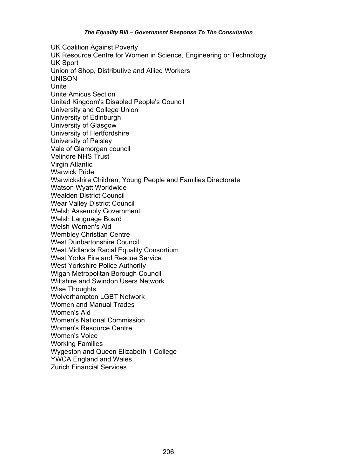UK Coalition Against Poverty UK Resource Centre for Women in Science, Engineering or Technology UK Sport Union of Shop, Distributive and Allied Workers UNISON Unite Unite Amicus Section United Kingdom's Disabled People's Council University and College Union University of Edinburgh University of Glasgow University of Hertfordshire University of Paisley Vale of Glamorgan council Velindre NHS Trust Virgin Atlantic Warwick Pride Warwickshire Children, Young People and Families Directorate Watson Wyatt Worldwide Wealden District Council Wear Valley District Council Welsh Assembly Government Welsh Language Board Welsh Women's Aid Wembley Christian Centre West Dunbartonshire Council West Midlands Racial Equality Consortium West Yorks Fire and Rescue Service West Yorkshire Police Authority Wigan Metropolitan Borough Council Wiltshire and Swindon Users Network Wise Thoughts Wolverhampton LGBT Network Women and Manual Trades Women's Aid Women's National Commission Women's Resource Centre Women's Voice Working Families Wygeston and Queen Elizabeth 1 College YWCA England and Wales Zurich Financial Services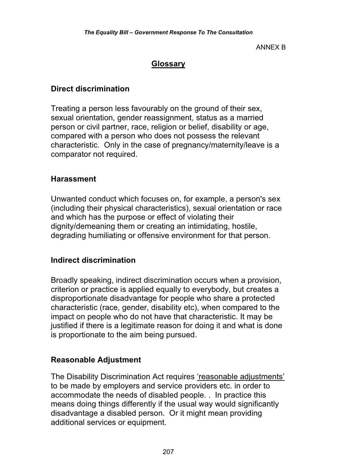ANNEX B

### **Glossary**

### **Direct discrimination**

Treating a person less favourably on the ground of their sex, sexual orientation, gender reassignment, status as a married person or civil partner, race, religion or belief, disability or age, compared with a person who does not possess the relevant characteristic. Only in the case of pregnancy/maternity/leave is a comparator not required.

#### **Harassment**

Unwanted conduct which focuses on, for example, a person's sex (including their physical characteristics), sexual orientation or race and which has the purpose or effect of violating their dignity/demeaning them or creating an intimidating, hostile, degrading humiliating or offensive environment for that person.

#### **Indirect discrimination**

Broadly speaking, indirect discrimination occurs when a provision, criterion or practice is applied equally to everybody, but creates a disproportionate disadvantage for people who share a protected characteristic (race, gender, disability etc), when compared to the impact on people who do not have that characteristic. It may be justified if there is a legitimate reason for doing it and what is done is proportionate to the aim being pursued.

### **Reasonable Adjustment**

The Disability Discrimination Act requires 'reasonable adjustments' to be made by employers and service providers etc. in order to accommodate the needs of disabled people. . In practice this means doing things differently if the usual way would significantly disadvantage a disabled person. Or it might mean providing additional services or equipment.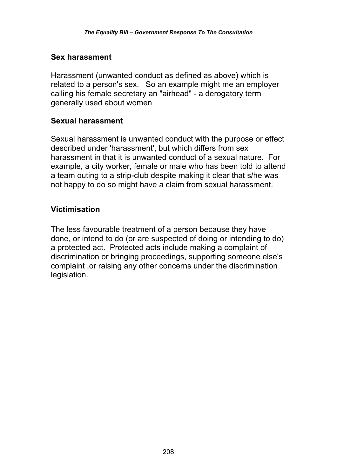### **Sex harassment**

Harassment (unwanted conduct as defined as above) which is related to a person's sex. So an example might me an employer calling his female secretary an "airhead" - a derogatory term generally used about women

#### **Sexual harassment**

Sexual harassment is unwanted conduct with the purpose or effect described under 'harassment', but which differs from sex harassment in that it is unwanted conduct of a sexual nature. For example, a city worker, female or male who has been told to attend a team outing to a strip-club despite making it clear that s/he was not happy to do so might have a claim from sexual harassment.

### **Victimisation**

The less favourable treatment of a person because they have done, or intend to do (or are suspected of doing or intending to do) a protected act. Protected acts include making a complaint of discrimination or bringing proceedings, supporting someone else's complaint ,or raising any other concerns under the discrimination legislation.